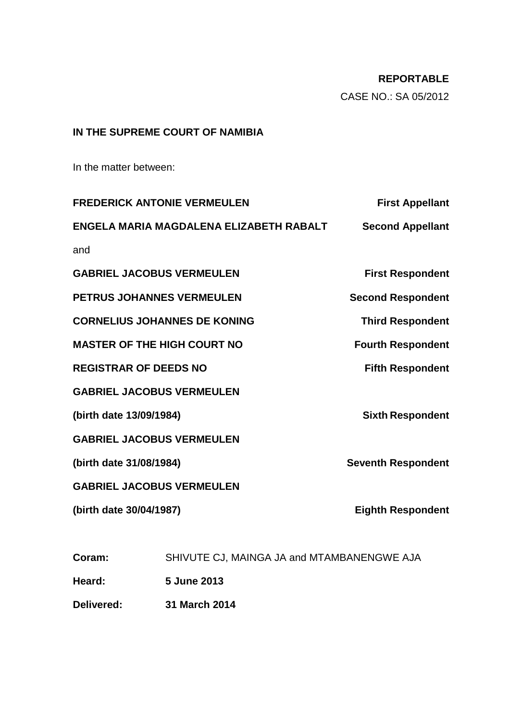# **REPORTABLE**

CASE NO.: SA 05/2012

## **IN THE SUPREME COURT OF NAMIBIA**

In the matter between:

| <b>FREDERICK ANTONIE VERMEULEN</b> |                                            | <b>First Appellant</b>    |
|------------------------------------|--------------------------------------------|---------------------------|
|                                    | ENGELA MARIA MAGDALENA ELIZABETH RABALT    | <b>Second Appellant</b>   |
| and                                |                                            |                           |
| <b>GABRIEL JACOBUS VERMEULEN</b>   |                                            | <b>First Respondent</b>   |
| <b>PETRUS JOHANNES VERMEULEN</b>   |                                            | <b>Second Respondent</b>  |
|                                    | <b>CORNELIUS JOHANNES DE KONING</b>        | <b>Third Respondent</b>   |
| <b>MASTER OF THE HIGH COURT NO</b> |                                            | <b>Fourth Respondent</b>  |
| <b>REGISTRAR OF DEEDS NO</b>       |                                            | <b>Fifth Respondent</b>   |
| <b>GABRIEL JACOBUS VERMEULEN</b>   |                                            |                           |
| (birth date 13/09/1984)            |                                            | <b>Sixth Respondent</b>   |
| <b>GABRIEL JACOBUS VERMEULEN</b>   |                                            |                           |
| (birth date 31/08/1984)            |                                            | <b>Seventh Respondent</b> |
| <b>GABRIEL JACOBUS VERMEULEN</b>   |                                            |                           |
| (birth date 30/04/1987)            |                                            | <b>Eighth Respondent</b>  |
|                                    |                                            |                           |
| Coram:                             | SHIVUTE CJ, MAINGA JA and MTAMBANENGWE AJA |                           |

**Heard: 5 June 2013**

**Delivered: 31 March 2014**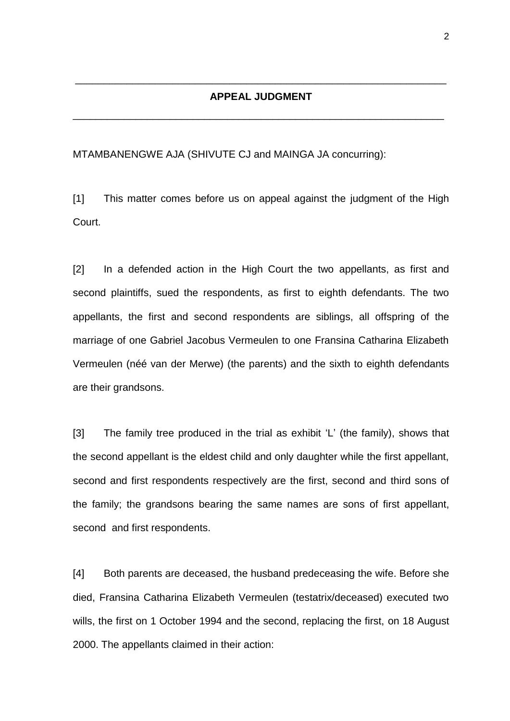#### **APPEAL JUDGMENT**

\_\_\_\_\_\_\_\_\_\_\_\_\_\_\_\_\_\_\_\_\_\_\_\_\_\_\_\_\_\_\_\_\_\_\_\_\_\_\_\_\_\_\_\_\_\_\_\_\_\_\_\_\_\_\_\_\_\_\_\_\_\_\_\_\_

\_\_\_\_\_\_\_\_\_\_\_\_\_\_\_\_\_\_\_\_\_\_\_\_\_\_\_\_\_\_\_\_\_\_\_\_\_\_\_\_\_\_\_\_\_\_\_\_\_\_\_\_\_\_\_\_\_\_\_\_\_\_\_\_\_

MTAMBANENGWE AJA (SHIVUTE CJ and MAINGA JA concurring):

[1] This matter comes before us on appeal against the judgment of the High Court.

[2] In a defended action in the High Court the two appellants, as first and second plaintiffs, sued the respondents, as first to eighth defendants. The two appellants, the first and second respondents are siblings, all offspring of the marriage of one Gabriel Jacobus Vermeulen to one Fransina Catharina Elizabeth Vermeulen (néé van der Merwe) (the parents) and the sixth to eighth defendants are their grandsons.

[3] The family tree produced in the trial as exhibit 'L' (the family), shows that the second appellant is the eldest child and only daughter while the first appellant, second and first respondents respectively are the first, second and third sons of the family; the grandsons bearing the same names are sons of first appellant, second and first respondents.

[4] Both parents are deceased, the husband predeceasing the wife. Before she died, Fransina Catharina Elizabeth Vermeulen (testatrix/deceased) executed two wills, the first on 1 October 1994 and the second, replacing the first, on 18 August 2000. The appellants claimed in their action: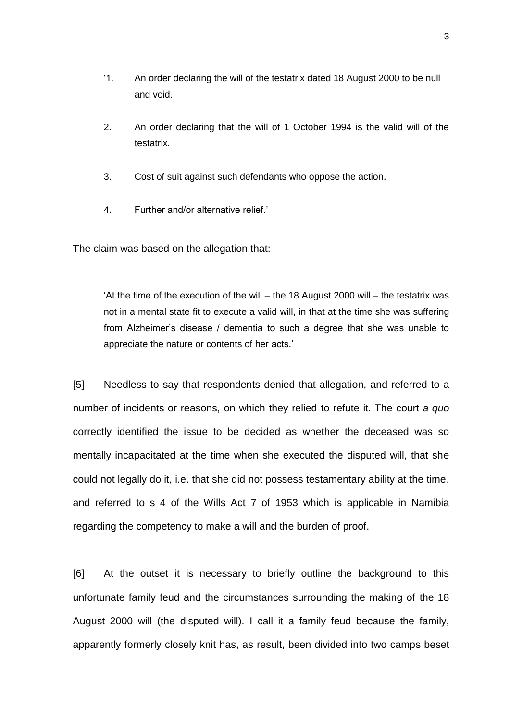- '1. An order declaring the will of the testatrix dated 18 August 2000 to be null and void.
- 2. An order declaring that the will of 1 October 1994 is the valid will of the testatrix.
- 3. Cost of suit against such defendants who oppose the action.
- 4. Further and/or alternative relief.'

The claim was based on the allegation that:

'At the time of the execution of the will – the 18 August 2000 will – the testatrix was not in a mental state fit to execute a valid will, in that at the time she was suffering from Alzheimer's disease / dementia to such a degree that she was unable to appreciate the nature or contents of her acts.'

[5] Needless to say that respondents denied that allegation, and referred to a number of incidents or reasons, on which they relied to refute it. The court *a quo* correctly identified the issue to be decided as whether the deceased was so mentally incapacitated at the time when she executed the disputed will, that she could not legally do it, i.e. that she did not possess testamentary ability at the time, and referred to s 4 of the Wills Act 7 of 1953 which is applicable in Namibia regarding the competency to make a will and the burden of proof.

[6] At the outset it is necessary to briefly outline the background to this unfortunate family feud and the circumstances surrounding the making of the 18 August 2000 will (the disputed will). I call it a family feud because the family, apparently formerly closely knit has, as result, been divided into two camps beset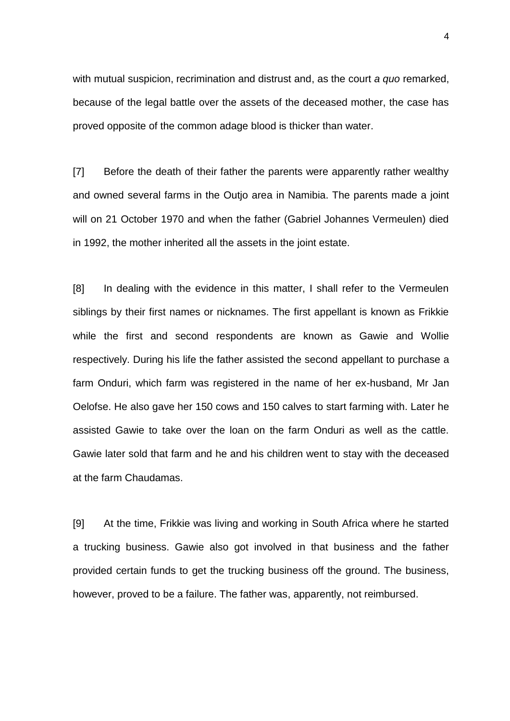with mutual suspicion, recrimination and distrust and, as the court *a quo* remarked, because of the legal battle over the assets of the deceased mother, the case has proved opposite of the common adage blood is thicker than water.

[7] Before the death of their father the parents were apparently rather wealthy and owned several farms in the Outjo area in Namibia. The parents made a joint will on 21 October 1970 and when the father (Gabriel Johannes Vermeulen) died in 1992, the mother inherited all the assets in the joint estate.

[8] In dealing with the evidence in this matter, I shall refer to the Vermeulen siblings by their first names or nicknames. The first appellant is known as Frikkie while the first and second respondents are known as Gawie and Wollie respectively. During his life the father assisted the second appellant to purchase a farm Onduri, which farm was registered in the name of her ex-husband, Mr Jan Oelofse. He also gave her 150 cows and 150 calves to start farming with. Later he assisted Gawie to take over the loan on the farm Onduri as well as the cattle. Gawie later sold that farm and he and his children went to stay with the deceased at the farm Chaudamas.

[9] At the time, Frikkie was living and working in South Africa where he started a trucking business. Gawie also got involved in that business and the father provided certain funds to get the trucking business off the ground. The business, however, proved to be a failure. The father was, apparently, not reimbursed.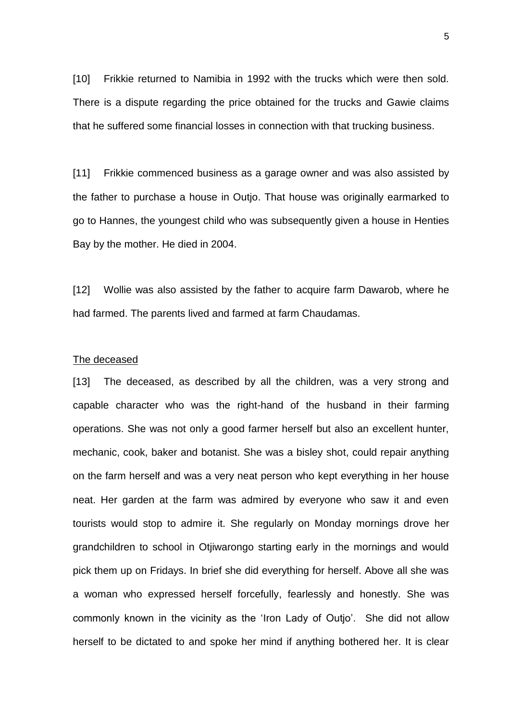[10] Frikkie returned to Namibia in 1992 with the trucks which were then sold. There is a dispute regarding the price obtained for the trucks and Gawie claims that he suffered some financial losses in connection with that trucking business.

[11] Frikkie commenced business as a garage owner and was also assisted by the father to purchase a house in Outjo. That house was originally earmarked to go to Hannes, the youngest child who was subsequently given a house in Henties Bay by the mother. He died in 2004.

[12] Wollie was also assisted by the father to acquire farm Dawarob, where he had farmed. The parents lived and farmed at farm Chaudamas.

#### The deceased

[13] The deceased, as described by all the children, was a very strong and capable character who was the right-hand of the husband in their farming operations. She was not only a good farmer herself but also an excellent hunter, mechanic, cook, baker and botanist. She was a bisley shot, could repair anything on the farm herself and was a very neat person who kept everything in her house neat. Her garden at the farm was admired by everyone who saw it and even tourists would stop to admire it. She regularly on Monday mornings drove her grandchildren to school in Otjiwarongo starting early in the mornings and would pick them up on Fridays. In brief she did everything for herself. Above all she was a woman who expressed herself forcefully, fearlessly and honestly. She was commonly known in the vicinity as the 'Iron Lady of Outjo'. She did not allow herself to be dictated to and spoke her mind if anything bothered her. It is clear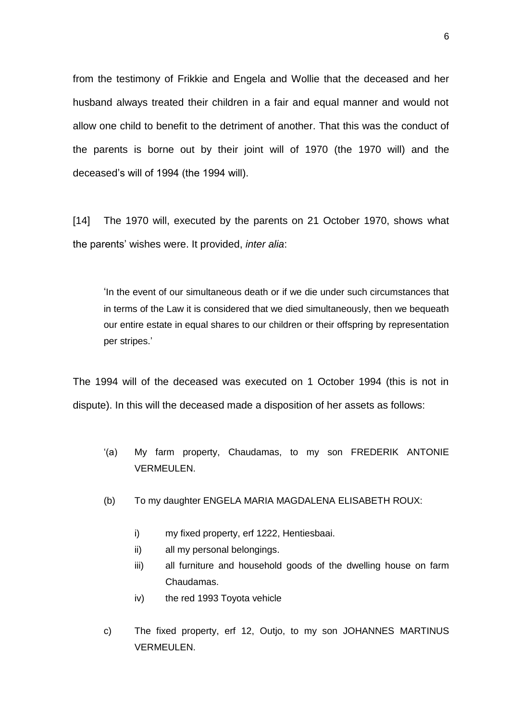from the testimony of Frikkie and Engela and Wollie that the deceased and her husband always treated their children in a fair and equal manner and would not allow one child to benefit to the detriment of another. That this was the conduct of the parents is borne out by their joint will of 1970 (the 1970 will) and the deceased's will of 1994 (the 1994 will).

[14] The 1970 will, executed by the parents on 21 October 1970, shows what the parents' wishes were. It provided, *inter alia*:

'In the event of our simultaneous death or if we die under such circumstances that in terms of the Law it is considered that we died simultaneously, then we bequeath our entire estate in equal shares to our children or their offspring by representation per stripes.'

The 1994 will of the deceased was executed on 1 October 1994 (this is not in dispute). In this will the deceased made a disposition of her assets as follows:

- '(a) My farm property, Chaudamas, to my son FREDERIK ANTONIE VERMEULEN.
- (b) To my daughter ENGELA MARIA MAGDALENA ELISABETH ROUX:
	- i) my fixed property, erf 1222, Hentiesbaai.
	- ii) all my personal belongings.
	- iii) all furniture and household goods of the dwelling house on farm Chaudamas.
	- iv) the red 1993 Toyota vehicle
- c) The fixed property, erf 12, Outjo, to my son JOHANNES MARTINUS VERMEULEN.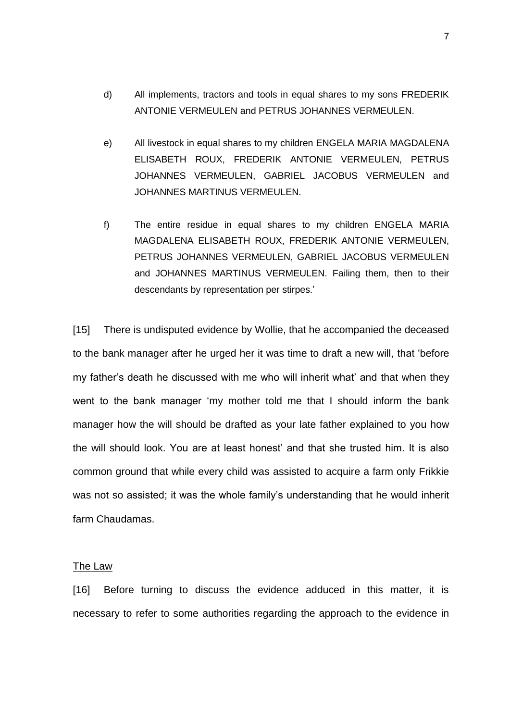- d) All implements, tractors and tools in equal shares to my sons FREDERIK ANTONIE VERMEULEN and PETRUS JOHANNES VERMEULEN.
- e) All livestock in equal shares to my children ENGELA MARIA MAGDALENA ELISABETH ROUX, FREDERIK ANTONIE VERMEULEN, PETRUS JOHANNES VERMEULEN, GABRIEL JACOBUS VERMEULEN and JOHANNES MARTINUS VERMEULEN.
- f) The entire residue in equal shares to my children ENGELA MARIA MAGDALENA ELISABETH ROUX, FREDERIK ANTONIE VERMEULEN, PETRUS JOHANNES VERMEULEN, GABRIEL JACOBUS VERMEULEN and JOHANNES MARTINUS VERMEULEN. Failing them, then to their descendants by representation per stirpes.'

[15] There is undisputed evidence by Wollie, that he accompanied the deceased to the bank manager after he urged her it was time to draft a new will, that 'before my father's death he discussed with me who will inherit what' and that when they went to the bank manager 'my mother told me that I should inform the bank manager how the will should be drafted as your late father explained to you how the will should look. You are at least honest' and that she trusted him. It is also common ground that while every child was assisted to acquire a farm only Frikkie was not so assisted; it was the whole family's understanding that he would inherit farm Chaudamas.

#### The Law

[16] Before turning to discuss the evidence adduced in this matter, it is necessary to refer to some authorities regarding the approach to the evidence in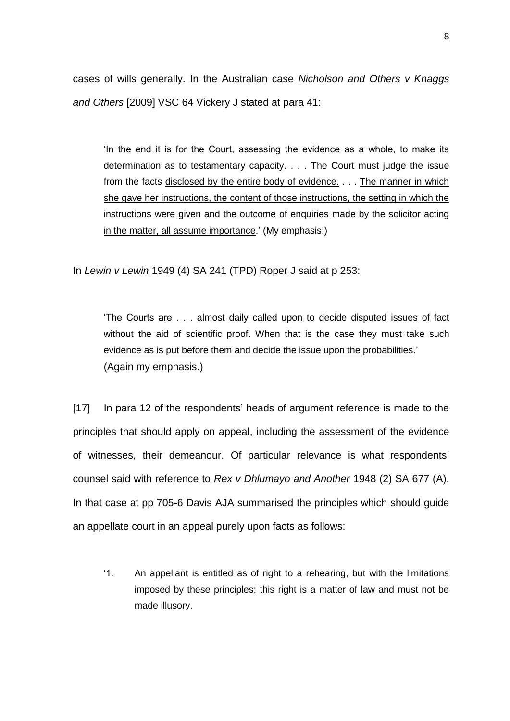cases of wills generally. In the Australian case *Nicholson and Others v Knaggs and Others* [2009] VSC 64 Vickery J stated at para 41:

'In the end it is for the Court, assessing the evidence as a whole, to make its determination as to testamentary capacity. . . . The Court must judge the issue from the facts disclosed by the entire body of evidence. . . . The manner in which she gave her instructions, the content of those instructions, the setting in which the instructions were given and the outcome of enquiries made by the solicitor acting in the matter, all assume importance.' (My emphasis.)

In *Lewin v Lewin* 1949 (4) SA 241 (TPD) Roper J said at p 253:

'The Courts are . . . almost daily called upon to decide disputed issues of fact without the aid of scientific proof. When that is the case they must take such evidence as is put before them and decide the issue upon the probabilities.' (Again my emphasis.)

[17] In para 12 of the respondents' heads of argument reference is made to the principles that should apply on appeal, including the assessment of the evidence of witnesses, their demeanour. Of particular relevance is what respondents' counsel said with reference to *Rex v Dhlumayo and Another* 1948 (2) SA 677 (A). In that case at pp 705-6 Davis AJA summarised the principles which should guide an appellate court in an appeal purely upon facts as follows:

'1. An appellant is entitled as of right to a rehearing, but with the limitations imposed by these principles; this right is a matter of law and must not be made illusory.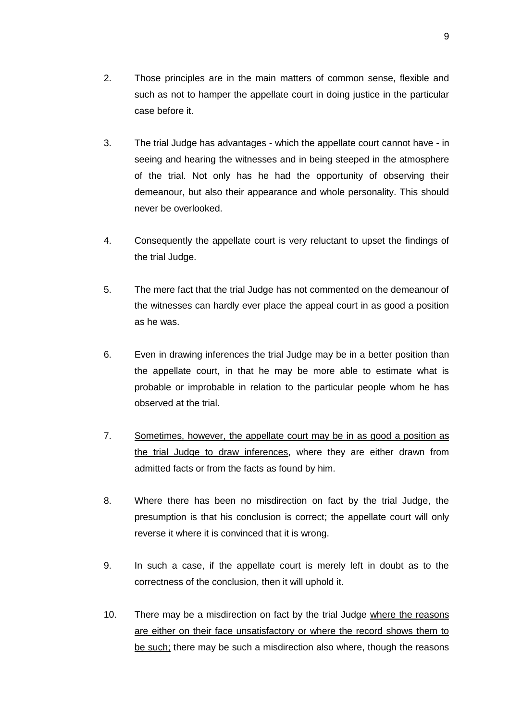- 3. The trial Judge has advantages which the appellate court cannot have in seeing and hearing the witnesses and in being steeped in the atmosphere of the trial. Not only has he had the opportunity of observing their demeanour, but also their appearance and whole personality. This should never be overlooked.
- 4. Consequently the appellate court is very reluctant to upset the findings of the trial Judge.
- 5. The mere fact that the trial Judge has not commented on the demeanour of the witnesses can hardly ever place the appeal court in as good a position as he was.
- 6. Even in drawing inferences the trial Judge may be in a better position than the appellate court, in that he may be more able to estimate what is probable or improbable in relation to the particular people whom he has observed at the trial.
- 7. Sometimes, however, the appellate court may be in as good a position as the trial Judge to draw inferences, where they are either drawn from admitted facts or from the facts as found by him.
- 8. Where there has been no misdirection on fact by the trial Judge, the presumption is that his conclusion is correct; the appellate court will only reverse it where it is convinced that it is wrong.
- 9. In such a case, if the appellate court is merely left in doubt as to the correctness of the conclusion, then it will uphold it.
- 10. There may be a misdirection on fact by the trial Judge where the reasons are either on their face unsatisfactory or where the record shows them to be such; there may be such a misdirection also where, though the reasons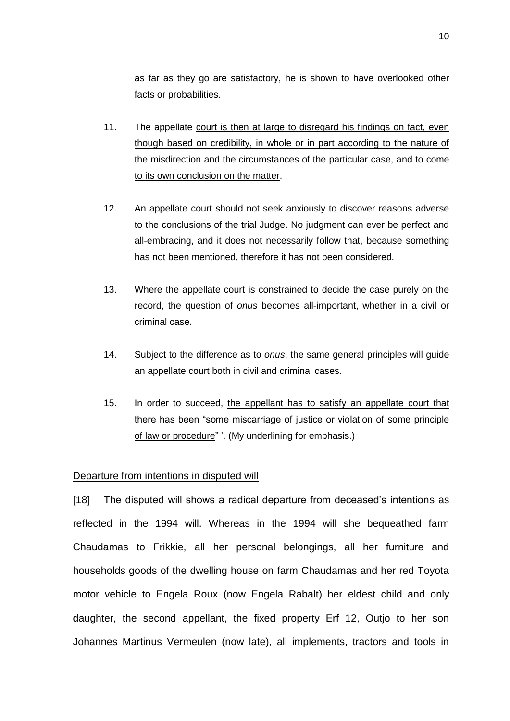as far as they go are satisfactory, he is shown to have overlooked other facts or probabilities.

- 11. The appellate court is then at large to disregard his findings on fact, even though based on credibility, in whole or in part according to the nature of the misdirection and the circumstances of the particular case, and to come to its own conclusion on the matter.
- 12. An appellate court should not seek anxiously to discover reasons adverse to the conclusions of the trial Judge. No judgment can ever be perfect and all-embracing, and it does not necessarily follow that, because something has not been mentioned, therefore it has not been considered.
- 13. Where the appellate court is constrained to decide the case purely on the record, the question of *onus* becomes all-important, whether in a civil or criminal case.
- 14. Subject to the difference as to *onus*, the same general principles will guide an appellate court both in civil and criminal cases.
- 15. In order to succeed, the appellant has to satisfy an appellate court that there has been "some miscarriage of justice or violation of some principle of law or procedure" '. (My underlining for emphasis.)

## Departure from intentions in disputed will

[18] The disputed will shows a radical departure from deceased's intentions as reflected in the 1994 will. Whereas in the 1994 will she bequeathed farm Chaudamas to Frikkie, all her personal belongings, all her furniture and households goods of the dwelling house on farm Chaudamas and her red Toyota motor vehicle to Engela Roux (now Engela Rabalt) her eldest child and only daughter, the second appellant, the fixed property Erf 12, Outjo to her son Johannes Martinus Vermeulen (now late), all implements, tractors and tools in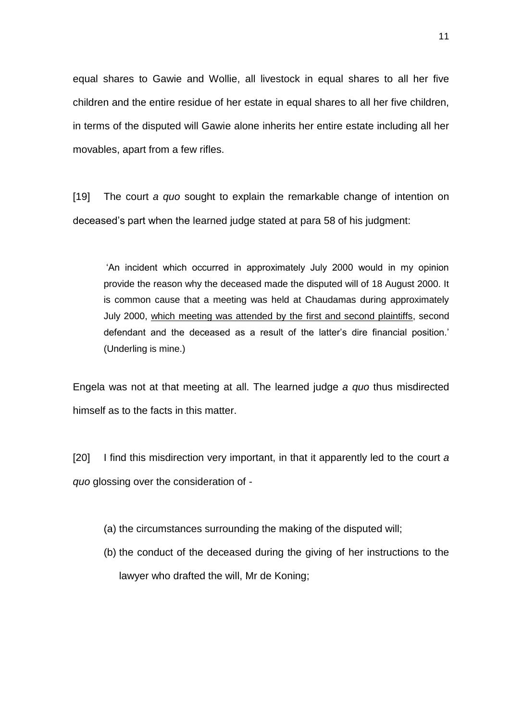equal shares to Gawie and Wollie, all livestock in equal shares to all her five children and the entire residue of her estate in equal shares to all her five children, in terms of the disputed will Gawie alone inherits her entire estate including all her movables, apart from a few rifles.

[19] The court *a quo* sought to explain the remarkable change of intention on deceased's part when the learned judge stated at para 58 of his judgment:

'An incident which occurred in approximately July 2000 would in my opinion provide the reason why the deceased made the disputed will of 18 August 2000. It is common cause that a meeting was held at Chaudamas during approximately July 2000, which meeting was attended by the first and second plaintiffs, second defendant and the deceased as a result of the latter's dire financial position.' (Underling is mine.)

Engela was not at that meeting at all. The learned judge *a quo* thus misdirected himself as to the facts in this matter.

[20] I find this misdirection very important, in that it apparently led to the court *a quo* glossing over the consideration of -

- (a) the circumstances surrounding the making of the disputed will;
- (b) the conduct of the deceased during the giving of her instructions to the lawyer who drafted the will, Mr de Koning;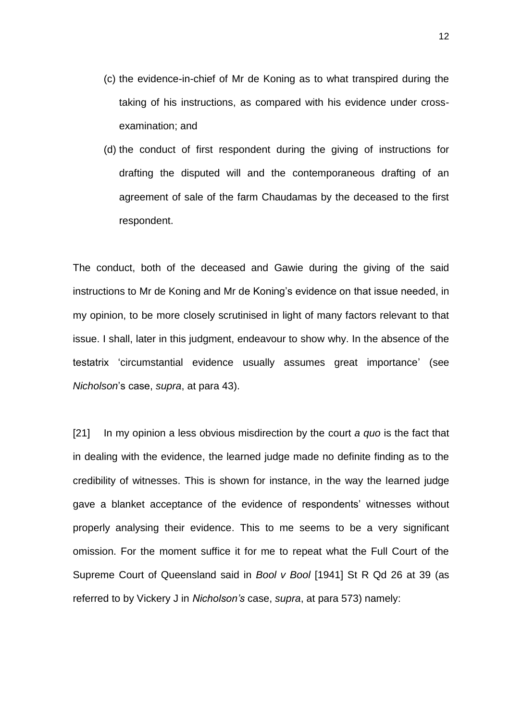- (c) the evidence-in-chief of Mr de Koning as to what transpired during the taking of his instructions, as compared with his evidence under crossexamination; and
- (d) the conduct of first respondent during the giving of instructions for drafting the disputed will and the contemporaneous drafting of an agreement of sale of the farm Chaudamas by the deceased to the first respondent.

The conduct, both of the deceased and Gawie during the giving of the said instructions to Mr de Koning and Mr de Koning's evidence on that issue needed, in my opinion, to be more closely scrutinised in light of many factors relevant to that issue. I shall, later in this judgment, endeavour to show why. In the absence of the testatrix 'circumstantial evidence usually assumes great importance' (see *Nicholson*'s case, *supra*, at para 43).

[21] In my opinion a less obvious misdirection by the court *a quo* is the fact that in dealing with the evidence, the learned judge made no definite finding as to the credibility of witnesses. This is shown for instance, in the way the learned judge gave a blanket acceptance of the evidence of respondents' witnesses without properly analysing their evidence. This to me seems to be a very significant omission. For the moment suffice it for me to repeat what the Full Court of the Supreme Court of Queensland said in *Bool v Bool* [1941] St R Qd 26 at 39 (as referred to by Vickery J in *Nicholson's* case, *supra*, at para 573) namely: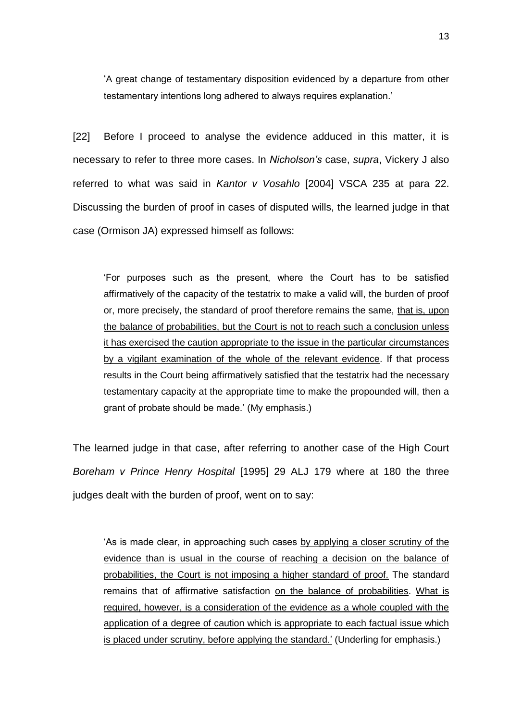'A great change of testamentary disposition evidenced by a departure from other testamentary intentions long adhered to always requires explanation.'

[22] Before I proceed to analyse the evidence adduced in this matter, it is necessary to refer to three more cases. In *Nicholson's* case, *supra*, Vickery J also referred to what was said in *Kantor v Vosahlo* [2004] VSCA 235 at para 22. Discussing the burden of proof in cases of disputed wills, the learned judge in that case (Ormison JA) expressed himself as follows:

'For purposes such as the present, where the Court has to be satisfied affirmatively of the capacity of the testatrix to make a valid will, the burden of proof or, more precisely, the standard of proof therefore remains the same, that is, upon the balance of probabilities, but the Court is not to reach such a conclusion unless it has exercised the caution appropriate to the issue in the particular circumstances by a vigilant examination of the whole of the relevant evidence. If that process results in the Court being affirmatively satisfied that the testatrix had the necessary testamentary capacity at the appropriate time to make the propounded will, then a grant of probate should be made.' (My emphasis.)

The learned judge in that case, after referring to another case of the High Court *Boreham v Prince Henry Hospital* [1995] 29 ALJ 179 where at 180 the three judges dealt with the burden of proof, went on to say:

'As is made clear, in approaching such cases by applying a closer scrutiny of the evidence than is usual in the course of reaching a decision on the balance of probabilities, the Court is not imposing a higher standard of proof. The standard remains that of affirmative satisfaction on the balance of probabilities. What is required, however, is a consideration of the evidence as a whole coupled with the application of a degree of caution which is appropriate to each factual issue which is placed under scrutiny, before applying the standard.' (Underling for emphasis.)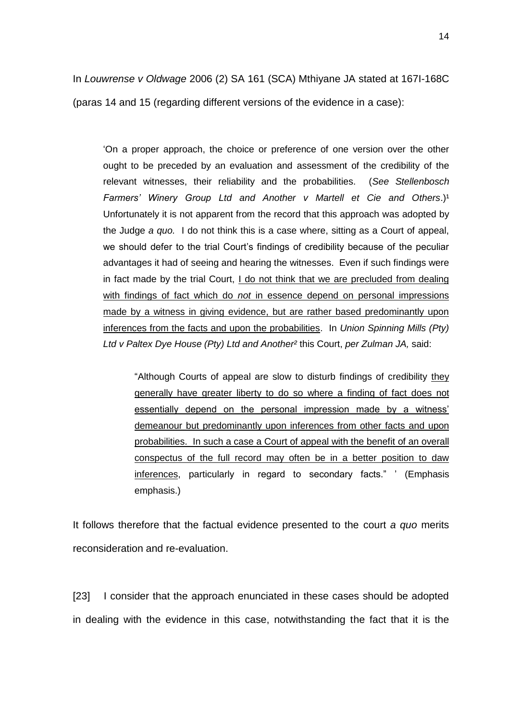14

In *Louwrense v Oldwage* 2006 (2) SA 161 (SCA) Mthiyane JA stated at 167I-168C (paras 14 and 15 (regarding different versions of the evidence in a case):

'On a proper approach, the choice or preference of one version over the other ought to be preceded by an evaluation and assessment of the credibility of the relevant witnesses, their reliability and the probabilities. (*See Stellenbosch Farmers' Winery Group Ltd and Another v Martell et Cie and Others.*)<sup>1</sup> Unfortunately it is not apparent from the record that this approach was adopted by the Judge *a quo.* I do not think this is a case where, sitting as a Court of appeal, we should defer to the trial Court's findings of credibility because of the peculiar advantages it had of seeing and hearing the witnesses. Even if such findings were in fact made by the trial Court, I do not think that we are precluded from dealing with findings of fact which do *not* in essence depend on personal impressions made by a witness in giving evidence, but are rather based predominantly upon inferences from the facts and upon the probabilities. In *Union Spinning Mills (Pty) Ltd v Paltex Dye House (Pty) Ltd and Another²* this Court, *per Zulman JA,* said:

"Although Courts of appeal are slow to disturb findings of credibility they generally have greater liberty to do so where a finding of fact does not essentially depend on the personal impression made by a witness' demeanour but predominantly upon inferences from other facts and upon probabilities. In such a case a Court of appeal with the benefit of an overall conspectus of the full record may often be in a better position to daw inferences, particularly in regard to secondary facts." ' (Emphasis emphasis.)

It follows therefore that the factual evidence presented to the court *a quo* merits reconsideration and re-evaluation.

[23] I consider that the approach enunciated in these cases should be adopted in dealing with the evidence in this case, notwithstanding the fact that it is the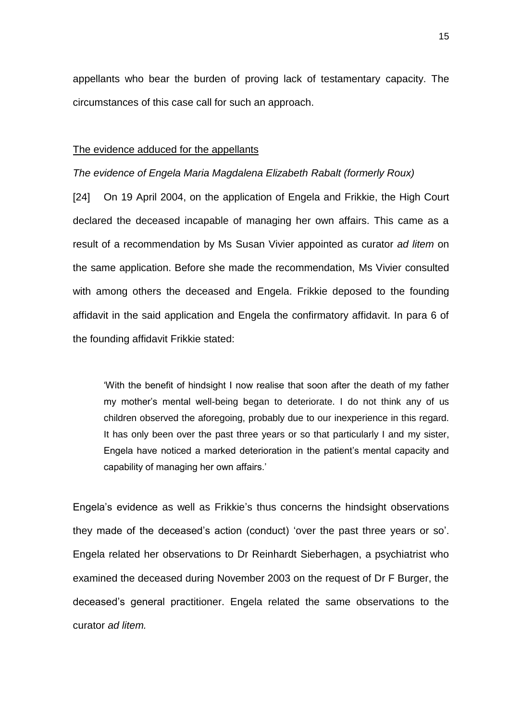appellants who bear the burden of proving lack of testamentary capacity. The circumstances of this case call for such an approach.

#### The evidence adduced for the appellants

### *The evidence of Engela Maria Magdalena Elizabeth Rabalt (formerly Roux)*

[24] On 19 April 2004, on the application of Engela and Frikkie, the High Court declared the deceased incapable of managing her own affairs. This came as a result of a recommendation by Ms Susan Vivier appointed as curator *ad litem* on the same application. Before she made the recommendation, Ms Vivier consulted with among others the deceased and Engela. Frikkie deposed to the founding affidavit in the said application and Engela the confirmatory affidavit. In para 6 of the founding affidavit Frikkie stated:

'With the benefit of hindsight I now realise that soon after the death of my father my mother's mental well-being began to deteriorate. I do not think any of us children observed the aforegoing, probably due to our inexperience in this regard. It has only been over the past three years or so that particularly I and my sister, Engela have noticed a marked deterioration in the patient's mental capacity and capability of managing her own affairs.'

Engela's evidence as well as Frikkie's thus concerns the hindsight observations they made of the deceased's action (conduct) 'over the past three years or so'. Engela related her observations to Dr Reinhardt Sieberhagen, a psychiatrist who examined the deceased during November 2003 on the request of Dr F Burger, the deceased's general practitioner. Engela related the same observations to the curator *ad litem.*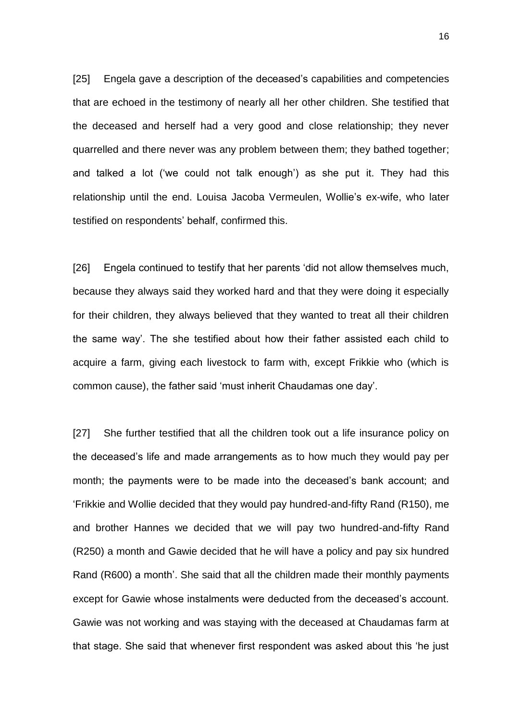[25] Engela gave a description of the deceased's capabilities and competencies that are echoed in the testimony of nearly all her other children. She testified that the deceased and herself had a very good and close relationship; they never quarrelled and there never was any problem between them; they bathed together; and talked a lot ('we could not talk enough') as she put it. They had this relationship until the end. Louisa Jacoba Vermeulen, Wollie's ex-wife, who later testified on respondents' behalf, confirmed this.

[26] Engela continued to testify that her parents 'did not allow themselves much, because they always said they worked hard and that they were doing it especially for their children, they always believed that they wanted to treat all their children the same way'. The she testified about how their father assisted each child to acquire a farm, giving each livestock to farm with, except Frikkie who (which is common cause), the father said 'must inherit Chaudamas one day'.

[27] She further testified that all the children took out a life insurance policy on the deceased's life and made arrangements as to how much they would pay per month; the payments were to be made into the deceased's bank account; and 'Frikkie and Wollie decided that they would pay hundred-and-fifty Rand (R150), me and brother Hannes we decided that we will pay two hundred-and-fifty Rand (R250) a month and Gawie decided that he will have a policy and pay six hundred Rand (R600) a month'. She said that all the children made their monthly payments except for Gawie whose instalments were deducted from the deceased's account. Gawie was not working and was staying with the deceased at Chaudamas farm at that stage. She said that whenever first respondent was asked about this 'he just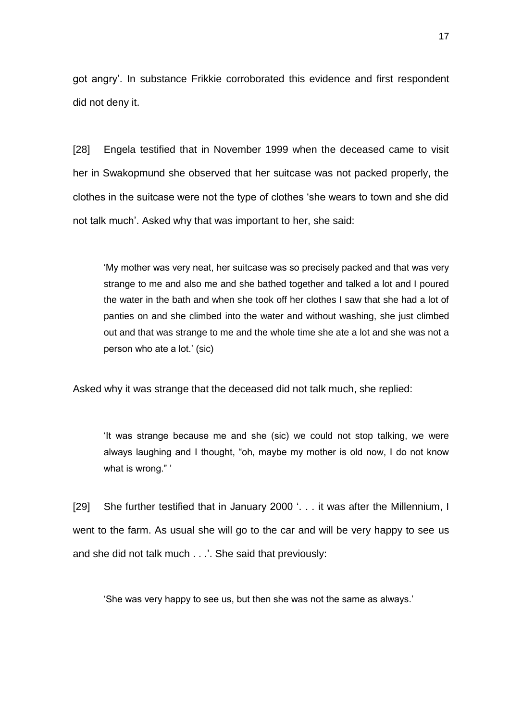got angry'. In substance Frikkie corroborated this evidence and first respondent did not deny it.

[28] Engela testified that in November 1999 when the deceased came to visit her in Swakopmund she observed that her suitcase was not packed properly, the clothes in the suitcase were not the type of clothes 'she wears to town and she did not talk much'. Asked why that was important to her, she said:

'My mother was very neat, her suitcase was so precisely packed and that was very strange to me and also me and she bathed together and talked a lot and I poured the water in the bath and when she took off her clothes I saw that she had a lot of panties on and she climbed into the water and without washing, she just climbed out and that was strange to me and the whole time she ate a lot and she was not a person who ate a lot.' (sic)

Asked why it was strange that the deceased did not talk much, she replied:

'It was strange because me and she (sic) we could not stop talking, we were always laughing and I thought, "oh, maybe my mother is old now, I do not know what is wrong."'

[29] She further testified that in January 2000 '. . . it was after the Millennium, I went to the farm. As usual she will go to the car and will be very happy to see us and she did not talk much . . .'. She said that previously:

'She was very happy to see us, but then she was not the same as always.'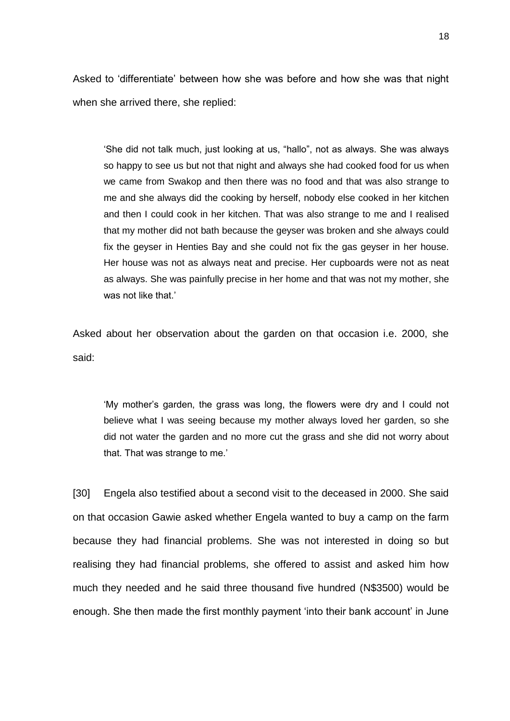Asked to 'differentiate' between how she was before and how she was that night when she arrived there, she replied:

'She did not talk much, just looking at us, "hallo", not as always. She was always so happy to see us but not that night and always she had cooked food for us when we came from Swakop and then there was no food and that was also strange to me and she always did the cooking by herself, nobody else cooked in her kitchen and then I could cook in her kitchen. That was also strange to me and I realised that my mother did not bath because the geyser was broken and she always could fix the geyser in Henties Bay and she could not fix the gas geyser in her house. Her house was not as always neat and precise. Her cupboards were not as neat as always. She was painfully precise in her home and that was not my mother, she was not like that.'

Asked about her observation about the garden on that occasion i.e. 2000, she said:

'My mother's garden, the grass was long, the flowers were dry and I could not believe what I was seeing because my mother always loved her garden, so she did not water the garden and no more cut the grass and she did not worry about that. That was strange to me.'

[30] Engela also testified about a second visit to the deceased in 2000. She said on that occasion Gawie asked whether Engela wanted to buy a camp on the farm because they had financial problems. She was not interested in doing so but realising they had financial problems, she offered to assist and asked him how much they needed and he said three thousand five hundred (N\$3500) would be enough. She then made the first monthly payment 'into their bank account' in June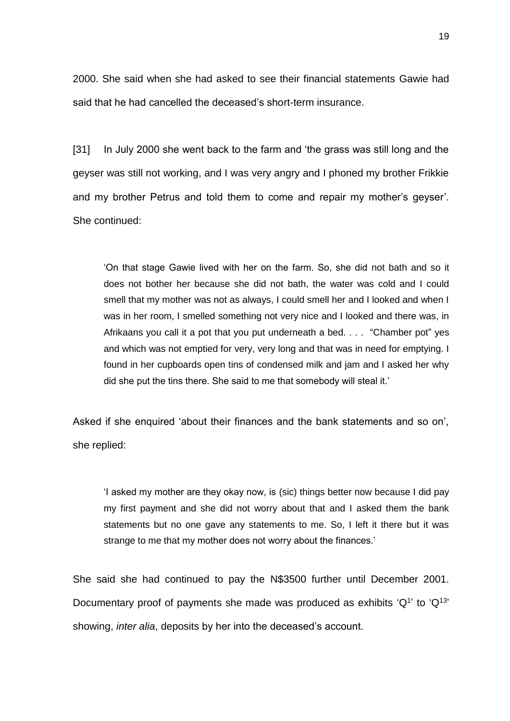2000. She said when she had asked to see their financial statements Gawie had said that he had cancelled the deceased's short-term insurance.

[31] In July 2000 she went back to the farm and 'the grass was still long and the geyser was still not working, and I was very angry and I phoned my brother Frikkie and my brother Petrus and told them to come and repair my mother's geyser'. She continued:

'On that stage Gawie lived with her on the farm. So, she did not bath and so it does not bother her because she did not bath, the water was cold and I could smell that my mother was not as always, I could smell her and I looked and when I was in her room, I smelled something not very nice and I looked and there was, in Afrikaans you call it a pot that you put underneath a bed. . . . "Chamber pot" yes and which was not emptied for very, very long and that was in need for emptying. I found in her cupboards open tins of condensed milk and jam and I asked her why did she put the tins there. She said to me that somebody will steal it.'

Asked if she enquired 'about their finances and the bank statements and so on', she replied:

'I asked my mother are they okay now, is (sic) things better now because I did pay my first payment and she did not worry about that and I asked them the bank statements but no one gave any statements to me. So, I left it there but it was strange to me that my mother does not worry about the finances.'

She said she had continued to pay the N\$3500 further until December 2001. Documentary proof of payments she made was produced as exhibits ' $Q<sup>1</sup>$ ' to ' $Q<sup>13</sup>$ ' showing, *inter alia*, deposits by her into the deceased's account.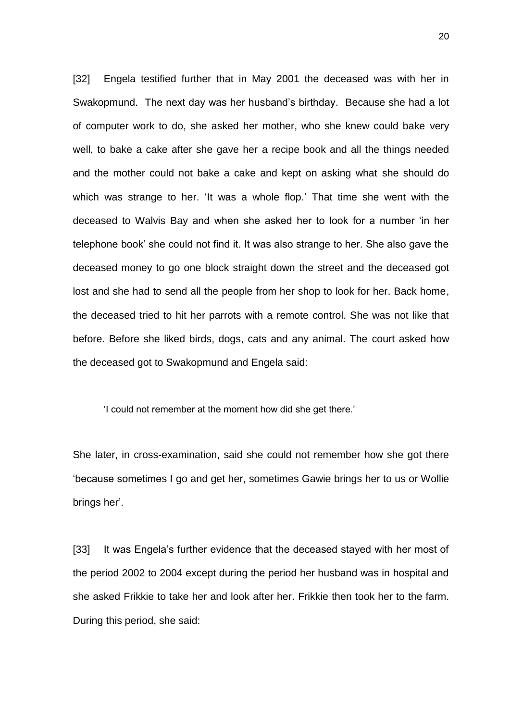[32] Engela testified further that in May 2001 the deceased was with her in Swakopmund. The next day was her husband's birthday. Because she had a lot of computer work to do, she asked her mother, who she knew could bake very well, to bake a cake after she gave her a recipe book and all the things needed and the mother could not bake a cake and kept on asking what she should do which was strange to her. 'It was a whole flop.' That time she went with the deceased to Walvis Bay and when she asked her to look for a number 'in her telephone book' she could not find it. It was also strange to her. She also gave the deceased money to go one block straight down the street and the deceased got lost and she had to send all the people from her shop to look for her. Back home, the deceased tried to hit her parrots with a remote control. She was not like that before. Before she liked birds, dogs, cats and any animal. The court asked how the deceased got to Swakopmund and Engela said:

'I could not remember at the moment how did she get there.'

She later, in cross-examination, said she could not remember how she got there 'because sometimes I go and get her, sometimes Gawie brings her to us or Wollie brings her'.

[33] It was Engela's further evidence that the deceased staved with her most of the period 2002 to 2004 except during the period her husband was in hospital and she asked Frikkie to take her and look after her. Frikkie then took her to the farm. During this period, she said: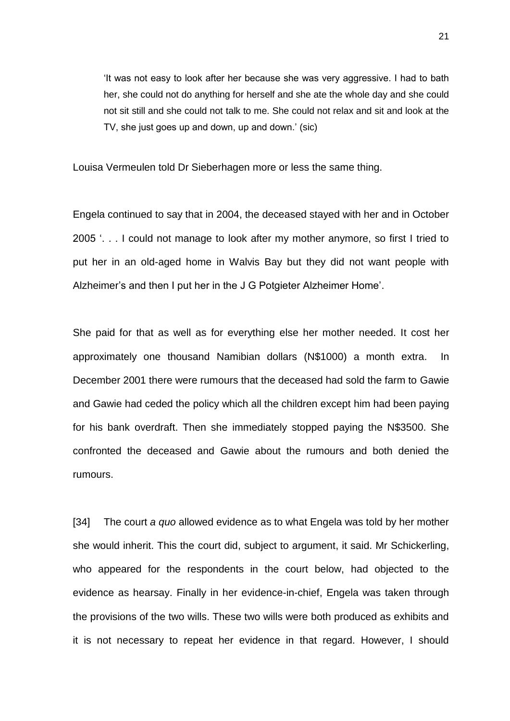'It was not easy to look after her because she was very aggressive. I had to bath her, she could not do anything for herself and she ate the whole day and she could not sit still and she could not talk to me. She could not relax and sit and look at the TV, she just goes up and down, up and down.' (sic)

Louisa Vermeulen told Dr Sieberhagen more or less the same thing.

Engela continued to say that in 2004, the deceased stayed with her and in October 2005 '. . . I could not manage to look after my mother anymore, so first I tried to put her in an old-aged home in Walvis Bay but they did not want people with Alzheimer's and then I put her in the J G Potgieter Alzheimer Home'.

She paid for that as well as for everything else her mother needed. It cost her approximately one thousand Namibian dollars (N\$1000) a month extra. In December 2001 there were rumours that the deceased had sold the farm to Gawie and Gawie had ceded the policy which all the children except him had been paying for his bank overdraft. Then she immediately stopped paying the N\$3500. She confronted the deceased and Gawie about the rumours and both denied the rumours.

[34] The court *a quo* allowed evidence as to what Engela was told by her mother she would inherit. This the court did, subject to argument, it said. Mr Schickerling, who appeared for the respondents in the court below, had objected to the evidence as hearsay. Finally in her evidence-in-chief, Engela was taken through the provisions of the two wills. These two wills were both produced as exhibits and it is not necessary to repeat her evidence in that regard. However, I should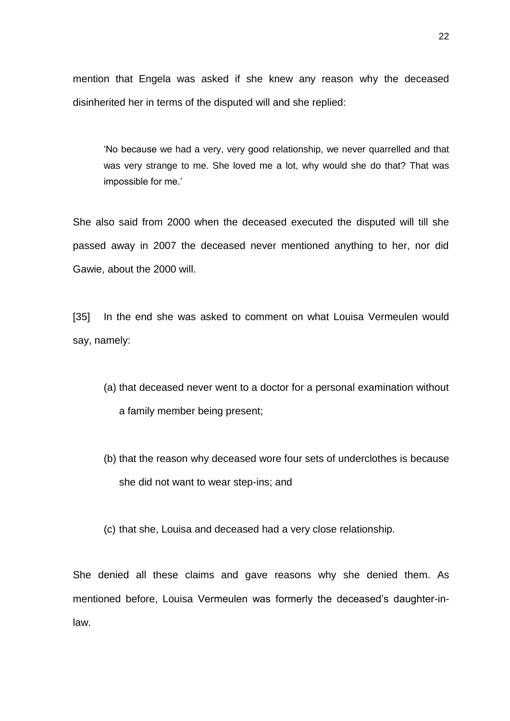mention that Engela was asked if she knew any reason why the deceased disinherited her in terms of the disputed will and she replied:

'No because we had a very, very good relationship, we never quarrelled and that was very strange to me. She loved me a lot, why would she do that? That was impossible for me.'

She also said from 2000 when the deceased executed the disputed will till she passed away in 2007 the deceased never mentioned anything to her, nor did Gawie, about the 2000 will.

[35] In the end she was asked to comment on what Louisa Vermeulen would say, namely:

- (a) that deceased never went to a doctor for a personal examination without a family member being present;
- (b) that the reason why deceased wore four sets of underclothes is because she did not want to wear step-ins; and
- (c) that she, Louisa and deceased had a very close relationship.

She denied all these claims and gave reasons why she denied them. As mentioned before, Louisa Vermeulen was formerly the deceased's daughter-inlaw.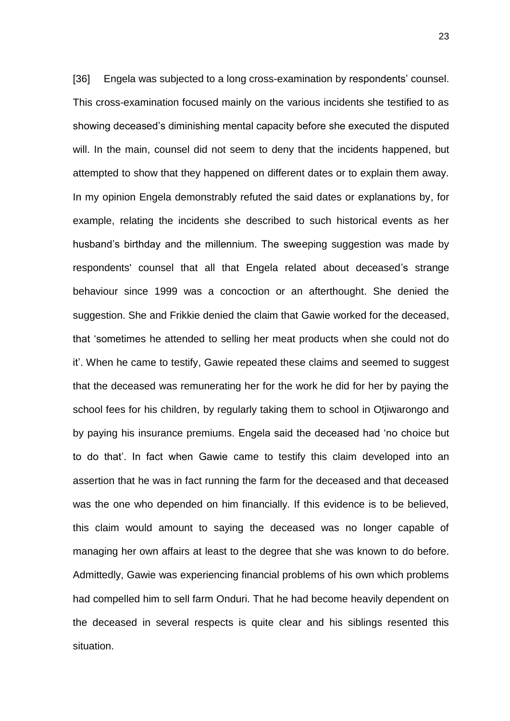[36] Engela was subjected to a long cross-examination by respondents' counsel. This cross-examination focused mainly on the various incidents she testified to as showing deceased's diminishing mental capacity before she executed the disputed will. In the main, counsel did not seem to deny that the incidents happened, but attempted to show that they happened on different dates or to explain them away. In my opinion Engela demonstrably refuted the said dates or explanations by, for example, relating the incidents she described to such historical events as her husband's birthday and the millennium. The sweeping suggestion was made by respondents' counsel that all that Engela related about deceased's strange behaviour since 1999 was a concoction or an afterthought. She denied the suggestion. She and Frikkie denied the claim that Gawie worked for the deceased, that 'sometimes he attended to selling her meat products when she could not do it'. When he came to testify, Gawie repeated these claims and seemed to suggest that the deceased was remunerating her for the work he did for her by paying the school fees for his children, by regularly taking them to school in Otjiwarongo and by paying his insurance premiums. Engela said the deceased had 'no choice but to do that'. In fact when Gawie came to testify this claim developed into an assertion that he was in fact running the farm for the deceased and that deceased was the one who depended on him financially. If this evidence is to be believed, this claim would amount to saying the deceased was no longer capable of managing her own affairs at least to the degree that she was known to do before. Admittedly, Gawie was experiencing financial problems of his own which problems had compelled him to sell farm Onduri. That he had become heavily dependent on the deceased in several respects is quite clear and his siblings resented this situation.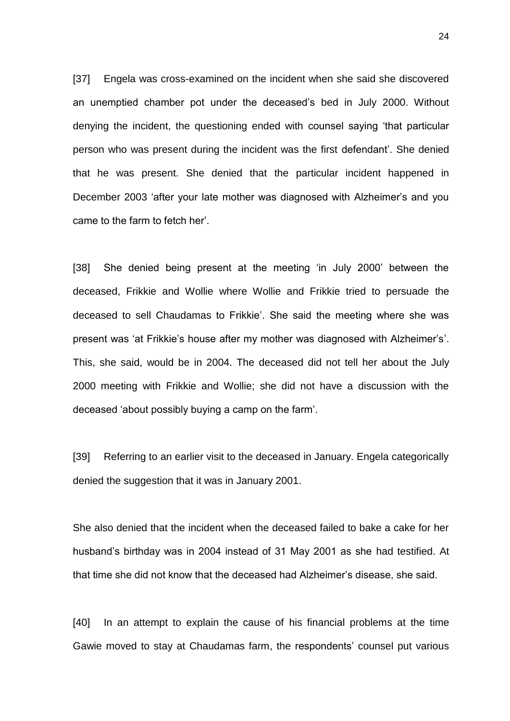[37] Engela was cross-examined on the incident when she said she discovered an unemptied chamber pot under the deceased's bed in July 2000. Without denying the incident, the questioning ended with counsel saying 'that particular person who was present during the incident was the first defendant'. She denied that he was present. She denied that the particular incident happened in December 2003 'after your late mother was diagnosed with Alzheimer's and you came to the farm to fetch her'.

[38] She denied being present at the meeting 'in July 2000' between the deceased, Frikkie and Wollie where Wollie and Frikkie tried to persuade the deceased to sell Chaudamas to Frikkie'. She said the meeting where she was present was 'at Frikkie's house after my mother was diagnosed with Alzheimer's'. This, she said, would be in 2004. The deceased did not tell her about the July 2000 meeting with Frikkie and Wollie; she did not have a discussion with the deceased 'about possibly buying a camp on the farm'.

[39] Referring to an earlier visit to the deceased in January. Engela categorically denied the suggestion that it was in January 2001.

She also denied that the incident when the deceased failed to bake a cake for her husband's birthday was in 2004 instead of 31 May 2001 as she had testified. At that time she did not know that the deceased had Alzheimer's disease, she said.

[40] In an attempt to explain the cause of his financial problems at the time Gawie moved to stay at Chaudamas farm, the respondents' counsel put various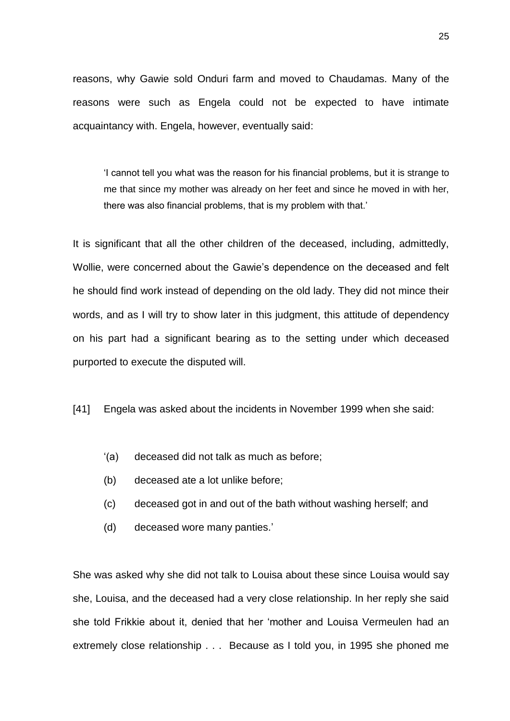reasons, why Gawie sold Onduri farm and moved to Chaudamas. Many of the reasons were such as Engela could not be expected to have intimate acquaintancy with. Engela, however, eventually said:

'I cannot tell you what was the reason for his financial problems, but it is strange to me that since my mother was already on her feet and since he moved in with her, there was also financial problems, that is my problem with that.'

It is significant that all the other children of the deceased, including, admittedly, Wollie, were concerned about the Gawie's dependence on the deceased and felt he should find work instead of depending on the old lady. They did not mince their words, and as I will try to show later in this judgment, this attitude of dependency on his part had a significant bearing as to the setting under which deceased purported to execute the disputed will.

[41] Engela was asked about the incidents in November 1999 when she said:

- '(a) deceased did not talk as much as before;
- (b) deceased ate a lot unlike before;
- (c) deceased got in and out of the bath without washing herself; and
- (d) deceased wore many panties.'

She was asked why she did not talk to Louisa about these since Louisa would say she, Louisa, and the deceased had a very close relationship. In her reply she said she told Frikkie about it, denied that her 'mother and Louisa Vermeulen had an extremely close relationship . . . Because as I told you, in 1995 she phoned me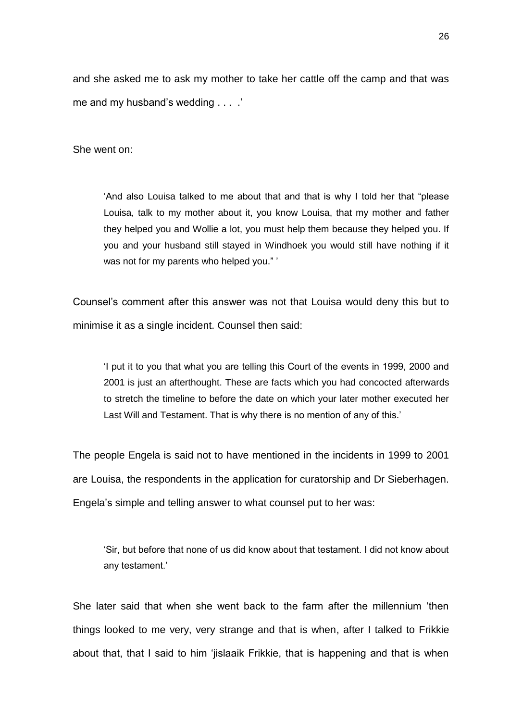and she asked me to ask my mother to take her cattle off the camp and that was me and my husband's wedding . . . .'

She went on:

'And also Louisa talked to me about that and that is why I told her that "please Louisa, talk to my mother about it, you know Louisa, that my mother and father they helped you and Wollie a lot, you must help them because they helped you. If you and your husband still stayed in Windhoek you would still have nothing if it was not for my parents who helped you." '

Counsel's comment after this answer was not that Louisa would deny this but to minimise it as a single incident. Counsel then said:

'I put it to you that what you are telling this Court of the events in 1999, 2000 and 2001 is just an afterthought. These are facts which you had concocted afterwards to stretch the timeline to before the date on which your later mother executed her Last Will and Testament. That is why there is no mention of any of this.'

The people Engela is said not to have mentioned in the incidents in 1999 to 2001 are Louisa, the respondents in the application for curatorship and Dr Sieberhagen. Engela's simple and telling answer to what counsel put to her was:

'Sir, but before that none of us did know about that testament. I did not know about any testament.'

She later said that when she went back to the farm after the millennium 'then things looked to me very, very strange and that is when, after I talked to Frikkie about that, that I said to him 'jislaaik Frikkie, that is happening and that is when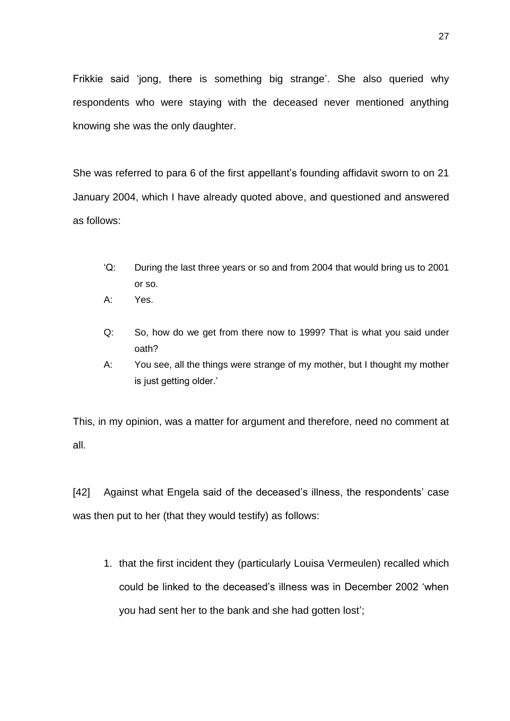Frikkie said 'jong, there is something big strange'. She also queried why respondents who were staying with the deceased never mentioned anything knowing she was the only daughter.

She was referred to para 6 of the first appellant's founding affidavit sworn to on 21 January 2004, which I have already quoted above, and questioned and answered as follows:

- 'Q: During the last three years or so and from 2004 that would bring us to 2001 or so.
- A: Yes.
- Q: So, how do we get from there now to 1999? That is what you said under oath?
- A: You see, all the things were strange of my mother, but I thought my mother is just getting older.'

This, in my opinion, was a matter for argument and therefore, need no comment at all.

[42] Against what Engela said of the deceased's illness, the respondents' case was then put to her (that they would testify) as follows:

1. that the first incident they (particularly Louisa Vermeulen) recalled which could be linked to the deceased's illness was in December 2002 'when you had sent her to the bank and she had gotten lost';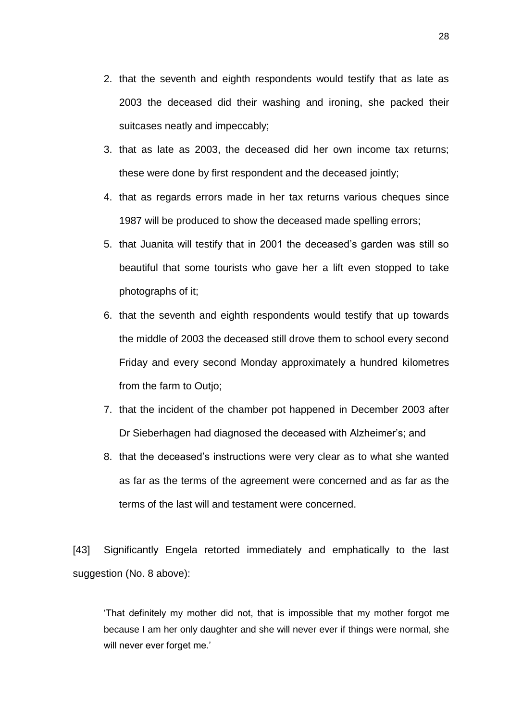- 2. that the seventh and eighth respondents would testify that as late as 2003 the deceased did their washing and ironing, she packed their suitcases neatly and impeccably;
- 3. that as late as 2003, the deceased did her own income tax returns; these were done by first respondent and the deceased jointly;
- 4. that as regards errors made in her tax returns various cheques since 1987 will be produced to show the deceased made spelling errors;
- 5. that Juanita will testify that in 2001 the deceased's garden was still so beautiful that some tourists who gave her a lift even stopped to take photographs of it;
- 6. that the seventh and eighth respondents would testify that up towards the middle of 2003 the deceased still drove them to school every second Friday and every second Monday approximately a hundred kilometres from the farm to Outjo;
- 7. that the incident of the chamber pot happened in December 2003 after Dr Sieberhagen had diagnosed the deceased with Alzheimer's; and
- 8. that the deceased's instructions were very clear as to what she wanted as far as the terms of the agreement were concerned and as far as the terms of the last will and testament were concerned.

[43] Significantly Engela retorted immediately and emphatically to the last suggestion (No. 8 above):

'That definitely my mother did not, that is impossible that my mother forgot me because I am her only daughter and she will never ever if things were normal, she will never ever forget me.'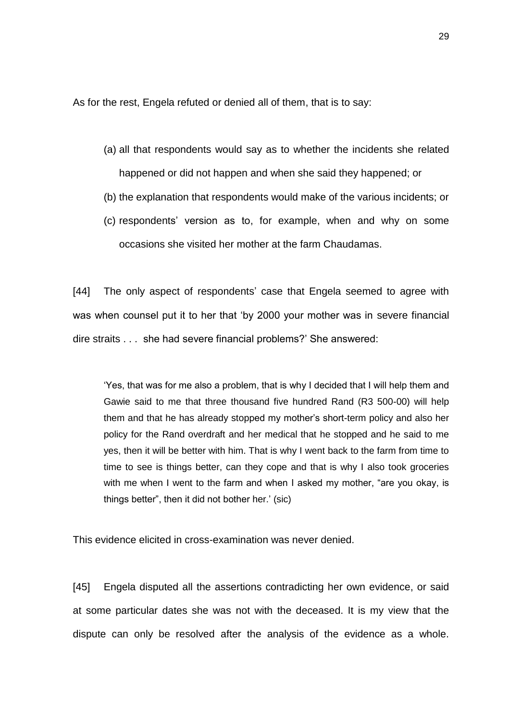As for the rest, Engela refuted or denied all of them, that is to say:

- (a) all that respondents would say as to whether the incidents she related happened or did not happen and when she said they happened; or
- (b) the explanation that respondents would make of the various incidents; or
- (c) respondents' version as to, for example, when and why on some occasions she visited her mother at the farm Chaudamas.

[44] The only aspect of respondents' case that Engela seemed to agree with was when counsel put it to her that 'by 2000 your mother was in severe financial dire straits . . . she had severe financial problems?' She answered:

'Yes, that was for me also a problem, that is why I decided that I will help them and Gawie said to me that three thousand five hundred Rand (R3 500-00) will help them and that he has already stopped my mother's short-term policy and also her policy for the Rand overdraft and her medical that he stopped and he said to me yes, then it will be better with him. That is why I went back to the farm from time to time to see is things better, can they cope and that is why I also took groceries with me when I went to the farm and when I asked my mother, "are you okay, is things better", then it did not bother her.' (sic)

This evidence elicited in cross-examination was never denied.

[45] Engela disputed all the assertions contradicting her own evidence, or said at some particular dates she was not with the deceased. It is my view that the dispute can only be resolved after the analysis of the evidence as a whole.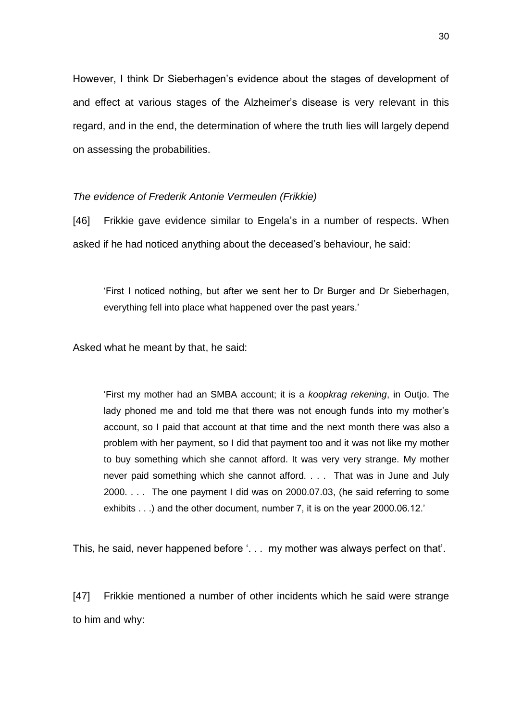However, I think Dr Sieberhagen's evidence about the stages of development of and effect at various stages of the Alzheimer's disease is very relevant in this regard, and in the end, the determination of where the truth lies will largely depend on assessing the probabilities.

### *The evidence of Frederik Antonie Vermeulen (Frikkie)*

[46] Frikkie gave evidence similar to Engela's in a number of respects. When asked if he had noticed anything about the deceased's behaviour, he said:

'First I noticed nothing, but after we sent her to Dr Burger and Dr Sieberhagen, everything fell into place what happened over the past years.'

Asked what he meant by that, he said:

'First my mother had an SMBA account; it is a *koopkrag rekening*, in Outjo. The lady phoned me and told me that there was not enough funds into my mother's account, so I paid that account at that time and the next month there was also a problem with her payment, so I did that payment too and it was not like my mother to buy something which she cannot afford. It was very very strange. My mother never paid something which she cannot afford. . . . That was in June and July 2000. . . . The one payment I did was on 2000.07.03, (he said referring to some exhibits . . .) and the other document, number 7, it is on the year 2000.06.12.'

This, he said, never happened before '. . . my mother was always perfect on that'.

[47] Frikkie mentioned a number of other incidents which he said were strange to him and why: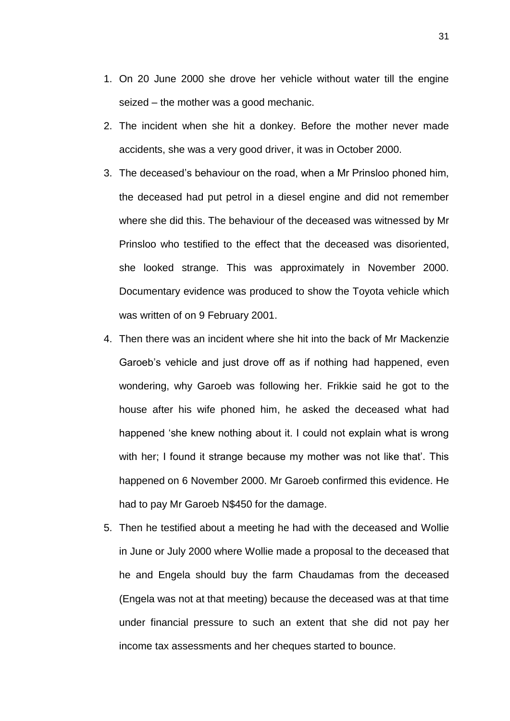- 1. On 20 June 2000 she drove her vehicle without water till the engine seized – the mother was a good mechanic.
- 2. The incident when she hit a donkey. Before the mother never made accidents, she was a very good driver, it was in October 2000.
- 3. The deceased's behaviour on the road, when a Mr Prinsloo phoned him, the deceased had put petrol in a diesel engine and did not remember where she did this. The behaviour of the deceased was witnessed by Mr Prinsloo who testified to the effect that the deceased was disoriented, she looked strange. This was approximately in November 2000. Documentary evidence was produced to show the Toyota vehicle which was written of on 9 February 2001.
- 4. Then there was an incident where she hit into the back of Mr Mackenzie Garoeb's vehicle and just drove off as if nothing had happened, even wondering, why Garoeb was following her. Frikkie said he got to the house after his wife phoned him, he asked the deceased what had happened 'she knew nothing about it. I could not explain what is wrong with her; I found it strange because my mother was not like that'. This happened on 6 November 2000. Mr Garoeb confirmed this evidence. He had to pay Mr Garoeb N\$450 for the damage.
- 5. Then he testified about a meeting he had with the deceased and Wollie in June or July 2000 where Wollie made a proposal to the deceased that he and Engela should buy the farm Chaudamas from the deceased (Engela was not at that meeting) because the deceased was at that time under financial pressure to such an extent that she did not pay her income tax assessments and her cheques started to bounce.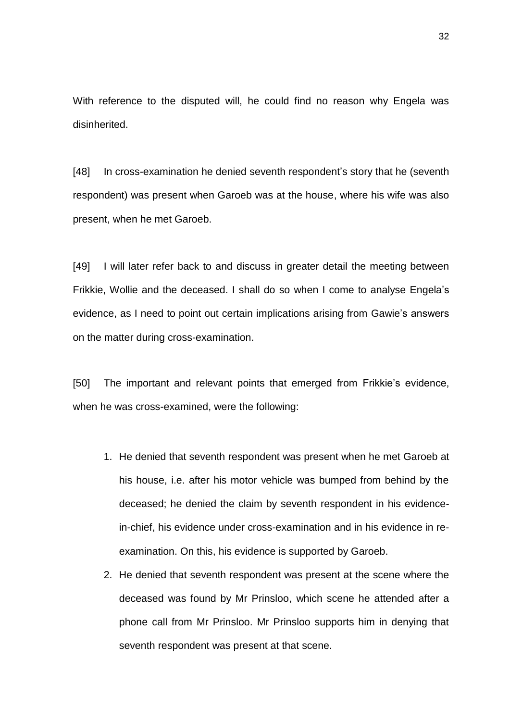With reference to the disputed will, he could find no reason why Engela was disinherited.

[48] In cross-examination he denied seventh respondent's story that he (seventh respondent) was present when Garoeb was at the house, where his wife was also present, when he met Garoeb.

[49] I will later refer back to and discuss in greater detail the meeting between Frikkie, Wollie and the deceased. I shall do so when I come to analyse Engela's evidence, as I need to point out certain implications arising from Gawie's answers on the matter during cross-examination.

[50] The important and relevant points that emerged from Frikkie's evidence, when he was cross-examined, were the following:

- 1. He denied that seventh respondent was present when he met Garoeb at his house, i.e. after his motor vehicle was bumped from behind by the deceased; he denied the claim by seventh respondent in his evidencein-chief, his evidence under cross-examination and in his evidence in reexamination. On this, his evidence is supported by Garoeb.
- 2. He denied that seventh respondent was present at the scene where the deceased was found by Mr Prinsloo, which scene he attended after a phone call from Mr Prinsloo. Mr Prinsloo supports him in denying that seventh respondent was present at that scene.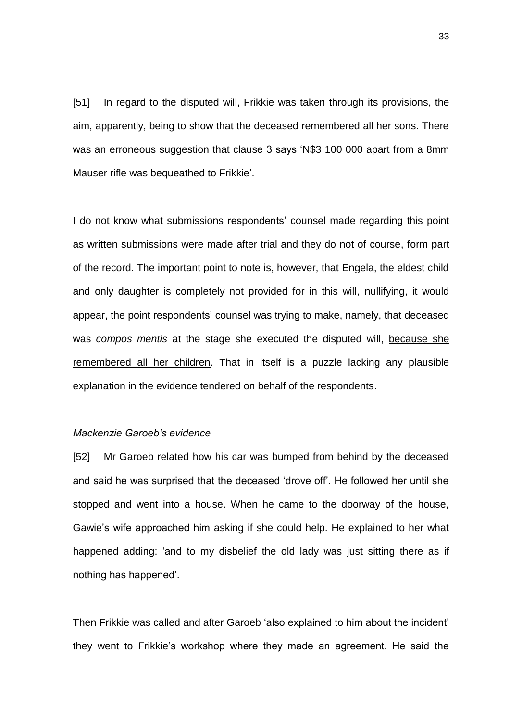[51] In regard to the disputed will, Frikkie was taken through its provisions, the aim, apparently, being to show that the deceased remembered all her sons. There was an erroneous suggestion that clause 3 says 'N\$3 100 000 apart from a 8mm Mauser rifle was bequeathed to Frikkie'.

I do not know what submissions respondents' counsel made regarding this point as written submissions were made after trial and they do not of course, form part of the record. The important point to note is, however, that Engela, the eldest child and only daughter is completely not provided for in this will, nullifying, it would appear, the point respondents' counsel was trying to make, namely, that deceased was *compos mentis* at the stage she executed the disputed will, because she remembered all her children. That in itself is a puzzle lacking any plausible explanation in the evidence tendered on behalf of the respondents.

#### *Mackenzie Garoeb's evidence*

[52] Mr Garoeb related how his car was bumped from behind by the deceased and said he was surprised that the deceased 'drove off'. He followed her until she stopped and went into a house. When he came to the doorway of the house, Gawie's wife approached him asking if she could help. He explained to her what happened adding: 'and to my disbelief the old lady was just sitting there as if nothing has happened'.

Then Frikkie was called and after Garoeb 'also explained to him about the incident' they went to Frikkie's workshop where they made an agreement. He said the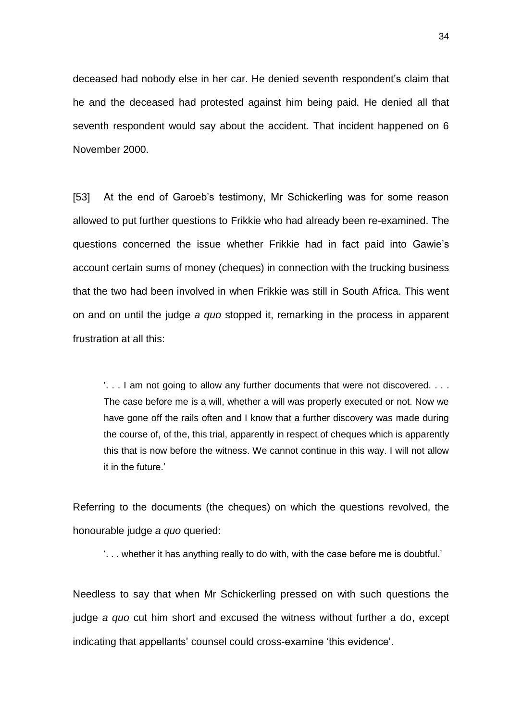deceased had nobody else in her car. He denied seventh respondent's claim that he and the deceased had protested against him being paid. He denied all that seventh respondent would say about the accident. That incident happened on 6 November 2000.

[53] At the end of Garoeb's testimony, Mr Schickerling was for some reason allowed to put further questions to Frikkie who had already been re-examined. The questions concerned the issue whether Frikkie had in fact paid into Gawie's account certain sums of money (cheques) in connection with the trucking business that the two had been involved in when Frikkie was still in South Africa. This went on and on until the judge *a quo* stopped it, remarking in the process in apparent frustration at all this:

'. . . I am not going to allow any further documents that were not discovered. . . . The case before me is a will, whether a will was properly executed or not. Now we have gone off the rails often and I know that a further discovery was made during the course of, of the, this trial, apparently in respect of cheques which is apparently this that is now before the witness. We cannot continue in this way. I will not allow it in the future.'

Referring to the documents (the cheques) on which the questions revolved, the honourable judge *a quo* queried:

'. . . whether it has anything really to do with, with the case before me is doubtful.'

Needless to say that when Mr Schickerling pressed on with such questions the judge *a quo* cut him short and excused the witness without further a do, except indicating that appellants' counsel could cross-examine 'this evidence'.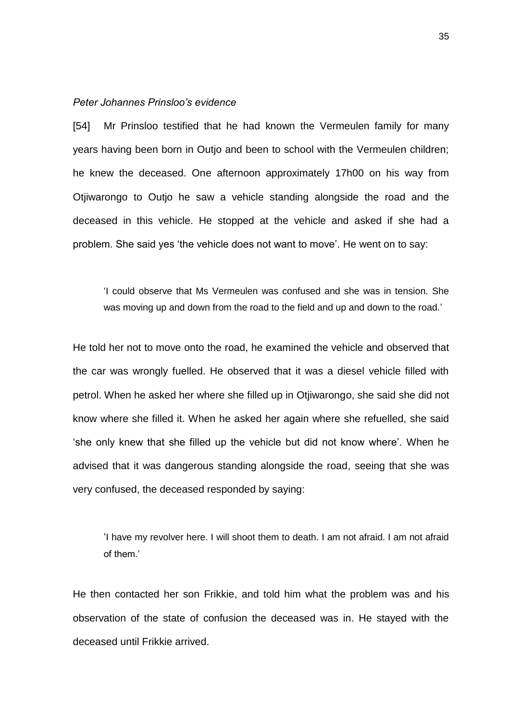#### *Peter Johannes Prinsloo's evidence*

[54] Mr Prinsloo testified that he had known the Vermeulen family for many years having been born in Outjo and been to school with the Vermeulen children; he knew the deceased. One afternoon approximately 17h00 on his way from Otjiwarongo to Outjo he saw a vehicle standing alongside the road and the deceased in this vehicle. He stopped at the vehicle and asked if she had a problem. She said yes 'the vehicle does not want to move'. He went on to say:

'I could observe that Ms Vermeulen was confused and she was in tension. She was moving up and down from the road to the field and up and down to the road.'

He told her not to move onto the road, he examined the vehicle and observed that the car was wrongly fuelled. He observed that it was a diesel vehicle filled with petrol. When he asked her where she filled up in Otjiwarongo, she said she did not know where she filled it. When he asked her again where she refuelled, she said 'she only knew that she filled up the vehicle but did not know where'. When he advised that it was dangerous standing alongside the road, seeing that she was very confused, the deceased responded by saying:

'I have my revolver here. I will shoot them to death. I am not afraid. I am not afraid of them.'

He then contacted her son Frikkie, and told him what the problem was and his observation of the state of confusion the deceased was in. He stayed with the deceased until Frikkie arrived.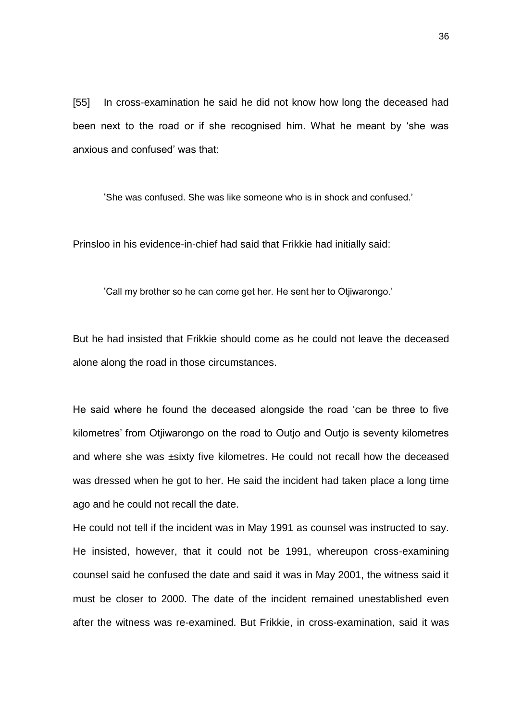[55] In cross-examination he said he did not know how long the deceased had been next to the road or if she recognised him. What he meant by 'she was anxious and confused' was that:

'She was confused. She was like someone who is in shock and confused.'

Prinsloo in his evidence-in-chief had said that Frikkie had initially said:

'Call my brother so he can come get her. He sent her to Otjiwarongo.'

But he had insisted that Frikkie should come as he could not leave the deceased alone along the road in those circumstances.

He said where he found the deceased alongside the road 'can be three to five kilometres' from Otjiwarongo on the road to Outjo and Outjo is seventy kilometres and where she was ±sixty five kilometres. He could not recall how the deceased was dressed when he got to her. He said the incident had taken place a long time ago and he could not recall the date.

He could not tell if the incident was in May 1991 as counsel was instructed to say. He insisted, however, that it could not be 1991, whereupon cross-examining counsel said he confused the date and said it was in May 2001, the witness said it must be closer to 2000. The date of the incident remained unestablished even after the witness was re-examined. But Frikkie, in cross-examination, said it was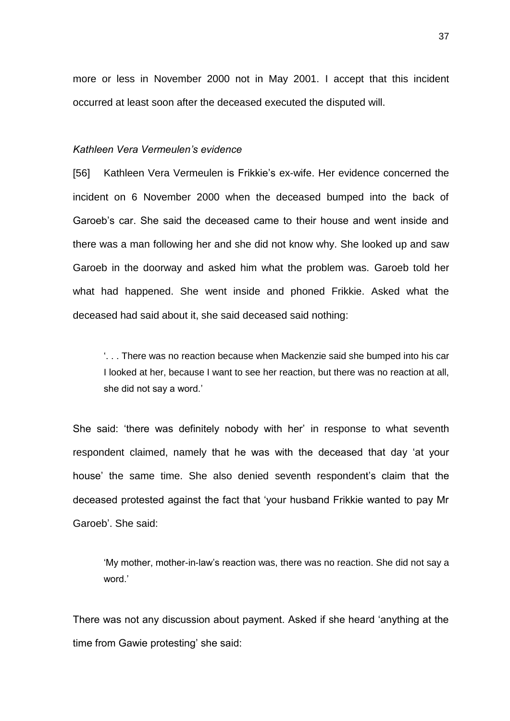more or less in November 2000 not in May 2001. I accept that this incident occurred at least soon after the deceased executed the disputed will.

## *Kathleen Vera Vermeulen's evidence*

[56] Kathleen Vera Vermeulen is Frikkie's ex-wife. Her evidence concerned the incident on 6 November 2000 when the deceased bumped into the back of Garoeb's car. She said the deceased came to their house and went inside and there was a man following her and she did not know why. She looked up and saw Garoeb in the doorway and asked him what the problem was. Garoeb told her what had happened. She went inside and phoned Frikkie. Asked what the deceased had said about it, she said deceased said nothing:

'. . . There was no reaction because when Mackenzie said she bumped into his car I looked at her, because I want to see her reaction, but there was no reaction at all, she did not say a word.'

She said: 'there was definitely nobody with her' in response to what seventh respondent claimed, namely that he was with the deceased that day 'at your house' the same time. She also denied seventh respondent's claim that the deceased protested against the fact that 'your husband Frikkie wanted to pay Mr Garoeb'. She said:

'My mother, mother-in-law's reaction was, there was no reaction. She did not say a word<sup>'</sup>

There was not any discussion about payment. Asked if she heard 'anything at the time from Gawie protesting' she said: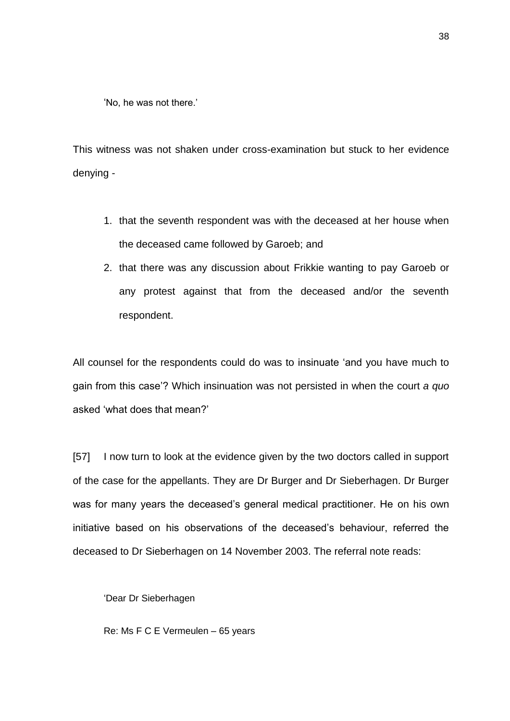'No, he was not there.'

This witness was not shaken under cross-examination but stuck to her evidence denying -

- 1. that the seventh respondent was with the deceased at her house when the deceased came followed by Garoeb; and
- 2. that there was any discussion about Frikkie wanting to pay Garoeb or any protest against that from the deceased and/or the seventh respondent.

All counsel for the respondents could do was to insinuate 'and you have much to gain from this case'? Which insinuation was not persisted in when the court *a quo* asked 'what does that mean?'

[57] I now turn to look at the evidence given by the two doctors called in support of the case for the appellants. They are Dr Burger and Dr Sieberhagen. Dr Burger was for many years the deceased's general medical practitioner. He on his own initiative based on his observations of the deceased's behaviour, referred the deceased to Dr Sieberhagen on 14 November 2003. The referral note reads:

'Dear Dr Sieberhagen

Re: Ms F C E Vermeulen – 65 years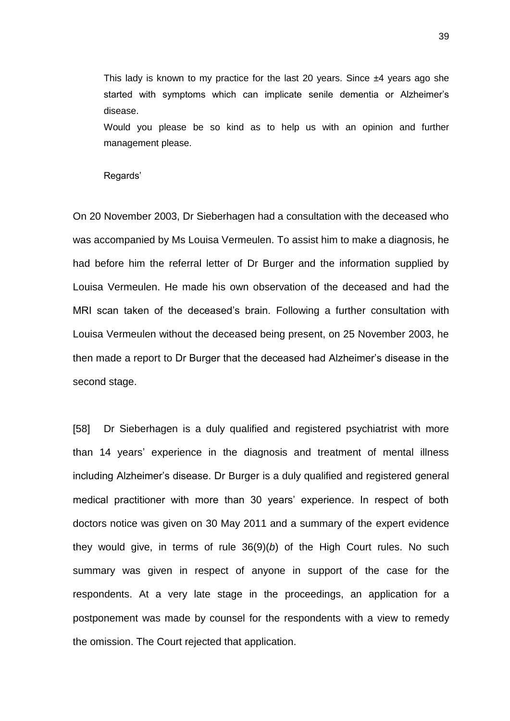This lady is known to my practice for the last 20 years. Since  $\pm 4$  years ago she started with symptoms which can implicate senile dementia or Alzheimer's disease.

Would you please be so kind as to help us with an opinion and further management please.

Regards'

On 20 November 2003, Dr Sieberhagen had a consultation with the deceased who was accompanied by Ms Louisa Vermeulen. To assist him to make a diagnosis, he had before him the referral letter of Dr Burger and the information supplied by Louisa Vermeulen. He made his own observation of the deceased and had the MRI scan taken of the deceased's brain. Following a further consultation with Louisa Vermeulen without the deceased being present, on 25 November 2003, he then made a report to Dr Burger that the deceased had Alzheimer's disease in the second stage.

[58] Dr Sieberhagen is a duly qualified and registered psychiatrist with more than 14 years' experience in the diagnosis and treatment of mental illness including Alzheimer's disease. Dr Burger is a duly qualified and registered general medical practitioner with more than 30 years' experience. In respect of both doctors notice was given on 30 May 2011 and a summary of the expert evidence they would give, in terms of rule 36(9)(*b*) of the High Court rules. No such summary was given in respect of anyone in support of the case for the respondents. At a very late stage in the proceedings, an application for a postponement was made by counsel for the respondents with a view to remedy the omission. The Court rejected that application.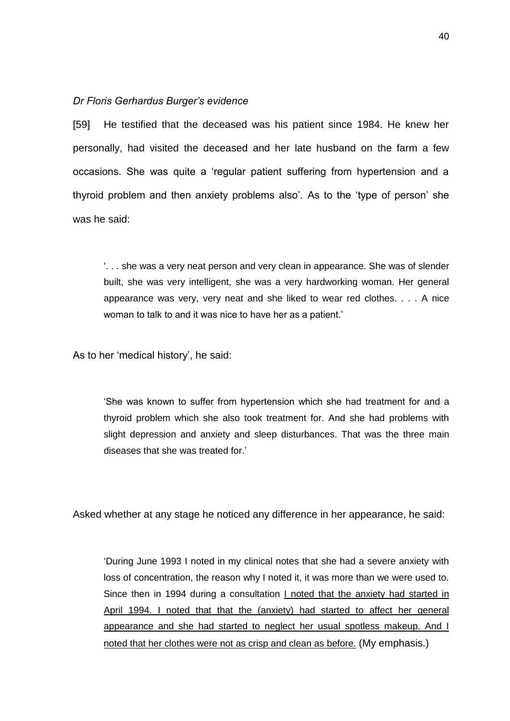## *Dr Floris Gerhardus Burger's evidence*

[59] He testified that the deceased was his patient since 1984. He knew her personally, had visited the deceased and her late husband on the farm a few occasions. She was quite a 'regular patient suffering from hypertension and a thyroid problem and then anxiety problems also'. As to the 'type of person' she was he said:

'. . . she was a very neat person and very clean in appearance. She was of slender built, she was very intelligent, she was a very hardworking woman. Her general appearance was very, very neat and she liked to wear red clothes. . . . A nice woman to talk to and it was nice to have her as a patient.'

As to her 'medical history', he said:

'She was known to suffer from hypertension which she had treatment for and a thyroid problem which she also took treatment for. And she had problems with slight depression and anxiety and sleep disturbances. That was the three main diseases that she was treated for.'

Asked whether at any stage he noticed any difference in her appearance, he said:

'During June 1993 I noted in my clinical notes that she had a severe anxiety with loss of concentration, the reason why I noted it, it was more than we were used to. Since then in 1994 during a consultation I noted that the anxiety had started in April 1994. I noted that that the (anxiety) had started to affect her general appearance and she had started to neglect her usual spotless makeup. And I noted that her clothes were not as crisp and clean as before. (My emphasis.)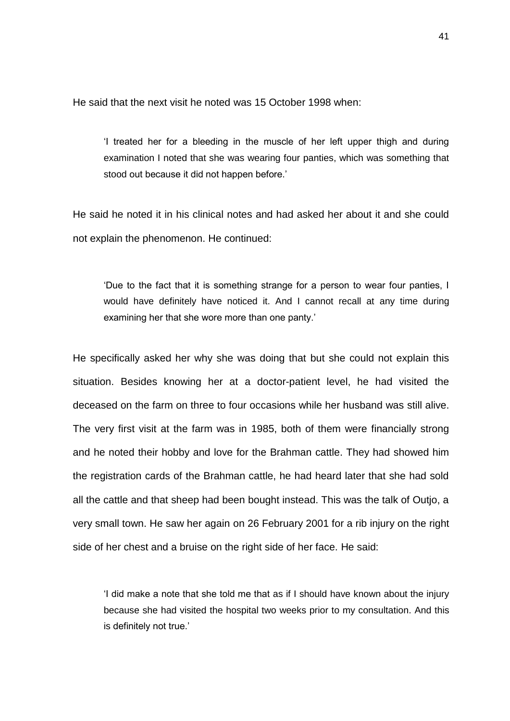He said that the next visit he noted was 15 October 1998 when:

'I treated her for a bleeding in the muscle of her left upper thigh and during examination I noted that she was wearing four panties, which was something that stood out because it did not happen before.'

He said he noted it in his clinical notes and had asked her about it and she could not explain the phenomenon. He continued:

'Due to the fact that it is something strange for a person to wear four panties, I would have definitely have noticed it. And I cannot recall at any time during examining her that she wore more than one panty.'

He specifically asked her why she was doing that but she could not explain this situation. Besides knowing her at a doctor-patient level, he had visited the deceased on the farm on three to four occasions while her husband was still alive. The very first visit at the farm was in 1985, both of them were financially strong and he noted their hobby and love for the Brahman cattle. They had showed him the registration cards of the Brahman cattle, he had heard later that she had sold all the cattle and that sheep had been bought instead. This was the talk of Outjo, a very small town. He saw her again on 26 February 2001 for a rib injury on the right side of her chest and a bruise on the right side of her face. He said:

'I did make a note that she told me that as if I should have known about the injury because she had visited the hospital two weeks prior to my consultation. And this is definitely not true.'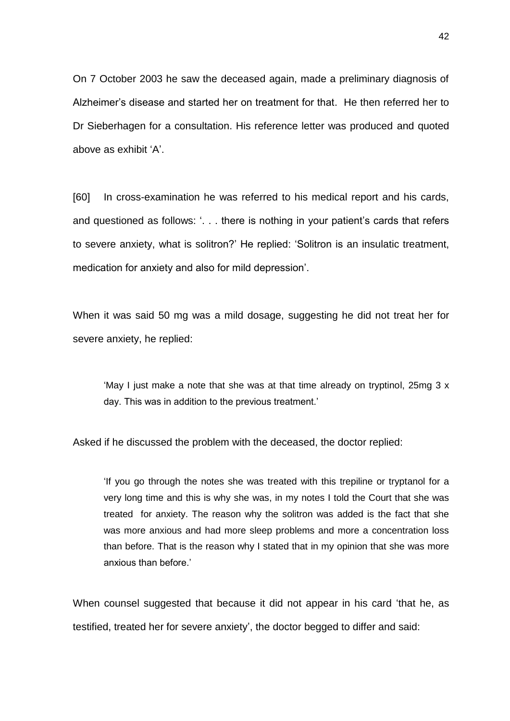On 7 October 2003 he saw the deceased again, made a preliminary diagnosis of Alzheimer's disease and started her on treatment for that. He then referred her to Dr Sieberhagen for a consultation. His reference letter was produced and quoted above as exhibit 'A'.

[60] In cross-examination he was referred to his medical report and his cards, and questioned as follows: '. . . there is nothing in your patient's cards that refers to severe anxiety, what is solitron?' He replied: 'Solitron is an insulatic treatment, medication for anxiety and also for mild depression'.

When it was said 50 mg was a mild dosage, suggesting he did not treat her for severe anxiety, he replied:

'May I just make a note that she was at that time already on tryptinol, 25mg 3 x day. This was in addition to the previous treatment.'

Asked if he discussed the problem with the deceased, the doctor replied:

'If you go through the notes she was treated with this trepiline or tryptanol for a very long time and this is why she was, in my notes I told the Court that she was treated for anxiety. The reason why the solitron was added is the fact that she was more anxious and had more sleep problems and more a concentration loss than before. That is the reason why I stated that in my opinion that she was more anxious than before.'

When counsel suggested that because it did not appear in his card 'that he, as testified, treated her for severe anxiety', the doctor begged to differ and said: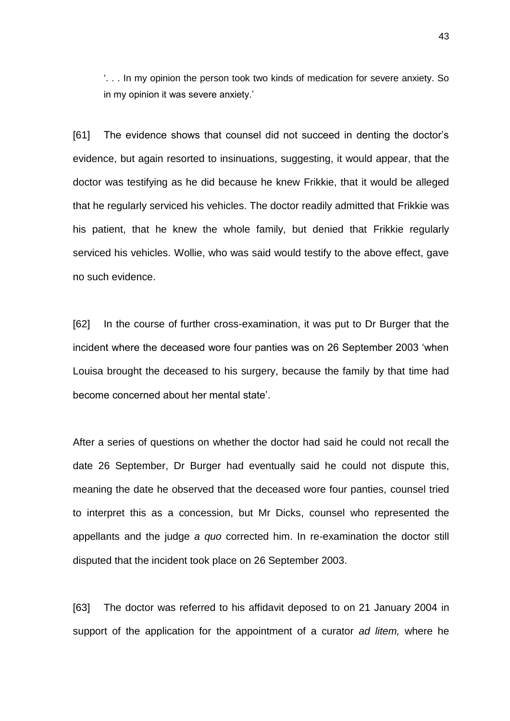'. . . In my opinion the person took two kinds of medication for severe anxiety. So in my opinion it was severe anxiety.'

[61] The evidence shows that counsel did not succeed in denting the doctor's evidence, but again resorted to insinuations, suggesting, it would appear, that the doctor was testifying as he did because he knew Frikkie, that it would be alleged that he regularly serviced his vehicles. The doctor readily admitted that Frikkie was his patient, that he knew the whole family, but denied that Frikkie regularly serviced his vehicles. Wollie, who was said would testify to the above effect, gave no such evidence.

[62] In the course of further cross-examination, it was put to Dr Burger that the incident where the deceased wore four panties was on 26 September 2003 'when Louisa brought the deceased to his surgery, because the family by that time had become concerned about her mental state'.

After a series of questions on whether the doctor had said he could not recall the date 26 September, Dr Burger had eventually said he could not dispute this, meaning the date he observed that the deceased wore four panties, counsel tried to interpret this as a concession, but Mr Dicks, counsel who represented the appellants and the judge *a quo* corrected him. In re-examination the doctor still disputed that the incident took place on 26 September 2003.

[63] The doctor was referred to his affidavit deposed to on 21 January 2004 in support of the application for the appointment of a curator *ad litem,* where he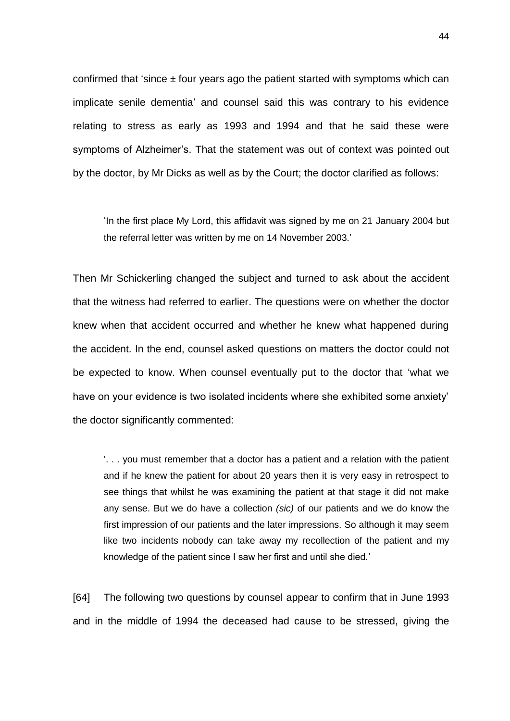confirmed that 'since  $\pm$  four years ago the patient started with symptoms which can implicate senile dementia' and counsel said this was contrary to his evidence relating to stress as early as 1993 and 1994 and that he said these were symptoms of Alzheimer's. That the statement was out of context was pointed out by the doctor, by Mr Dicks as well as by the Court; the doctor clarified as follows:

'In the first place My Lord, this affidavit was signed by me on 21 January 2004 but the referral letter was written by me on 14 November 2003.'

Then Mr Schickerling changed the subject and turned to ask about the accident that the witness had referred to earlier. The questions were on whether the doctor knew when that accident occurred and whether he knew what happened during the accident. In the end, counsel asked questions on matters the doctor could not be expected to know. When counsel eventually put to the doctor that 'what we have on your evidence is two isolated incidents where she exhibited some anxiety' the doctor significantly commented:

'. . . you must remember that a doctor has a patient and a relation with the patient and if he knew the patient for about 20 years then it is very easy in retrospect to see things that whilst he was examining the patient at that stage it did not make any sense. But we do have a collection *(sic)* of our patients and we do know the first impression of our patients and the later impressions. So although it may seem like two incidents nobody can take away my recollection of the patient and my knowledge of the patient since I saw her first and until she died.'

[64] The following two questions by counsel appear to confirm that in June 1993 and in the middle of 1994 the deceased had cause to be stressed, giving the

44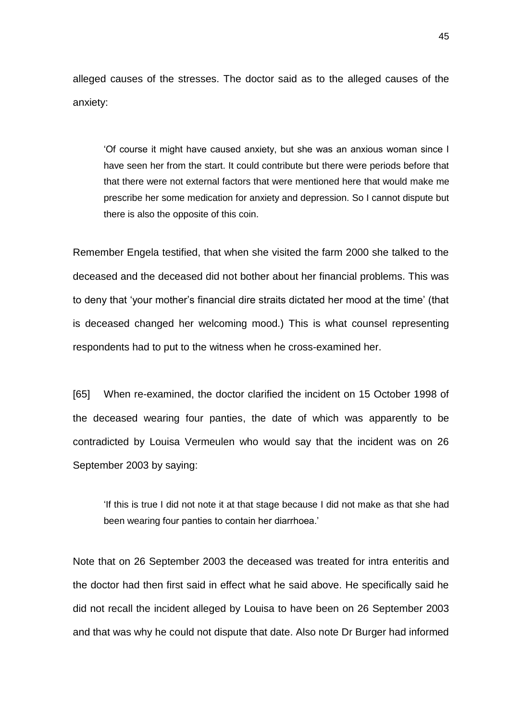alleged causes of the stresses. The doctor said as to the alleged causes of the anxiety:

'Of course it might have caused anxiety, but she was an anxious woman since I have seen her from the start. It could contribute but there were periods before that that there were not external factors that were mentioned here that would make me prescribe her some medication for anxiety and depression. So I cannot dispute but there is also the opposite of this coin.

Remember Engela testified, that when she visited the farm 2000 she talked to the deceased and the deceased did not bother about her financial problems. This was to deny that 'your mother's financial dire straits dictated her mood at the time' (that is deceased changed her welcoming mood.) This is what counsel representing respondents had to put to the witness when he cross-examined her.

[65] When re-examined, the doctor clarified the incident on 15 October 1998 of the deceased wearing four panties, the date of which was apparently to be contradicted by Louisa Vermeulen who would say that the incident was on 26 September 2003 by saying:

'If this is true I did not note it at that stage because I did not make as that she had been wearing four panties to contain her diarrhoea.'

Note that on 26 September 2003 the deceased was treated for intra enteritis and the doctor had then first said in effect what he said above. He specifically said he did not recall the incident alleged by Louisa to have been on 26 September 2003 and that was why he could not dispute that date. Also note Dr Burger had informed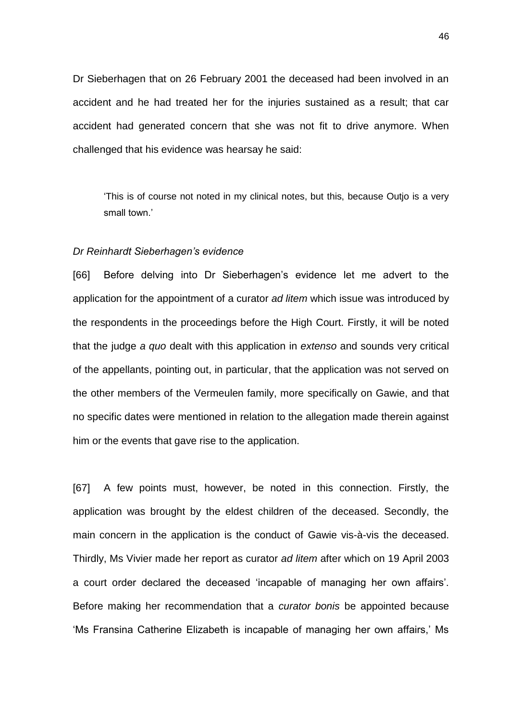Dr Sieberhagen that on 26 February 2001 the deceased had been involved in an accident and he had treated her for the injuries sustained as a result; that car accident had generated concern that she was not fit to drive anymore. When challenged that his evidence was hearsay he said:

'This is of course not noted in my clinical notes, but this, because Outjo is a very small town.'

## *Dr Reinhardt Sieberhagen's evidence*

[66] Before delving into Dr Sieberhagen's evidence let me advert to the application for the appointment of a curator *ad litem* which issue was introduced by the respondents in the proceedings before the High Court. Firstly, it will be noted that the judge *a quo* dealt with this application in *extenso* and sounds very critical of the appellants, pointing out, in particular, that the application was not served on the other members of the Vermeulen family, more specifically on Gawie, and that no specific dates were mentioned in relation to the allegation made therein against him or the events that gave rise to the application.

[67] A few points must, however, be noted in this connection. Firstly, the application was brought by the eldest children of the deceased. Secondly, the main concern in the application is the conduct of Gawie vis-à-vis the deceased. Thirdly, Ms Vivier made her report as curator *ad litem* after which on 19 April 2003 a court order declared the deceased 'incapable of managing her own affairs'. Before making her recommendation that a *curator bonis* be appointed because 'Ms Fransina Catherine Elizabeth is incapable of managing her own affairs,' Ms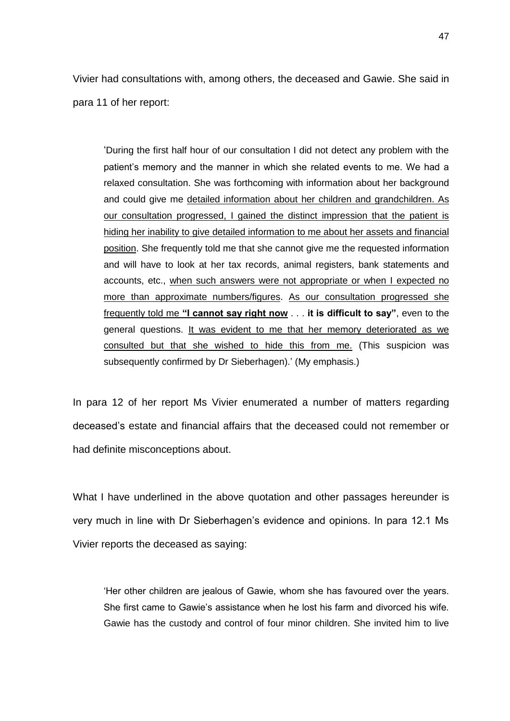Vivier had consultations with, among others, the deceased and Gawie. She said in para 11 of her report:

'During the first half hour of our consultation I did not detect any problem with the patient's memory and the manner in which she related events to me. We had a relaxed consultation. She was forthcoming with information about her background and could give me detailed information about her children and grandchildren. As our consultation progressed, I gained the distinct impression that the patient is hiding her inability to give detailed information to me about her assets and financial position. She frequently told me that she cannot give me the requested information and will have to look at her tax records, animal registers, bank statements and accounts, etc., when such answers were not appropriate or when I expected no more than approximate numbers/figures. As our consultation progressed she frequently told me **"I cannot say right now** . . . **it is difficult to say"**, even to the general questions. It was evident to me that her memory deteriorated as we consulted but that she wished to hide this from me. (This suspicion was subsequently confirmed by Dr Sieberhagen).' (My emphasis.)

In para 12 of her report Ms Vivier enumerated a number of matters regarding deceased's estate and financial affairs that the deceased could not remember or had definite misconceptions about.

What I have underlined in the above quotation and other passages hereunder is very much in line with Dr Sieberhagen's evidence and opinions. In para 12.1 Ms Vivier reports the deceased as saying:

'Her other children are jealous of Gawie, whom she has favoured over the years. She first came to Gawie's assistance when he lost his farm and divorced his wife. Gawie has the custody and control of four minor children. She invited him to live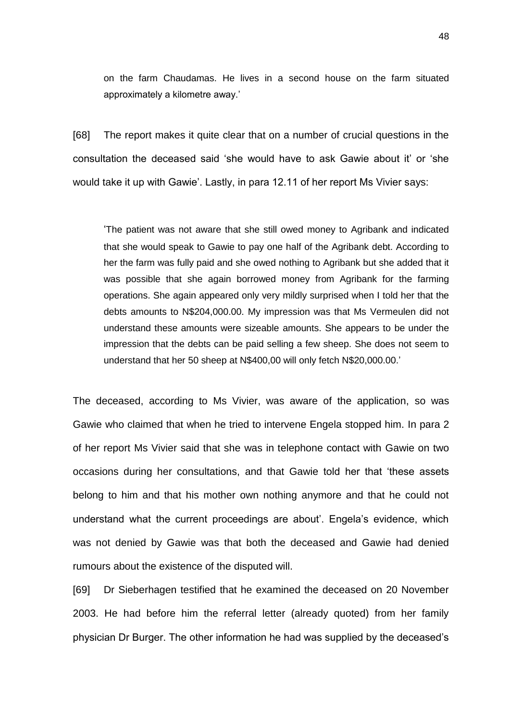on the farm Chaudamas. He lives in a second house on the farm situated approximately a kilometre away.'

[68] The report makes it quite clear that on a number of crucial questions in the consultation the deceased said 'she would have to ask Gawie about it' or 'she would take it up with Gawie'. Lastly, in para 12.11 of her report Ms Vivier says:

'The patient was not aware that she still owed money to Agribank and indicated that she would speak to Gawie to pay one half of the Agribank debt. According to her the farm was fully paid and she owed nothing to Agribank but she added that it was possible that she again borrowed money from Agribank for the farming operations. She again appeared only very mildly surprised when I told her that the debts amounts to N\$204,000.00. My impression was that Ms Vermeulen did not understand these amounts were sizeable amounts. She appears to be under the impression that the debts can be paid selling a few sheep. She does not seem to understand that her 50 sheep at N\$400,00 will only fetch N\$20,000.00.'

The deceased, according to Ms Vivier, was aware of the application, so was Gawie who claimed that when he tried to intervene Engela stopped him. In para 2 of her report Ms Vivier said that she was in telephone contact with Gawie on two occasions during her consultations, and that Gawie told her that 'these assets belong to him and that his mother own nothing anymore and that he could not understand what the current proceedings are about'. Engela's evidence, which was not denied by Gawie was that both the deceased and Gawie had denied rumours about the existence of the disputed will.

[69] Dr Sieberhagen testified that he examined the deceased on 20 November 2003. He had before him the referral letter (already quoted) from her family physician Dr Burger. The other information he had was supplied by the deceased's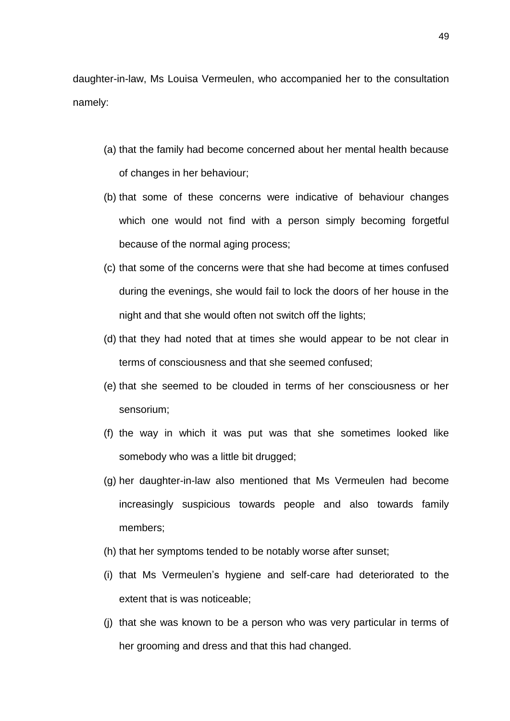daughter-in-law, Ms Louisa Vermeulen, who accompanied her to the consultation namely:

- (a) that the family had become concerned about her mental health because of changes in her behaviour;
- (b) that some of these concerns were indicative of behaviour changes which one would not find with a person simply becoming forgetful because of the normal aging process;
- (c) that some of the concerns were that she had become at times confused during the evenings, she would fail to lock the doors of her house in the night and that she would often not switch off the lights;
- (d) that they had noted that at times she would appear to be not clear in terms of consciousness and that she seemed confused;
- (e) that she seemed to be clouded in terms of her consciousness or her sensorium;
- (f) the way in which it was put was that she sometimes looked like somebody who was a little bit drugged;
- (g) her daughter-in-law also mentioned that Ms Vermeulen had become increasingly suspicious towards people and also towards family members;
- (h) that her symptoms tended to be notably worse after sunset;
- (i) that Ms Vermeulen's hygiene and self-care had deteriorated to the extent that is was noticeable;
- (j) that she was known to be a person who was very particular in terms of her grooming and dress and that this had changed.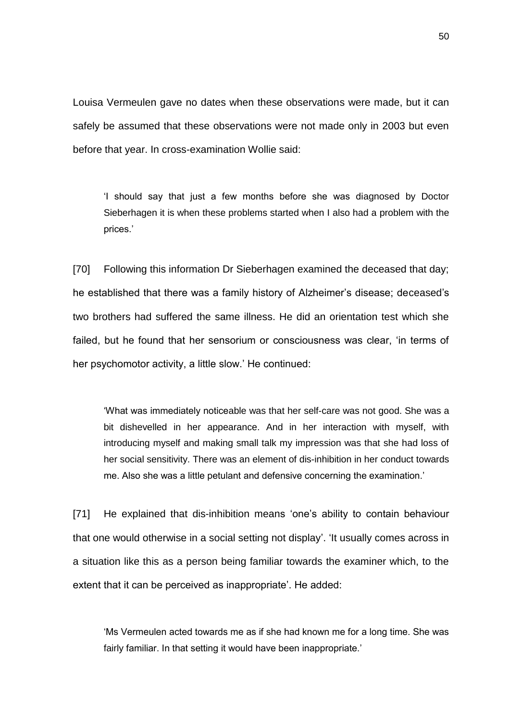Louisa Vermeulen gave no dates when these observations were made, but it can safely be assumed that these observations were not made only in 2003 but even before that year. In cross-examination Wollie said:

'I should say that just a few months before she was diagnosed by Doctor Sieberhagen it is when these problems started when I also had a problem with the prices.'

[70] Following this information Dr Sieberhagen examined the deceased that day; he established that there was a family history of Alzheimer's disease; deceased's two brothers had suffered the same illness. He did an orientation test which she failed, but he found that her sensorium or consciousness was clear, 'in terms of her psychomotor activity, a little slow.' He continued:

'What was immediately noticeable was that her self-care was not good. She was a bit dishevelled in her appearance. And in her interaction with myself, with introducing myself and making small talk my impression was that she had loss of her social sensitivity. There was an element of dis-inhibition in her conduct towards me. Also she was a little petulant and defensive concerning the examination.'

[71] He explained that dis-inhibition means 'one's ability to contain behaviour that one would otherwise in a social setting not display'. 'It usually comes across in a situation like this as a person being familiar towards the examiner which, to the extent that it can be perceived as inappropriate'. He added:

'Ms Vermeulen acted towards me as if she had known me for a long time. She was fairly familiar. In that setting it would have been inappropriate.'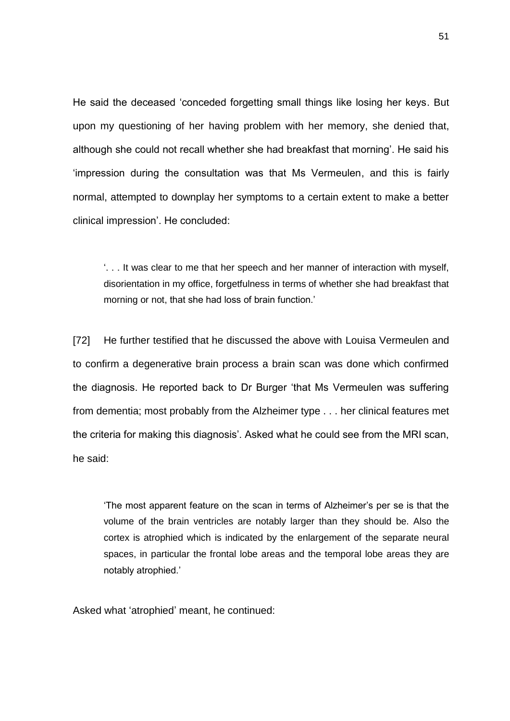He said the deceased 'conceded forgetting small things like losing her keys. But upon my questioning of her having problem with her memory, she denied that, although she could not recall whether she had breakfast that morning'. He said his 'impression during the consultation was that Ms Vermeulen, and this is fairly normal, attempted to downplay her symptoms to a certain extent to make a better clinical impression'. He concluded:

'. . . It was clear to me that her speech and her manner of interaction with myself, disorientation in my office, forgetfulness in terms of whether she had breakfast that morning or not, that she had loss of brain function.'

[72] He further testified that he discussed the above with Louisa Vermeulen and to confirm a degenerative brain process a brain scan was done which confirmed the diagnosis. He reported back to Dr Burger 'that Ms Vermeulen was suffering from dementia; most probably from the Alzheimer type . . . her clinical features met the criteria for making this diagnosis'. Asked what he could see from the MRI scan, he said:

'The most apparent feature on the scan in terms of Alzheimer's per se is that the volume of the brain ventricles are notably larger than they should be. Also the cortex is atrophied which is indicated by the enlargement of the separate neural spaces, in particular the frontal lobe areas and the temporal lobe areas they are notably atrophied.'

Asked what 'atrophied' meant, he continued: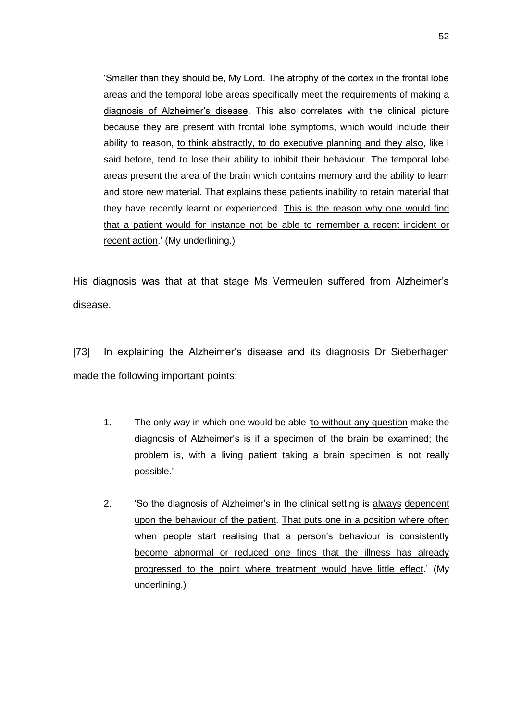'Smaller than they should be, My Lord. The atrophy of the cortex in the frontal lobe areas and the temporal lobe areas specifically meet the requirements of making a diagnosis of Alzheimer's disease. This also correlates with the clinical picture because they are present with frontal lobe symptoms, which would include their ability to reason, to think abstractly, to do executive planning and they also, like I said before, tend to lose their ability to inhibit their behaviour. The temporal lobe areas present the area of the brain which contains memory and the ability to learn and store new material. That explains these patients inability to retain material that they have recently learnt or experienced. This is the reason why one would find that a patient would for instance not be able to remember a recent incident or recent action.' (My underlining.)

His diagnosis was that at that stage Ms Vermeulen suffered from Alzheimer's disease.

[73] In explaining the Alzheimer's disease and its diagnosis Dr Sieberhagen made the following important points:

- 1. The only way in which one would be able 'to without any question make the diagnosis of Alzheimer's is if a specimen of the brain be examined; the problem is, with a living patient taking a brain specimen is not really possible.'
- 2. 'So the diagnosis of Alzheimer's in the clinical setting is always dependent upon the behaviour of the patient. That puts one in a position where often when people start realising that a person's behaviour is consistently become abnormal or reduced one finds that the illness has already progressed to the point where treatment would have little effect.' (My underlining.)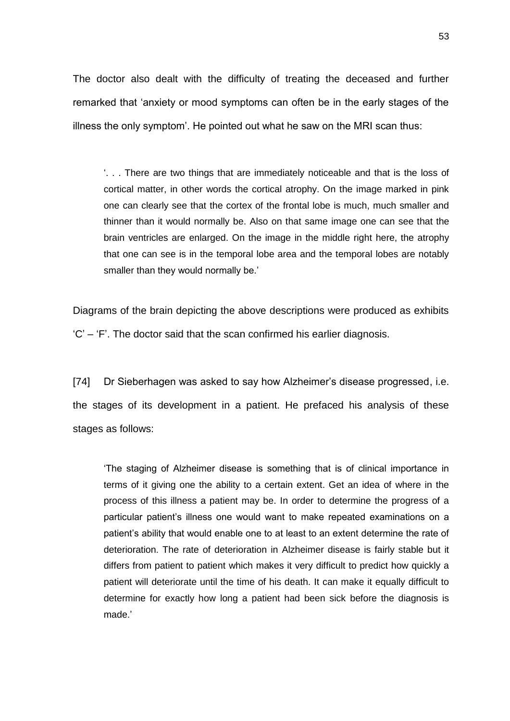The doctor also dealt with the difficulty of treating the deceased and further remarked that 'anxiety or mood symptoms can often be in the early stages of the illness the only symptom'. He pointed out what he saw on the MRI scan thus:

'. . . There are two things that are immediately noticeable and that is the loss of cortical matter, in other words the cortical atrophy. On the image marked in pink one can clearly see that the cortex of the frontal lobe is much, much smaller and thinner than it would normally be. Also on that same image one can see that the brain ventricles are enlarged. On the image in the middle right here, the atrophy that one can see is in the temporal lobe area and the temporal lobes are notably smaller than they would normally be.'

Diagrams of the brain depicting the above descriptions were produced as exhibits 'C' – 'F'. The doctor said that the scan confirmed his earlier diagnosis.

[74] Dr Sieberhagen was asked to say how Alzheimer's disease progressed, i.e. the stages of its development in a patient. He prefaced his analysis of these stages as follows:

'The staging of Alzheimer disease is something that is of clinical importance in terms of it giving one the ability to a certain extent. Get an idea of where in the process of this illness a patient may be. In order to determine the progress of a particular patient's illness one would want to make repeated examinations on a patient's ability that would enable one to at least to an extent determine the rate of deterioration. The rate of deterioration in Alzheimer disease is fairly stable but it differs from patient to patient which makes it very difficult to predict how quickly a patient will deteriorate until the time of his death. It can make it equally difficult to determine for exactly how long a patient had been sick before the diagnosis is made.'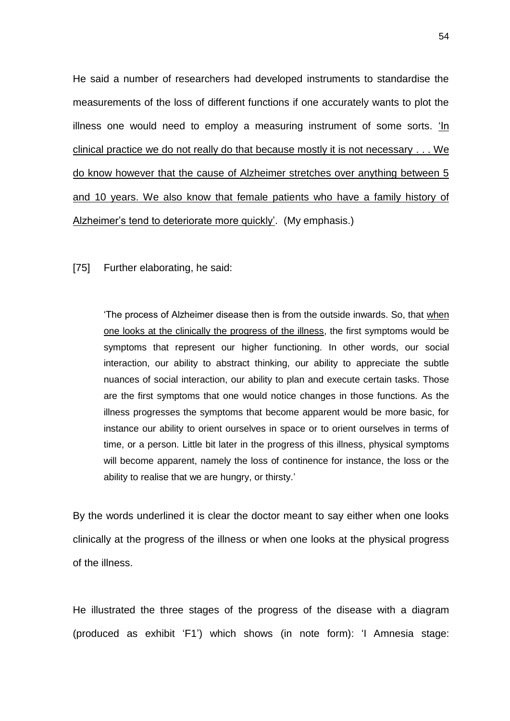He said a number of researchers had developed instruments to standardise the measurements of the loss of different functions if one accurately wants to plot the illness one would need to employ a measuring instrument of some sorts. 'In clinical practice we do not really do that because mostly it is not necessary . . . We do know however that the cause of Alzheimer stretches over anything between 5 and 10 years. We also know that female patients who have a family history of Alzheimer's tend to deteriorate more quickly'. (My emphasis.)

[75] Further elaborating, he said:

'The process of Alzheimer disease then is from the outside inwards. So, that when one looks at the clinically the progress of the illness, the first symptoms would be symptoms that represent our higher functioning. In other words, our social interaction, our ability to abstract thinking, our ability to appreciate the subtle nuances of social interaction, our ability to plan and execute certain tasks. Those are the first symptoms that one would notice changes in those functions. As the illness progresses the symptoms that become apparent would be more basic, for instance our ability to orient ourselves in space or to orient ourselves in terms of time, or a person. Little bit later in the progress of this illness, physical symptoms will become apparent, namely the loss of continence for instance, the loss or the ability to realise that we are hungry, or thirsty.'

By the words underlined it is clear the doctor meant to say either when one looks clinically at the progress of the illness or when one looks at the physical progress of the illness.

He illustrated the three stages of the progress of the disease with a diagram (produced as exhibit 'F1') which shows (in note form): 'I Amnesia stage: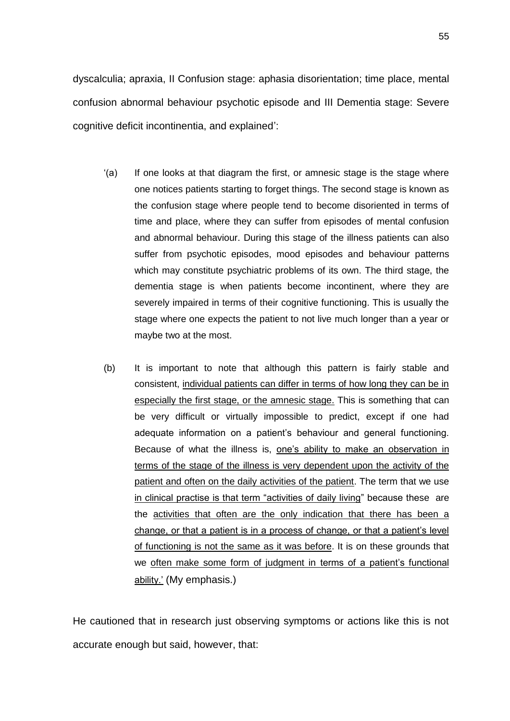dyscalculia; apraxia, II Confusion stage: aphasia disorientation; time place, mental confusion abnormal behaviour psychotic episode and III Dementia stage: Severe cognitive deficit incontinentia, and explained':

- $(a)$  If one looks at that diagram the first, or amnesic stage is the stage where one notices patients starting to forget things. The second stage is known as the confusion stage where people tend to become disoriented in terms of time and place, where they can suffer from episodes of mental confusion and abnormal behaviour. During this stage of the illness patients can also suffer from psychotic episodes, mood episodes and behaviour patterns which may constitute psychiatric problems of its own. The third stage, the dementia stage is when patients become incontinent, where they are severely impaired in terms of their cognitive functioning. This is usually the stage where one expects the patient to not live much longer than a year or maybe two at the most.
- (b) It is important to note that although this pattern is fairly stable and consistent, individual patients can differ in terms of how long they can be in especially the first stage, or the amnesic stage. This is something that can be very difficult or virtually impossible to predict, except if one had adequate information on a patient's behaviour and general functioning. Because of what the illness is, one's ability to make an observation in terms of the stage of the illness is very dependent upon the activity of the patient and often on the daily activities of the patient. The term that we use in clinical practise is that term "activities of daily living" because these are the activities that often are the only indication that there has been a change, or that a patient is in a process of change, or that a patient's level of functioning is not the same as it was before. It is on these grounds that we often make some form of judgment in terms of a patient's functional ability.' (My emphasis.)

He cautioned that in research just observing symptoms or actions like this is not accurate enough but said, however, that: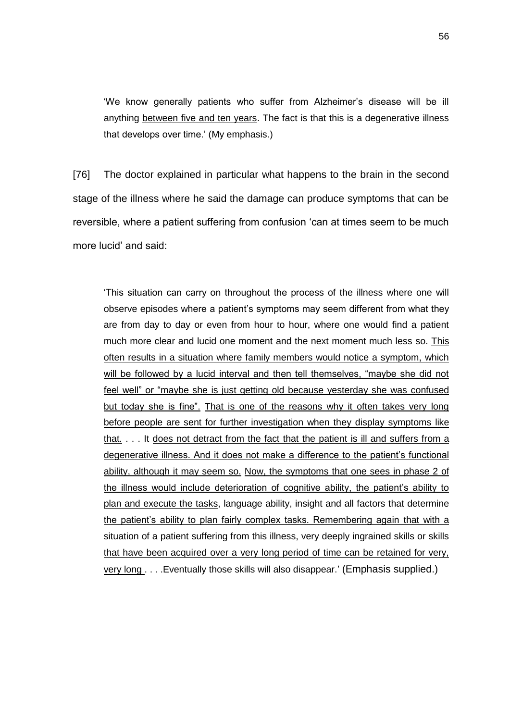'We know generally patients who suffer from Alzheimer's disease will be ill anything between five and ten years. The fact is that this is a degenerative illness that develops over time.' (My emphasis.)

[76] The doctor explained in particular what happens to the brain in the second stage of the illness where he said the damage can produce symptoms that can be reversible, where a patient suffering from confusion 'can at times seem to be much more lucid' and said:

'This situation can carry on throughout the process of the illness where one will observe episodes where a patient's symptoms may seem different from what they are from day to day or even from hour to hour, where one would find a patient much more clear and lucid one moment and the next moment much less so. This often results in a situation where family members would notice a symptom, which will be followed by a lucid interval and then tell themselves, "maybe she did not feel well" or "maybe she is just getting old because yesterday she was confused but today she is fine". That is one of the reasons why it often takes very long before people are sent for further investigation when they display symptoms like that. . . . It does not detract from the fact that the patient is ill and suffers from a degenerative illness. And it does not make a difference to the patient's functional ability, although it may seem so. Now, the symptoms that one sees in phase 2 of the illness would include deterioration of cognitive ability, the patient's ability to plan and execute the tasks, language ability, insight and all factors that determine the patient's ability to plan fairly complex tasks. Remembering again that with a situation of a patient suffering from this illness, very deeply ingrained skills or skills that have been acquired over a very long period of time can be retained for very, very long . . . .Eventually those skills will also disappear.' (Emphasis supplied.)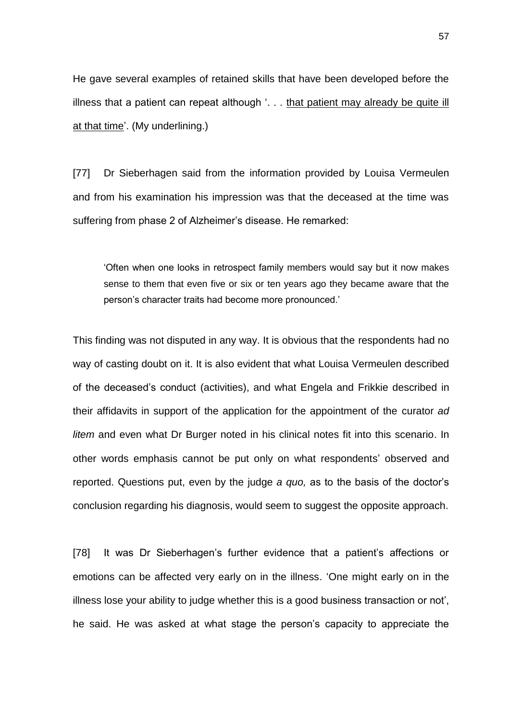He gave several examples of retained skills that have been developed before the illness that a patient can repeat although  $\ldots$  that patient may already be quite ill at that time'. (My underlining.)

[77] Dr Sieberhagen said from the information provided by Louisa Vermeulen and from his examination his impression was that the deceased at the time was suffering from phase 2 of Alzheimer's disease. He remarked:

'Often when one looks in retrospect family members would say but it now makes sense to them that even five or six or ten years ago they became aware that the person's character traits had become more pronounced.'

This finding was not disputed in any way. It is obvious that the respondents had no way of casting doubt on it. It is also evident that what Louisa Vermeulen described of the deceased's conduct (activities), and what Engela and Frikkie described in their affidavits in support of the application for the appointment of the curator *ad litem* and even what Dr Burger noted in his clinical notes fit into this scenario. In other words emphasis cannot be put only on what respondents' observed and reported. Questions put, even by the judge *a quo,* as to the basis of the doctor's conclusion regarding his diagnosis, would seem to suggest the opposite approach.

[78] It was Dr Sieberhagen's further evidence that a patient's affections or emotions can be affected very early on in the illness. 'One might early on in the illness lose your ability to judge whether this is a good business transaction or not', he said. He was asked at what stage the person's capacity to appreciate the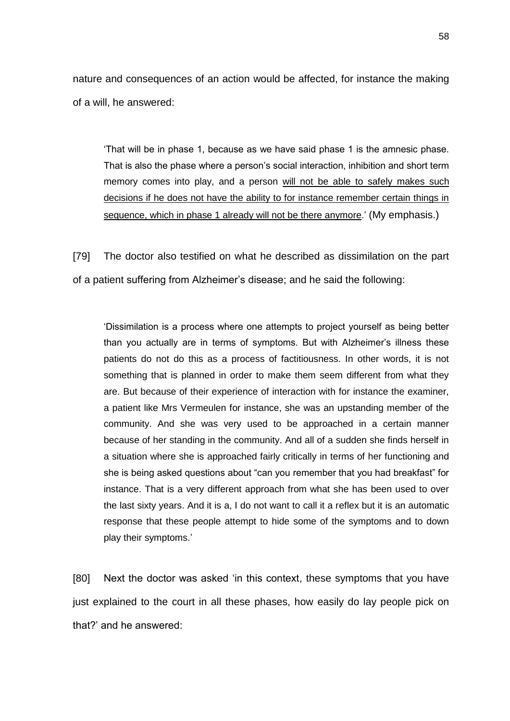nature and consequences of an action would be affected, for instance the making of a will, he answered:

'That will be in phase 1, because as we have said phase 1 is the amnesic phase. That is also the phase where a person's social interaction, inhibition and short term memory comes into play, and a person will not be able to safely makes such decisions if he does not have the ability to for instance remember certain things in sequence, which in phase 1 already will not be there anymore.' (My emphasis.)

[79] The doctor also testified on what he described as dissimilation on the part of a patient suffering from Alzheimer's disease; and he said the following:

'Dissimilation is a process where one attempts to project yourself as being better than you actually are in terms of symptoms. But with Alzheimer's illness these patients do not do this as a process of factitiousness. In other words, it is not something that is planned in order to make them seem different from what they are. But because of their experience of interaction with for instance the examiner, a patient like Mrs Vermeulen for instance, she was an upstanding member of the community. And she was very used to be approached in a certain manner because of her standing in the community. And all of a sudden she finds herself in a situation where she is approached fairly critically in terms of her functioning and she is being asked questions about "can you remember that you had breakfast" for instance. That is a very different approach from what she has been used to over the last sixty years. And it is a, I do not want to call it a reflex but it is an automatic response that these people attempt to hide some of the symptoms and to down play their symptoms.'

[80] Next the doctor was asked 'in this context, these symptoms that you have just explained to the court in all these phases, how easily do lay people pick on that?' and he answered: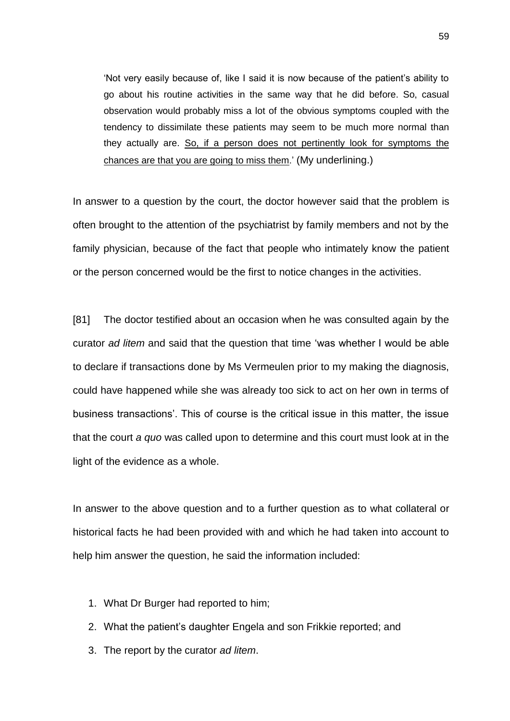'Not very easily because of, like I said it is now because of the patient's ability to go about his routine activities in the same way that he did before. So, casual observation would probably miss a lot of the obvious symptoms coupled with the tendency to dissimilate these patients may seem to be much more normal than they actually are. So, if a person does not pertinently look for symptoms the chances are that you are going to miss them.' (My underlining.)

In answer to a question by the court, the doctor however said that the problem is often brought to the attention of the psychiatrist by family members and not by the family physician, because of the fact that people who intimately know the patient or the person concerned would be the first to notice changes in the activities.

[81] The doctor testified about an occasion when he was consulted again by the curator *ad litem* and said that the question that time 'was whether I would be able to declare if transactions done by Ms Vermeulen prior to my making the diagnosis, could have happened while she was already too sick to act on her own in terms of business transactions'. This of course is the critical issue in this matter, the issue that the court *a quo* was called upon to determine and this court must look at in the light of the evidence as a whole.

In answer to the above question and to a further question as to what collateral or historical facts he had been provided with and which he had taken into account to help him answer the question, he said the information included:

- 1. What Dr Burger had reported to him;
- 2. What the patient's daughter Engela and son Frikkie reported; and
- 3. The report by the curator *ad litem*.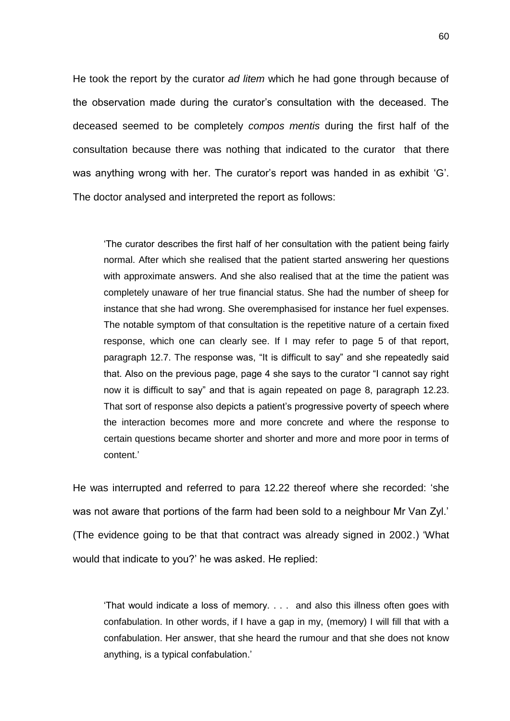He took the report by the curator *ad litem* which he had gone through because of the observation made during the curator's consultation with the deceased. The deceased seemed to be completely *compos mentis* during the first half of the consultation because there was nothing that indicated to the curator that there was anything wrong with her. The curator's report was handed in as exhibit 'G'. The doctor analysed and interpreted the report as follows:

'The curator describes the first half of her consultation with the patient being fairly normal. After which she realised that the patient started answering her questions with approximate answers. And she also realised that at the time the patient was completely unaware of her true financial status. She had the number of sheep for instance that she had wrong. She overemphasised for instance her fuel expenses. The notable symptom of that consultation is the repetitive nature of a certain fixed response, which one can clearly see. If I may refer to page 5 of that report, paragraph 12.7. The response was, "It is difficult to say" and she repeatedly said that. Also on the previous page, page 4 she says to the curator "I cannot say right now it is difficult to say" and that is again repeated on page 8, paragraph 12.23. That sort of response also depicts a patient's progressive poverty of speech where the interaction becomes more and more concrete and where the response to certain questions became shorter and shorter and more and more poor in terms of content.'

He was interrupted and referred to para 12.22 thereof where she recorded: 'she was not aware that portions of the farm had been sold to a neighbour Mr Van Zyl.' (The evidence going to be that that contract was already signed in 2002.) 'What would that indicate to you?' he was asked. He replied:

'That would indicate a loss of memory. . . . and also this illness often goes with confabulation. In other words, if I have a gap in my, (memory) I will fill that with a confabulation. Her answer, that she heard the rumour and that she does not know anything, is a typical confabulation.'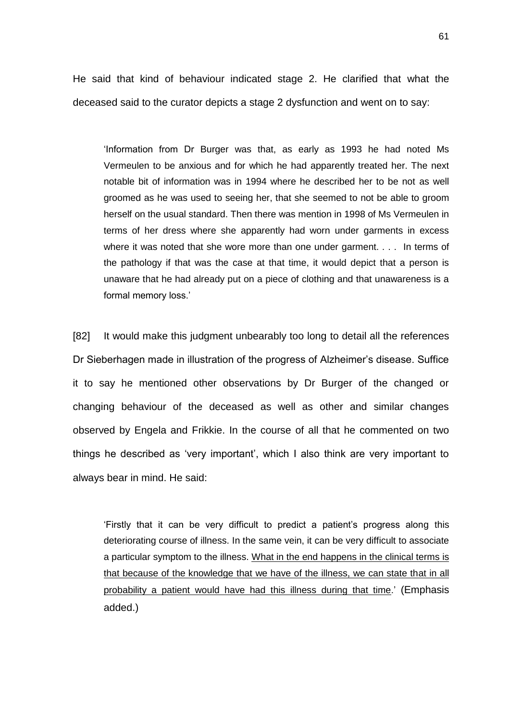He said that kind of behaviour indicated stage 2. He clarified that what the deceased said to the curator depicts a stage 2 dysfunction and went on to say:

'Information from Dr Burger was that, as early as 1993 he had noted Ms Vermeulen to be anxious and for which he had apparently treated her. The next notable bit of information was in 1994 where he described her to be not as well groomed as he was used to seeing her, that she seemed to not be able to groom herself on the usual standard. Then there was mention in 1998 of Ms Vermeulen in terms of her dress where she apparently had worn under garments in excess where it was noted that she wore more than one under garment. . . . In terms of the pathology if that was the case at that time, it would depict that a person is unaware that he had already put on a piece of clothing and that unawareness is a formal memory loss.'

[82] It would make this judgment unbearably too long to detail all the references Dr Sieberhagen made in illustration of the progress of Alzheimer's disease. Suffice it to say he mentioned other observations by Dr Burger of the changed or changing behaviour of the deceased as well as other and similar changes observed by Engela and Frikkie. In the course of all that he commented on two things he described as 'very important', which I also think are very important to always bear in mind. He said:

'Firstly that it can be very difficult to predict a patient's progress along this deteriorating course of illness. In the same vein, it can be very difficult to associate a particular symptom to the illness. What in the end happens in the clinical terms is that because of the knowledge that we have of the illness, we can state that in all probability a patient would have had this illness during that time.' (Emphasis added.)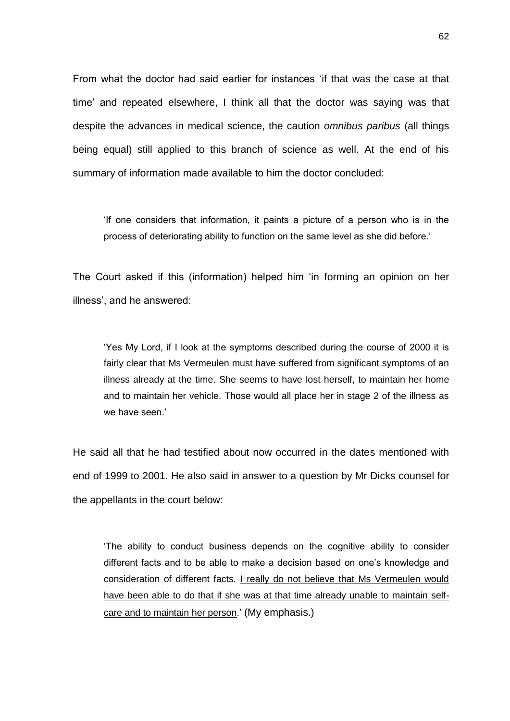From what the doctor had said earlier for instances 'if that was the case at that time' and repeated elsewhere, I think all that the doctor was saying was that despite the advances in medical science, the caution *omnibus paribus* (all things being equal) still applied to this branch of science as well. At the end of his summary of information made available to him the doctor concluded:

'If one considers that information, it paints a picture of a person who is in the process of deteriorating ability to function on the same level as she did before.'

The Court asked if this (information) helped him 'in forming an opinion on her illness', and he answered:

'Yes My Lord, if I look at the symptoms described during the course of 2000 it is fairly clear that Ms Vermeulen must have suffered from significant symptoms of an illness already at the time. She seems to have lost herself, to maintain her home and to maintain her vehicle. Those would all place her in stage 2 of the illness as we have seen.'

He said all that he had testified about now occurred in the dates mentioned with end of 1999 to 2001. He also said in answer to a question by Mr Dicks counsel for the appellants in the court below:

'The ability to conduct business depends on the cognitive ability to consider different facts and to be able to make a decision based on one's knowledge and consideration of different facts. I really do not believe that Ms Vermeulen would have been able to do that if she was at that time already unable to maintain selfcare and to maintain her person.' (My emphasis.)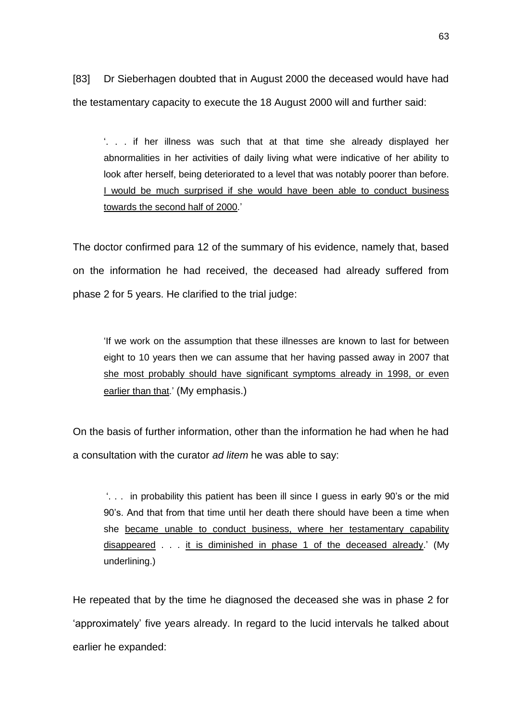[83] Dr Sieberhagen doubted that in August 2000 the deceased would have had the testamentary capacity to execute the 18 August 2000 will and further said:

'. . . if her illness was such that at that time she already displayed her abnormalities in her activities of daily living what were indicative of her ability to look after herself, being deteriorated to a level that was notably poorer than before. I would be much surprised if she would have been able to conduct business towards the second half of 2000.'

The doctor confirmed para 12 of the summary of his evidence, namely that, based on the information he had received, the deceased had already suffered from phase 2 for 5 years. He clarified to the trial judge:

'If we work on the assumption that these illnesses are known to last for between eight to 10 years then we can assume that her having passed away in 2007 that she most probably should have significant symptoms already in 1998, or even earlier than that.' (My emphasis.)

On the basis of further information, other than the information he had when he had a consultation with the curator *ad litem* he was able to say:

'. . . in probability this patient has been ill since I guess in early 90's or the mid 90's. And that from that time until her death there should have been a time when she became unable to conduct business, where her testamentary capability disappeared . . . it is diminished in phase 1 of the deceased already.' (My underlining.)

He repeated that by the time he diagnosed the deceased she was in phase 2 for 'approximately' five years already. In regard to the lucid intervals he talked about earlier he expanded: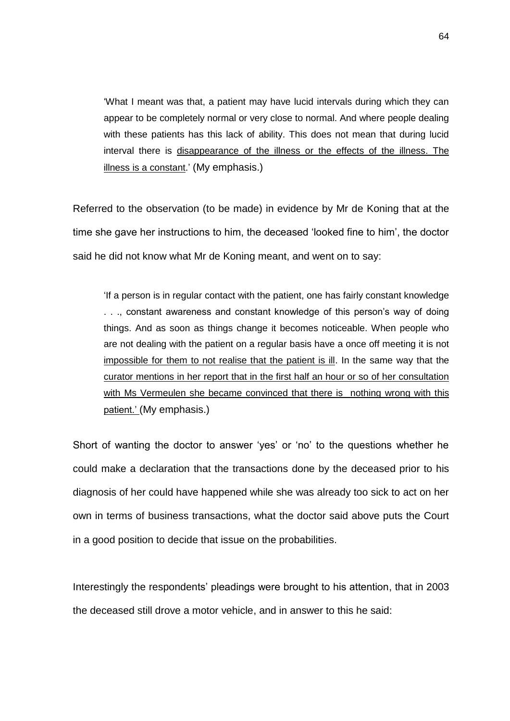'What I meant was that, a patient may have lucid intervals during which they can appear to be completely normal or very close to normal. And where people dealing with these patients has this lack of ability. This does not mean that during lucid interval there is disappearance of the illness or the effects of the illness. The illness is a constant.' (My emphasis.)

Referred to the observation (to be made) in evidence by Mr de Koning that at the time she gave her instructions to him, the deceased 'looked fine to him', the doctor said he did not know what Mr de Koning meant, and went on to say:

'If a person is in regular contact with the patient, one has fairly constant knowledge . . ., constant awareness and constant knowledge of this person's way of doing things. And as soon as things change it becomes noticeable. When people who are not dealing with the patient on a regular basis have a once off meeting it is not impossible for them to not realise that the patient is ill. In the same way that the curator mentions in her report that in the first half an hour or so of her consultation with Ms Vermeulen she became convinced that there is nothing wrong with this patient.' (My emphasis.)

Short of wanting the doctor to answer 'yes' or 'no' to the questions whether he could make a declaration that the transactions done by the deceased prior to his diagnosis of her could have happened while she was already too sick to act on her own in terms of business transactions, what the doctor said above puts the Court in a good position to decide that issue on the probabilities.

Interestingly the respondents' pleadings were brought to his attention, that in 2003 the deceased still drove a motor vehicle, and in answer to this he said: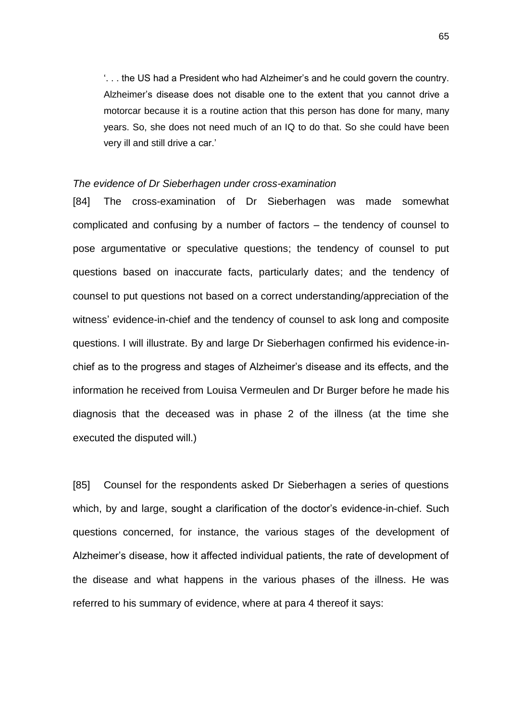'. . . the US had a President who had Alzheimer's and he could govern the country. Alzheimer's disease does not disable one to the extent that you cannot drive a motorcar because it is a routine action that this person has done for many, many years. So, she does not need much of an IQ to do that. So she could have been very ill and still drive a car.'

## *The evidence of Dr Sieberhagen under cross-examination*

[84] The cross-examination of Dr Sieberhagen was made somewhat complicated and confusing by a number of factors – the tendency of counsel to pose argumentative or speculative questions; the tendency of counsel to put questions based on inaccurate facts, particularly dates; and the tendency of counsel to put questions not based on a correct understanding/appreciation of the witness' evidence-in-chief and the tendency of counsel to ask long and composite questions. I will illustrate. By and large Dr Sieberhagen confirmed his evidence-inchief as to the progress and stages of Alzheimer's disease and its effects, and the information he received from Louisa Vermeulen and Dr Burger before he made his diagnosis that the deceased was in phase 2 of the illness (at the time she executed the disputed will.)

[85] Counsel for the respondents asked Dr Sieberhagen a series of questions which, by and large, sought a clarification of the doctor's evidence-in-chief. Such questions concerned, for instance, the various stages of the development of Alzheimer's disease, how it affected individual patients, the rate of development of the disease and what happens in the various phases of the illness. He was referred to his summary of evidence, where at para 4 thereof it says: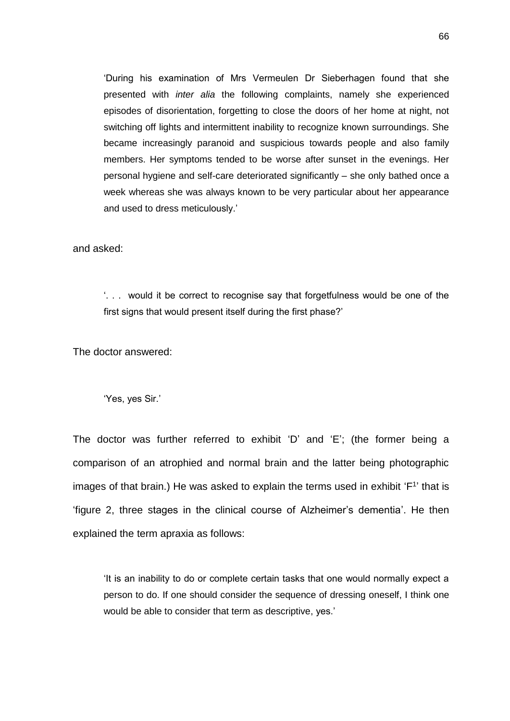'During his examination of Mrs Vermeulen Dr Sieberhagen found that she presented with *inter alia* the following complaints, namely she experienced episodes of disorientation, forgetting to close the doors of her home at night, not switching off lights and intermittent inability to recognize known surroundings. She became increasingly paranoid and suspicious towards people and also family members. Her symptoms tended to be worse after sunset in the evenings. Her personal hygiene and self-care deteriorated significantly – she only bathed once a week whereas she was always known to be very particular about her appearance and used to dress meticulously.'

and asked:

'. . . would it be correct to recognise say that forgetfulness would be one of the first signs that would present itself during the first phase?'

The doctor answered:

'Yes, yes Sir.'

The doctor was further referred to exhibit 'D' and 'E'; (the former being a comparison of an atrophied and normal brain and the latter being photographic images of that brain.) He was asked to explain the terms used in exhibit ' $F<sup>1</sup>$ ' that is 'figure 2, three stages in the clinical course of Alzheimer's dementia'. He then explained the term apraxia as follows:

'It is an inability to do or complete certain tasks that one would normally expect a person to do. If one should consider the sequence of dressing oneself, I think one would be able to consider that term as descriptive, yes.'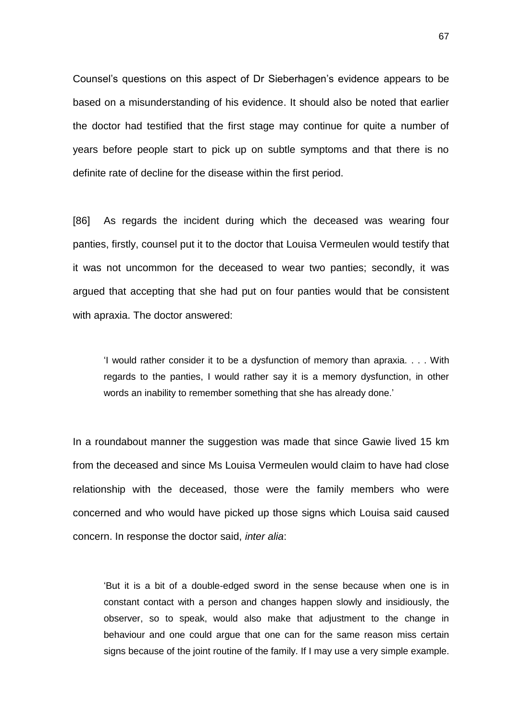Counsel's questions on this aspect of Dr Sieberhagen's evidence appears to be based on a misunderstanding of his evidence. It should also be noted that earlier the doctor had testified that the first stage may continue for quite a number of years before people start to pick up on subtle symptoms and that there is no definite rate of decline for the disease within the first period.

[86] As regards the incident during which the deceased was wearing four panties, firstly, counsel put it to the doctor that Louisa Vermeulen would testify that it was not uncommon for the deceased to wear two panties; secondly, it was argued that accepting that she had put on four panties would that be consistent with apraxia. The doctor answered:

'I would rather consider it to be a dysfunction of memory than apraxia. . . . With regards to the panties, I would rather say it is a memory dysfunction, in other words an inability to remember something that she has already done.'

In a roundabout manner the suggestion was made that since Gawie lived 15 km from the deceased and since Ms Louisa Vermeulen would claim to have had close relationship with the deceased, those were the family members who were concerned and who would have picked up those signs which Louisa said caused concern. In response the doctor said, *inter alia*:

'But it is a bit of a double-edged sword in the sense because when one is in constant contact with a person and changes happen slowly and insidiously, the observer, so to speak, would also make that adjustment to the change in behaviour and one could argue that one can for the same reason miss certain signs because of the joint routine of the family. If I may use a very simple example.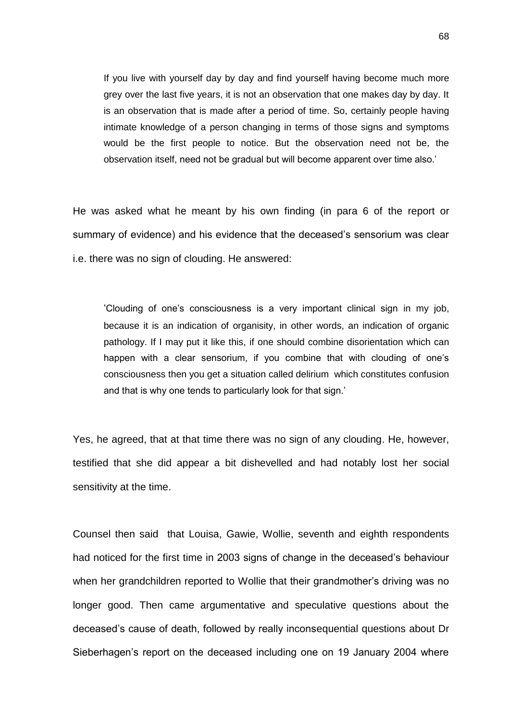If you live with yourself day by day and find yourself having become much more grey over the last five years, it is not an observation that one makes day by day. It is an observation that is made after a period of time. So, certainly people having intimate knowledge of a person changing in terms of those signs and symptoms would be the first people to notice. But the observation need not be, the observation itself, need not be gradual but will become apparent over time also.'

He was asked what he meant by his own finding (in para 6 of the report or summary of evidence) and his evidence that the deceased's sensorium was clear i.e. there was no sign of clouding. He answered:

'Clouding of one's consciousness is a very important clinical sign in my job, because it is an indication of organisity, in other words, an indication of organic pathology. If I may put it like this, if one should combine disorientation which can happen with a clear sensorium, if you combine that with clouding of one's consciousness then you get a situation called delirium which constitutes confusion and that is why one tends to particularly look for that sign.'

Yes, he agreed, that at that time there was no sign of any clouding. He, however, testified that she did appear a bit dishevelled and had notably lost her social sensitivity at the time.

Counsel then said that Louisa, Gawie, Wollie, seventh and eighth respondents had noticed for the first time in 2003 signs of change in the deceased's behaviour when her grandchildren reported to Wollie that their grandmother's driving was no longer good. Then came argumentative and speculative questions about the deceased's cause of death, followed by really inconsequential questions about Dr Sieberhagen's report on the deceased including one on 19 January 2004 where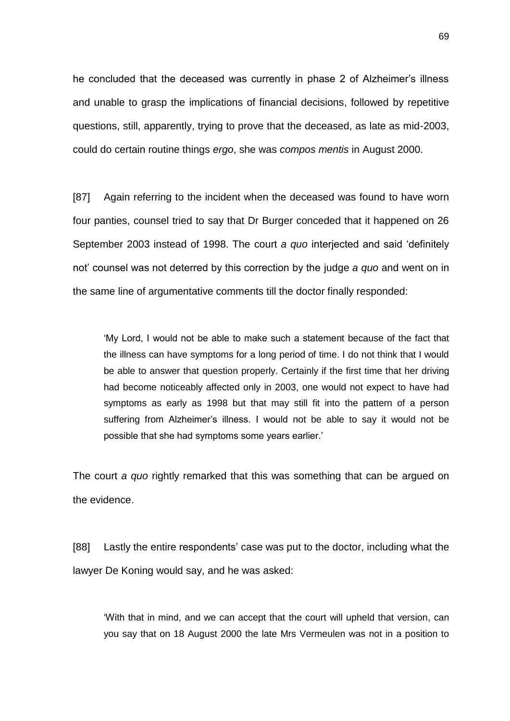he concluded that the deceased was currently in phase 2 of Alzheimer's illness and unable to grasp the implications of financial decisions, followed by repetitive questions, still, apparently, trying to prove that the deceased, as late as mid-2003, could do certain routine things *ergo*, she was *compos mentis* in August 2000.

[87] Again referring to the incident when the deceased was found to have worn four panties, counsel tried to say that Dr Burger conceded that it happened on 26 September 2003 instead of 1998. The court *a quo* interjected and said 'definitely not' counsel was not deterred by this correction by the judge *a quo* and went on in the same line of argumentative comments till the doctor finally responded:

'My Lord, I would not be able to make such a statement because of the fact that the illness can have symptoms for a long period of time. I do not think that I would be able to answer that question properly. Certainly if the first time that her driving had become noticeably affected only in 2003, one would not expect to have had symptoms as early as 1998 but that may still fit into the pattern of a person suffering from Alzheimer's illness. I would not be able to say it would not be possible that she had symptoms some years earlier.'

The court *a quo* rightly remarked that this was something that can be argued on the evidence.

[88] Lastly the entire respondents' case was put to the doctor, including what the lawyer De Koning would say, and he was asked:

'With that in mind, and we can accept that the court will upheld that version, can you say that on 18 August 2000 the late Mrs Vermeulen was not in a position to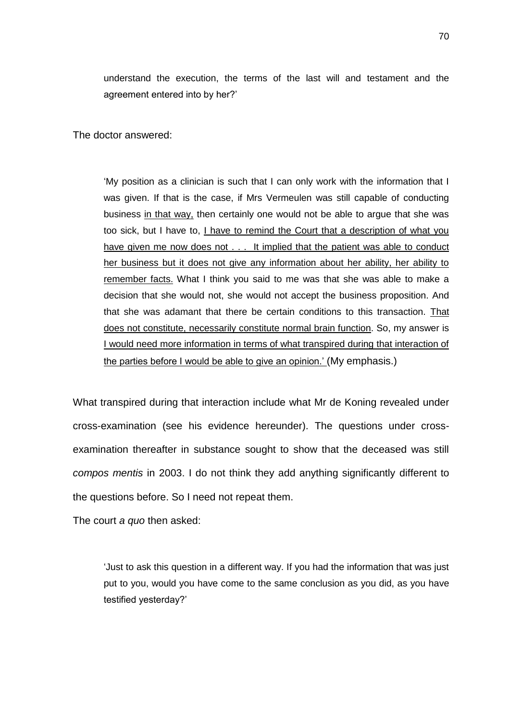understand the execution, the terms of the last will and testament and the agreement entered into by her?'

The doctor answered:

'My position as a clinician is such that I can only work with the information that I was given. If that is the case, if Mrs Vermeulen was still capable of conducting business in that way, then certainly one would not be able to argue that she was too sick, but I have to, I have to remind the Court that a description of what you have given me now does not . . . It implied that the patient was able to conduct her business but it does not give any information about her ability, her ability to remember facts. What I think you said to me was that she was able to make a decision that she would not, she would not accept the business proposition. And that she was adamant that there be certain conditions to this transaction. That does not constitute, necessarily constitute normal brain function. So, my answer is I would need more information in terms of what transpired during that interaction of the parties before I would be able to give an opinion.' (My emphasis.)

What transpired during that interaction include what Mr de Koning revealed under cross-examination (see his evidence hereunder). The questions under crossexamination thereafter in substance sought to show that the deceased was still *compos mentis* in 2003. I do not think they add anything significantly different to the questions before. So I need not repeat them.

The court *a quo* then asked:

'Just to ask this question in a different way. If you had the information that was just put to you, would you have come to the same conclusion as you did, as you have testified yesterday?'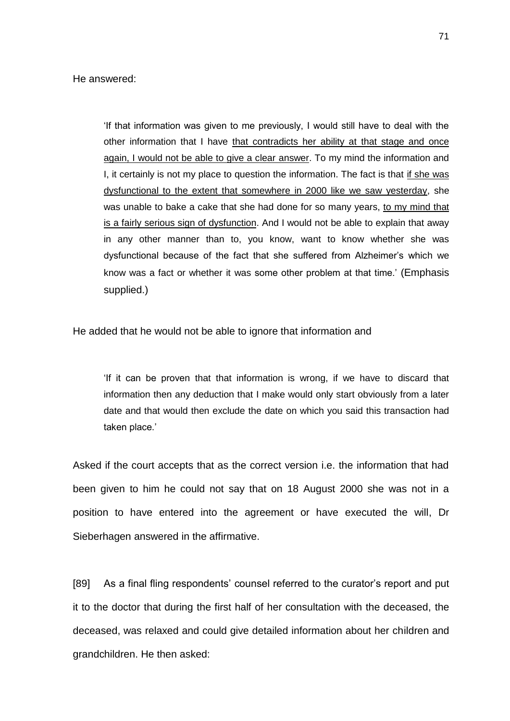'If that information was given to me previously, I would still have to deal with the other information that I have that contradicts her ability at that stage and once again, I would not be able to give a clear answer. To my mind the information and I, it certainly is not my place to question the information. The fact is that if she was dysfunctional to the extent that somewhere in 2000 like we saw yesterday, she was unable to bake a cake that she had done for so many years, to my mind that is a fairly serious sign of dysfunction. And I would not be able to explain that away in any other manner than to, you know, want to know whether she was dysfunctional because of the fact that she suffered from Alzheimer's which we know was a fact or whether it was some other problem at that time.' (Emphasis supplied.)

He added that he would not be able to ignore that information and

'If it can be proven that that information is wrong, if we have to discard that information then any deduction that I make would only start obviously from a later date and that would then exclude the date on which you said this transaction had taken place.'

Asked if the court accepts that as the correct version i.e. the information that had been given to him he could not say that on 18 August 2000 she was not in a position to have entered into the agreement or have executed the will, Dr Sieberhagen answered in the affirmative.

[89] As a final fling respondents' counsel referred to the curator's report and put it to the doctor that during the first half of her consultation with the deceased, the deceased, was relaxed and could give detailed information about her children and grandchildren. He then asked: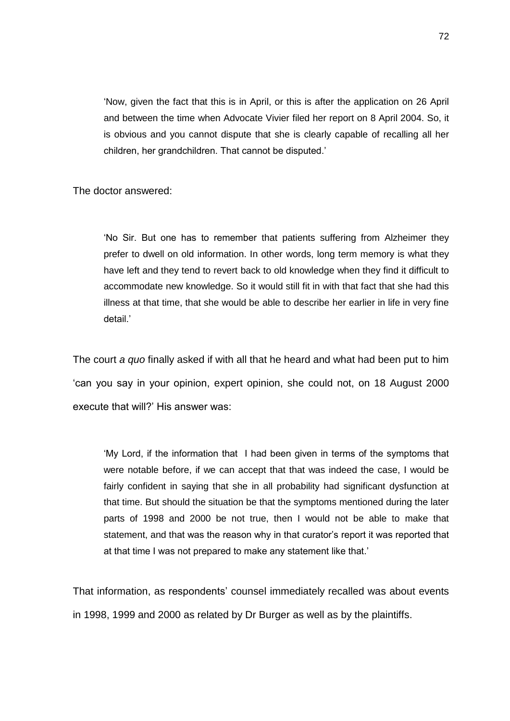'Now, given the fact that this is in April, or this is after the application on 26 April and between the time when Advocate Vivier filed her report on 8 April 2004. So, it is obvious and you cannot dispute that she is clearly capable of recalling all her children, her grandchildren. That cannot be disputed.'

The doctor answered:

'No Sir. But one has to remember that patients suffering from Alzheimer they prefer to dwell on old information. In other words, long term memory is what they have left and they tend to revert back to old knowledge when they find it difficult to accommodate new knowledge. So it would still fit in with that fact that she had this illness at that time, that she would be able to describe her earlier in life in very fine detail.'

The court *a quo* finally asked if with all that he heard and what had been put to him 'can you say in your opinion, expert opinion, she could not, on 18 August 2000 execute that will?' His answer was:

'My Lord, if the information that I had been given in terms of the symptoms that were notable before, if we can accept that that was indeed the case, I would be fairly confident in saying that she in all probability had significant dysfunction at that time. But should the situation be that the symptoms mentioned during the later parts of 1998 and 2000 be not true, then I would not be able to make that statement, and that was the reason why in that curator's report it was reported that at that time I was not prepared to make any statement like that.'

That information, as respondents' counsel immediately recalled was about events in 1998, 1999 and 2000 as related by Dr Burger as well as by the plaintiffs.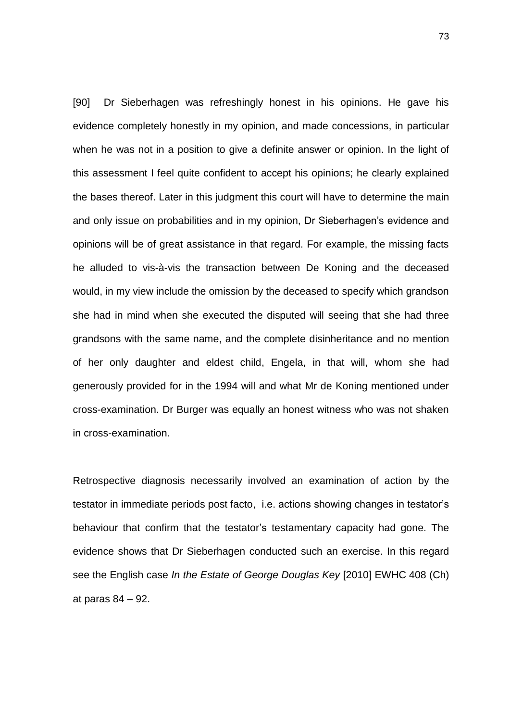[90] Dr Sieberhagen was refreshingly honest in his opinions. He gave his evidence completely honestly in my opinion, and made concessions, in particular when he was not in a position to give a definite answer or opinion. In the light of this assessment I feel quite confident to accept his opinions; he clearly explained the bases thereof. Later in this judgment this court will have to determine the main and only issue on probabilities and in my opinion, Dr Sieberhagen's evidence and opinions will be of great assistance in that regard. For example, the missing facts he alluded to vis-à-vis the transaction between De Koning and the deceased would, in my view include the omission by the deceased to specify which grandson she had in mind when she executed the disputed will seeing that she had three grandsons with the same name, and the complete disinheritance and no mention of her only daughter and eldest child, Engela, in that will, whom she had generously provided for in the 1994 will and what Mr de Koning mentioned under cross-examination. Dr Burger was equally an honest witness who was not shaken in cross-examination.

Retrospective diagnosis necessarily involved an examination of action by the testator in immediate periods post facto, i.e. actions showing changes in testator's behaviour that confirm that the testator's testamentary capacity had gone. The evidence shows that Dr Sieberhagen conducted such an exercise. In this regard see the English case *In the Estate of George Douglas Key* [2010] EWHC 408 (Ch) at paras 84 – 92.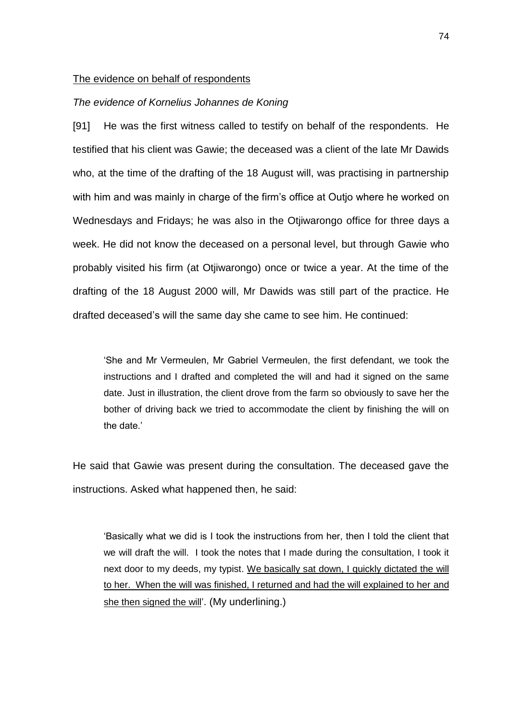## The evidence on behalf of respondents

# *The evidence of Kornelius Johannes de Koning*

[91] He was the first witness called to testify on behalf of the respondents. He testified that his client was Gawie; the deceased was a client of the late Mr Dawids who, at the time of the drafting of the 18 August will, was practising in partnership with him and was mainly in charge of the firm's office at Outjo where he worked on Wednesdays and Fridays; he was also in the Otjiwarongo office for three days a week. He did not know the deceased on a personal level, but through Gawie who probably visited his firm (at Otjiwarongo) once or twice a year. At the time of the drafting of the 18 August 2000 will, Mr Dawids was still part of the practice. He drafted deceased's will the same day she came to see him. He continued:

'She and Mr Vermeulen, Mr Gabriel Vermeulen, the first defendant, we took the instructions and I drafted and completed the will and had it signed on the same date. Just in illustration, the client drove from the farm so obviously to save her the bother of driving back we tried to accommodate the client by finishing the will on the date.'

He said that Gawie was present during the consultation. The deceased gave the instructions. Asked what happened then, he said:

'Basically what we did is I took the instructions from her, then I told the client that we will draft the will. I took the notes that I made during the consultation, I took it next door to my deeds, my typist. We basically sat down, I quickly dictated the will to her. When the will was finished, I returned and had the will explained to her and she then signed the will'. (My underlining.)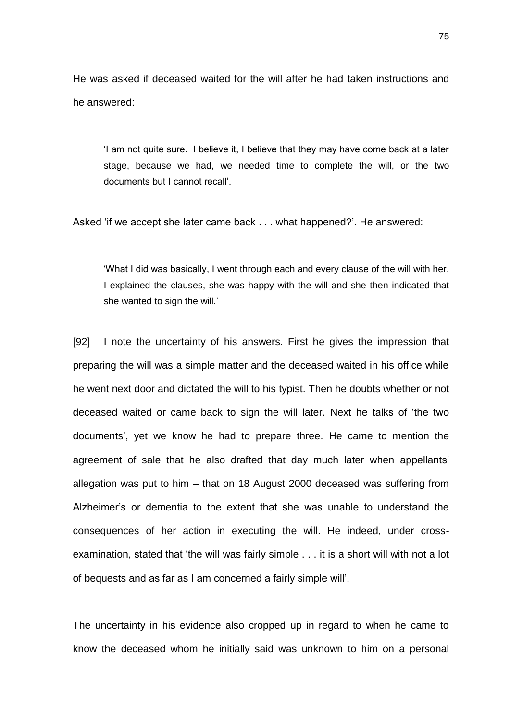He was asked if deceased waited for the will after he had taken instructions and he answered:

'I am not quite sure. I believe it, I believe that they may have come back at a later stage, because we had, we needed time to complete the will, or the two documents but I cannot recall'.

Asked 'if we accept she later came back . . . what happened?'. He answered:

'What I did was basically, I went through each and every clause of the will with her, I explained the clauses, she was happy with the will and she then indicated that she wanted to sign the will.'

[92] I note the uncertainty of his answers. First he gives the impression that preparing the will was a simple matter and the deceased waited in his office while he went next door and dictated the will to his typist. Then he doubts whether or not deceased waited or came back to sign the will later. Next he talks of 'the two documents', yet we know he had to prepare three. He came to mention the agreement of sale that he also drafted that day much later when appellants' allegation was put to him – that on 18 August 2000 deceased was suffering from Alzheimer's or dementia to the extent that she was unable to understand the consequences of her action in executing the will. He indeed, under crossexamination, stated that 'the will was fairly simple . . . it is a short will with not a lot of bequests and as far as I am concerned a fairly simple will'.

The uncertainty in his evidence also cropped up in regard to when he came to know the deceased whom he initially said was unknown to him on a personal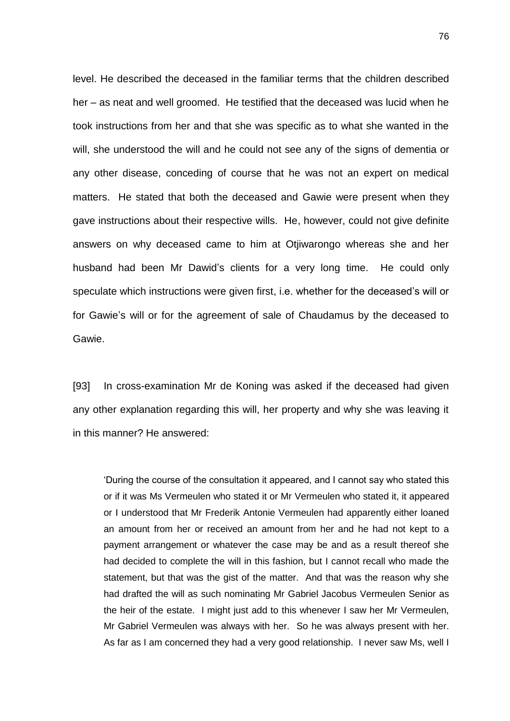level. He described the deceased in the familiar terms that the children described her – as neat and well groomed. He testified that the deceased was lucid when he took instructions from her and that she was specific as to what she wanted in the will, she understood the will and he could not see any of the signs of dementia or any other disease, conceding of course that he was not an expert on medical matters. He stated that both the deceased and Gawie were present when they gave instructions about their respective wills. He, however, could not give definite answers on why deceased came to him at Otjiwarongo whereas she and her husband had been Mr Dawid's clients for a very long time. He could only speculate which instructions were given first, i.e. whether for the deceased's will or for Gawie's will or for the agreement of sale of Chaudamus by the deceased to Gawie.

[93] In cross-examination Mr de Koning was asked if the deceased had given any other explanation regarding this will, her property and why she was leaving it in this manner? He answered:

'During the course of the consultation it appeared, and I cannot say who stated this or if it was Ms Vermeulen who stated it or Mr Vermeulen who stated it, it appeared or I understood that Mr Frederik Antonie Vermeulen had apparently either loaned an amount from her or received an amount from her and he had not kept to a payment arrangement or whatever the case may be and as a result thereof she had decided to complete the will in this fashion, but I cannot recall who made the statement, but that was the gist of the matter. And that was the reason why she had drafted the will as such nominating Mr Gabriel Jacobus Vermeulen Senior as the heir of the estate. I might just add to this whenever I saw her Mr Vermeulen, Mr Gabriel Vermeulen was always with her. So he was always present with her. As far as I am concerned they had a very good relationship. I never saw Ms, well I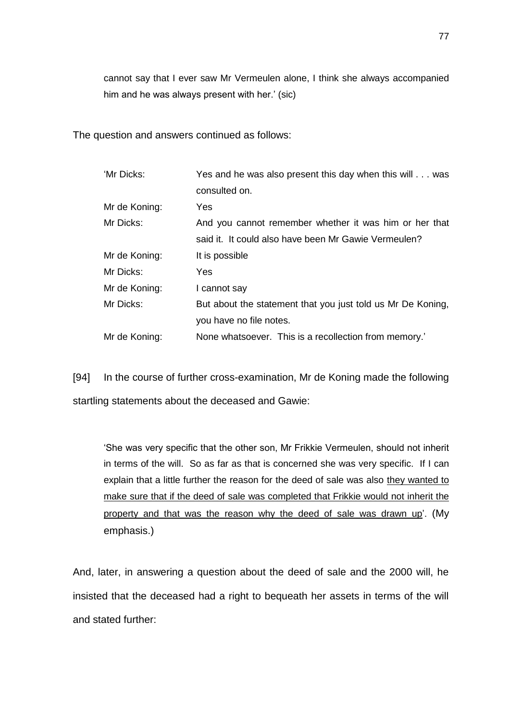cannot say that I ever saw Mr Vermeulen alone, I think she always accompanied him and he was always present with her.' (sic)

The question and answers continued as follows:

| 'Mr Dicks:    | Yes and he was also present this day when this will was     |
|---------------|-------------------------------------------------------------|
|               | consulted on.                                               |
| Mr de Koning: | Yes                                                         |
| Mr Dicks:     | And you cannot remember whether it was him or her that      |
|               | said it. It could also have been Mr Gawie Vermeulen?        |
| Mr de Koning: | It is possible                                              |
| Mr Dicks:     | Yes                                                         |
| Mr de Koning: | I cannot say                                                |
| Mr Dicks:     | But about the statement that you just told us Mr De Koning, |
|               | you have no file notes.                                     |
| Mr de Koning: | None whatsoever. This is a recollection from memory.'       |

[94] In the course of further cross-examination, Mr de Koning made the following startling statements about the deceased and Gawie:

'She was very specific that the other son, Mr Frikkie Vermeulen, should not inherit in terms of the will. So as far as that is concerned she was very specific. If I can explain that a little further the reason for the deed of sale was also they wanted to make sure that if the deed of sale was completed that Frikkie would not inherit the property and that was the reason why the deed of sale was drawn up'. (My emphasis.)

And, later, in answering a question about the deed of sale and the 2000 will, he insisted that the deceased had a right to bequeath her assets in terms of the will and stated further: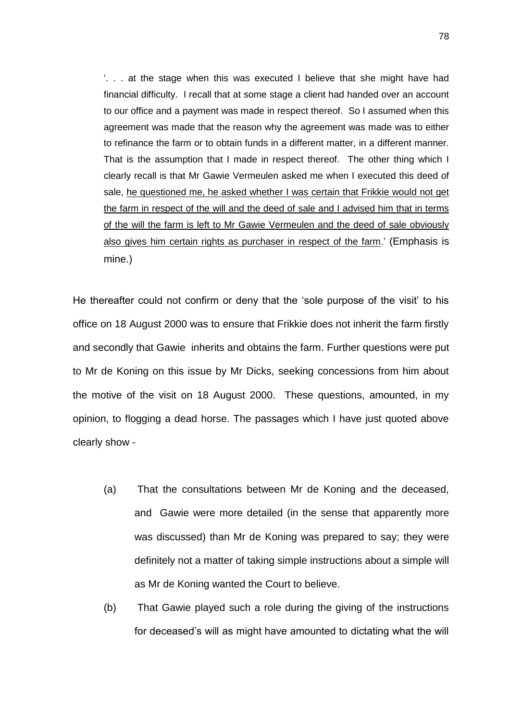'. . . at the stage when this was executed I believe that she might have had financial difficulty. I recall that at some stage a client had handed over an account to our office and a payment was made in respect thereof. So I assumed when this agreement was made that the reason why the agreement was made was to either to refinance the farm or to obtain funds in a different matter, in a different manner. That is the assumption that I made in respect thereof. The other thing which I clearly recall is that Mr Gawie Vermeulen asked me when I executed this deed of sale, he questioned me, he asked whether I was certain that Frikkie would not get the farm in respect of the will and the deed of sale and I advised him that in terms of the will the farm is left to Mr Gawie Vermeulen and the deed of sale obviously also gives him certain rights as purchaser in respect of the farm.' (Emphasis is mine.)

He thereafter could not confirm or deny that the 'sole purpose of the visit' to his office on 18 August 2000 was to ensure that Frikkie does not inherit the farm firstly and secondly that Gawie inherits and obtains the farm. Further questions were put to Mr de Koning on this issue by Mr Dicks, seeking concessions from him about the motive of the visit on 18 August 2000. These questions, amounted, in my opinion, to flogging a dead horse. The passages which I have just quoted above clearly show -

- (a) That the consultations between Mr de Koning and the deceased, and Gawie were more detailed (in the sense that apparently more was discussed) than Mr de Koning was prepared to say; they were definitely not a matter of taking simple instructions about a simple will as Mr de Koning wanted the Court to believe.
- (b) That Gawie played such a role during the giving of the instructions for deceased's will as might have amounted to dictating what the will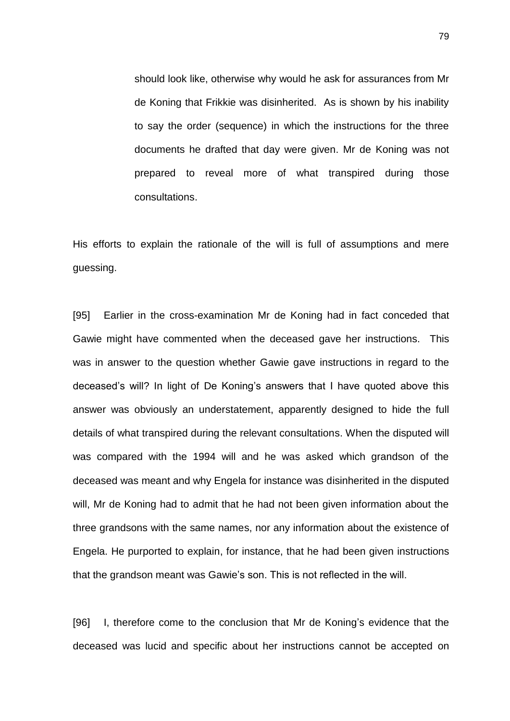should look like, otherwise why would he ask for assurances from Mr de Koning that Frikkie was disinherited. As is shown by his inability to say the order (sequence) in which the instructions for the three documents he drafted that day were given. Mr de Koning was not prepared to reveal more of what transpired during those consultations.

His efforts to explain the rationale of the will is full of assumptions and mere guessing.

[95] Earlier in the cross-examination Mr de Koning had in fact conceded that Gawie might have commented when the deceased gave her instructions. This was in answer to the question whether Gawie gave instructions in regard to the deceased's will? In light of De Koning's answers that I have quoted above this answer was obviously an understatement, apparently designed to hide the full details of what transpired during the relevant consultations. When the disputed will was compared with the 1994 will and he was asked which grandson of the deceased was meant and why Engela for instance was disinherited in the disputed will, Mr de Koning had to admit that he had not been given information about the three grandsons with the same names, nor any information about the existence of Engela. He purported to explain, for instance, that he had been given instructions that the grandson meant was Gawie's son. This is not reflected in the will.

[96] I, therefore come to the conclusion that Mr de Koning's evidence that the deceased was lucid and specific about her instructions cannot be accepted on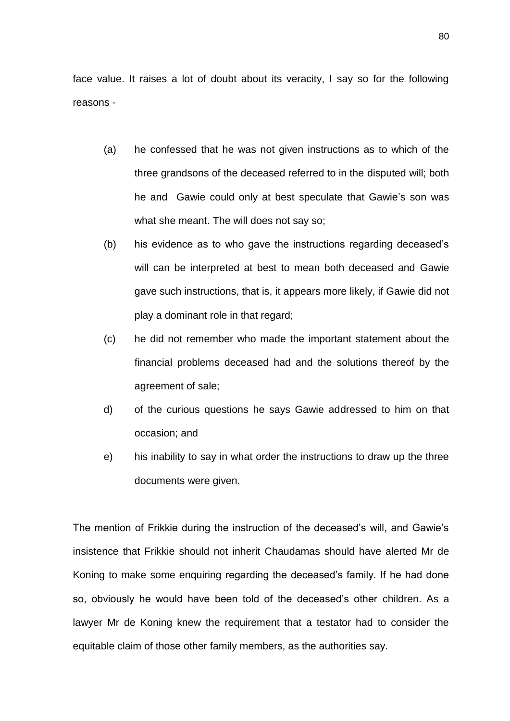face value. It raises a lot of doubt about its veracity, I say so for the following reasons -

- (a) he confessed that he was not given instructions as to which of the three grandsons of the deceased referred to in the disputed will; both he and Gawie could only at best speculate that Gawie's son was what she meant. The will does not say so;
- (b) his evidence as to who gave the instructions regarding deceased's will can be interpreted at best to mean both deceased and Gawie gave such instructions, that is, it appears more likely, if Gawie did not play a dominant role in that regard;
- (c) he did not remember who made the important statement about the financial problems deceased had and the solutions thereof by the agreement of sale;
- d) of the curious questions he says Gawie addressed to him on that occasion; and
- e) his inability to say in what order the instructions to draw up the three documents were given.

The mention of Frikkie during the instruction of the deceased's will, and Gawie's insistence that Frikkie should not inherit Chaudamas should have alerted Mr de Koning to make some enquiring regarding the deceased's family. If he had done so, obviously he would have been told of the deceased's other children. As a lawyer Mr de Koning knew the requirement that a testator had to consider the equitable claim of those other family members, as the authorities say.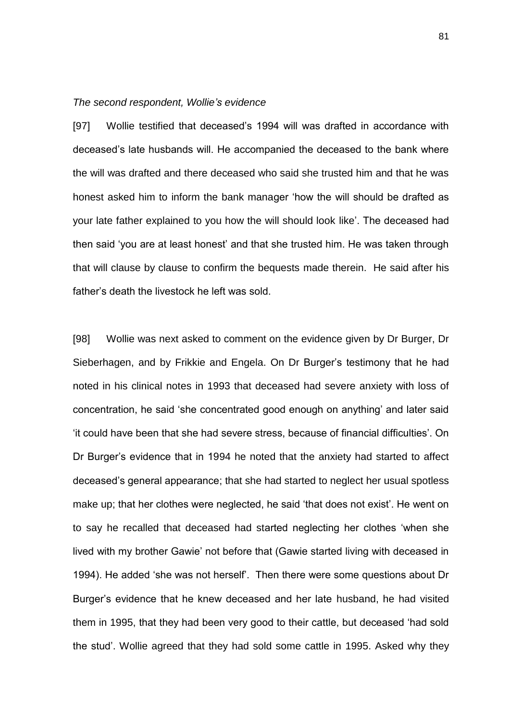# *The second respondent, Wollie's evidence*

[97] Wollie testified that deceased's 1994 will was drafted in accordance with deceased's late husbands will. He accompanied the deceased to the bank where the will was drafted and there deceased who said she trusted him and that he was honest asked him to inform the bank manager 'how the will should be drafted as your late father explained to you how the will should look like'. The deceased had then said 'you are at least honest' and that she trusted him. He was taken through that will clause by clause to confirm the bequests made therein. He said after his father's death the livestock he left was sold.

[98] Wollie was next asked to comment on the evidence given by Dr Burger, Dr Sieberhagen, and by Frikkie and Engela. On Dr Burger's testimony that he had noted in his clinical notes in 1993 that deceased had severe anxiety with loss of concentration, he said 'she concentrated good enough on anything' and later said 'it could have been that she had severe stress, because of financial difficulties'. On Dr Burger's evidence that in 1994 he noted that the anxiety had started to affect deceased's general appearance; that she had started to neglect her usual spotless make up; that her clothes were neglected, he said 'that does not exist'. He went on to say he recalled that deceased had started neglecting her clothes 'when she lived with my brother Gawie' not before that (Gawie started living with deceased in 1994). He added 'she was not herself'. Then there were some questions about Dr Burger's evidence that he knew deceased and her late husband, he had visited them in 1995, that they had been very good to their cattle, but deceased 'had sold the stud'. Wollie agreed that they had sold some cattle in 1995. Asked why they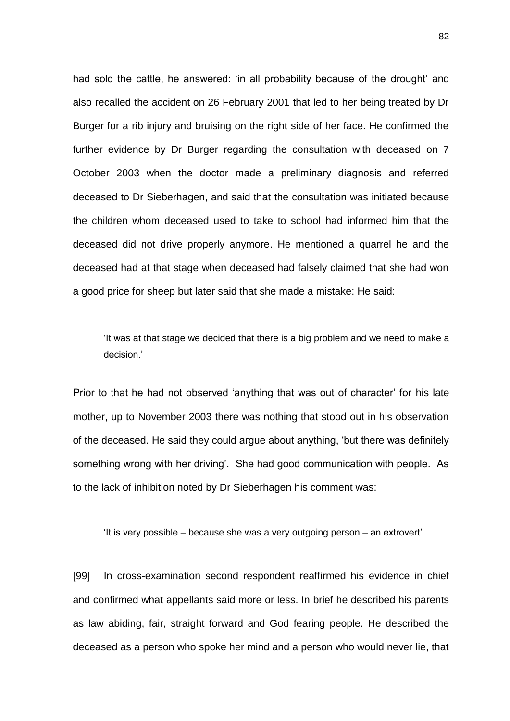had sold the cattle, he answered: 'in all probability because of the drought' and also recalled the accident on 26 February 2001 that led to her being treated by Dr Burger for a rib injury and bruising on the right side of her face. He confirmed the further evidence by Dr Burger regarding the consultation with deceased on 7 October 2003 when the doctor made a preliminary diagnosis and referred deceased to Dr Sieberhagen, and said that the consultation was initiated because the children whom deceased used to take to school had informed him that the deceased did not drive properly anymore. He mentioned a quarrel he and the deceased had at that stage when deceased had falsely claimed that she had won a good price for sheep but later said that she made a mistake: He said:

'It was at that stage we decided that there is a big problem and we need to make a decision.'

Prior to that he had not observed 'anything that was out of character' for his late mother, up to November 2003 there was nothing that stood out in his observation of the deceased. He said they could argue about anything, 'but there was definitely something wrong with her driving'. She had good communication with people. As to the lack of inhibition noted by Dr Sieberhagen his comment was:

'It is very possible – because she was a very outgoing person – an extrovert'.

[99] In cross-examination second respondent reaffirmed his evidence in chief and confirmed what appellants said more or less. In brief he described his parents as law abiding, fair, straight forward and God fearing people. He described the deceased as a person who spoke her mind and a person who would never lie, that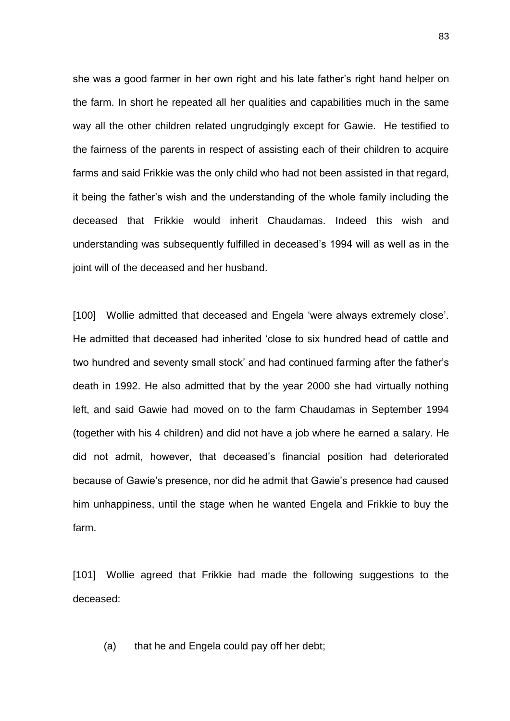she was a good farmer in her own right and his late father's right hand helper on the farm. In short he repeated all her qualities and capabilities much in the same way all the other children related ungrudgingly except for Gawie. He testified to the fairness of the parents in respect of assisting each of their children to acquire farms and said Frikkie was the only child who had not been assisted in that regard, it being the father's wish and the understanding of the whole family including the deceased that Frikkie would inherit Chaudamas. Indeed this wish and understanding was subsequently fulfilled in deceased's 1994 will as well as in the joint will of the deceased and her husband.

[100] Wollie admitted that deceased and Engela 'were always extremely close'. He admitted that deceased had inherited 'close to six hundred head of cattle and two hundred and seventy small stock' and had continued farming after the father's death in 1992. He also admitted that by the year 2000 she had virtually nothing left, and said Gawie had moved on to the farm Chaudamas in September 1994 (together with his 4 children) and did not have a job where he earned a salary. He did not admit, however, that deceased's financial position had deteriorated because of Gawie's presence, nor did he admit that Gawie's presence had caused him unhappiness, until the stage when he wanted Engela and Frikkie to buy the farm.

[101] Wollie agreed that Frikkie had made the following suggestions to the deceased:

(a) that he and Engela could pay off her debt;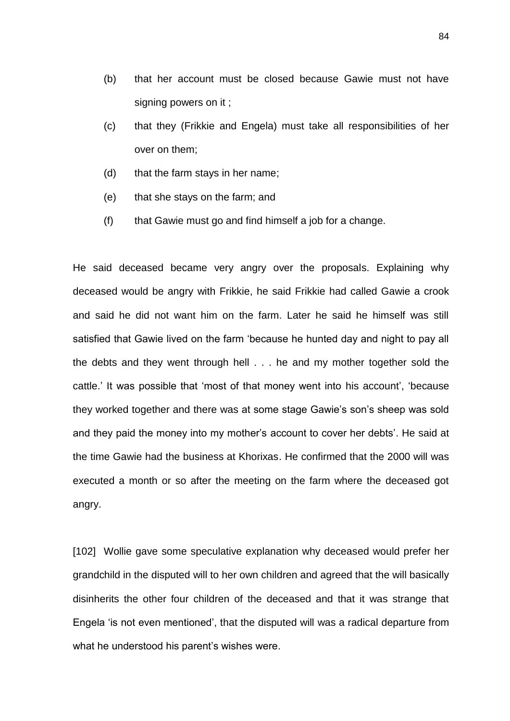- (b) that her account must be closed because Gawie must not have signing powers on it ;
- (c) that they (Frikkie and Engela) must take all responsibilities of her over on them;
- (d) that the farm stays in her name;
- (e) that she stays on the farm; and
- (f) that Gawie must go and find himself a job for a change.

He said deceased became very angry over the proposals. Explaining why deceased would be angry with Frikkie, he said Frikkie had called Gawie a crook and said he did not want him on the farm. Later he said he himself was still satisfied that Gawie lived on the farm 'because he hunted day and night to pay all the debts and they went through hell . . . he and my mother together sold the cattle.' It was possible that 'most of that money went into his account', 'because they worked together and there was at some stage Gawie's son's sheep was sold and they paid the money into my mother's account to cover her debts'. He said at the time Gawie had the business at Khorixas. He confirmed that the 2000 will was executed a month or so after the meeting on the farm where the deceased got angry.

[102] Wollie gave some speculative explanation why deceased would prefer her grandchild in the disputed will to her own children and agreed that the will basically disinherits the other four children of the deceased and that it was strange that Engela 'is not even mentioned', that the disputed will was a radical departure from what he understood his parent's wishes were.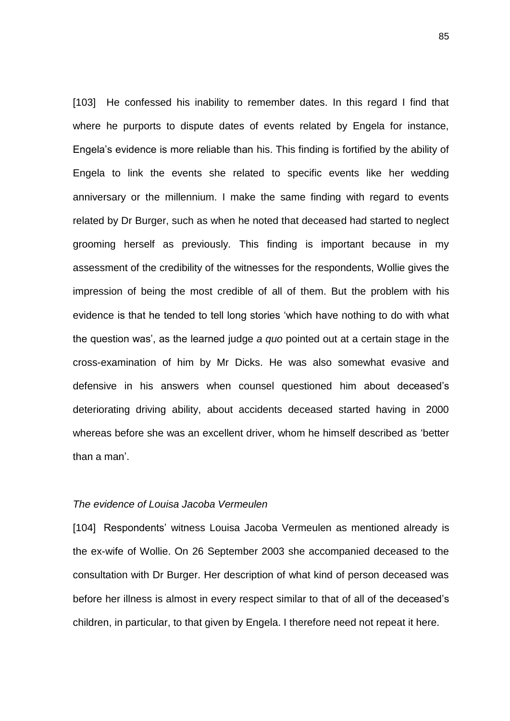[103] He confessed his inability to remember dates. In this regard I find that where he purports to dispute dates of events related by Engela for instance, Engela's evidence is more reliable than his. This finding is fortified by the ability of Engela to link the events she related to specific events like her wedding anniversary or the millennium. I make the same finding with regard to events related by Dr Burger, such as when he noted that deceased had started to neglect grooming herself as previously. This finding is important because in my assessment of the credibility of the witnesses for the respondents, Wollie gives the impression of being the most credible of all of them. But the problem with his evidence is that he tended to tell long stories 'which have nothing to do with what the question was', as the learned judge *a quo* pointed out at a certain stage in the cross-examination of him by Mr Dicks. He was also somewhat evasive and defensive in his answers when counsel questioned him about deceased's deteriorating driving ability, about accidents deceased started having in 2000 whereas before she was an excellent driver, whom he himself described as 'better than a man'.

# *The evidence of Louisa Jacoba Vermeulen*

[104] Respondents' witness Louisa Jacoba Vermeulen as mentioned already is the ex-wife of Wollie. On 26 September 2003 she accompanied deceased to the consultation with Dr Burger. Her description of what kind of person deceased was before her illness is almost in every respect similar to that of all of the deceased's children, in particular, to that given by Engela. I therefore need not repeat it here.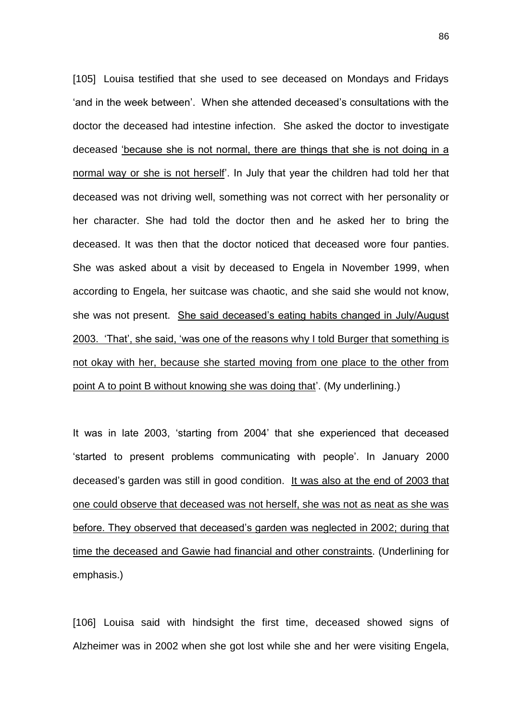[105] Louisa testified that she used to see deceased on Mondays and Fridays 'and in the week between'. When she attended deceased's consultations with the doctor the deceased had intestine infection. She asked the doctor to investigate deceased 'because she is not normal, there are things that she is not doing in a normal way or she is not herself'. In July that year the children had told her that deceased was not driving well, something was not correct with her personality or her character. She had told the doctor then and he asked her to bring the deceased. It was then that the doctor noticed that deceased wore four panties. She was asked about a visit by deceased to Engela in November 1999, when according to Engela, her suitcase was chaotic, and she said she would not know, she was not present. She said deceased's eating habits changed in July/August 2003. 'That', she said, 'was one of the reasons why I told Burger that something is not okay with her, because she started moving from one place to the other from point A to point B without knowing she was doing that'. (My underlining.)

It was in late 2003, 'starting from 2004' that she experienced that deceased 'started to present problems communicating with people'. In January 2000 deceased's garden was still in good condition. It was also at the end of 2003 that one could observe that deceased was not herself, she was not as neat as she was before. They observed that deceased's garden was neglected in 2002; during that time the deceased and Gawie had financial and other constraints. (Underlining for emphasis.)

[106] Louisa said with hindsight the first time, deceased showed signs of Alzheimer was in 2002 when she got lost while she and her were visiting Engela,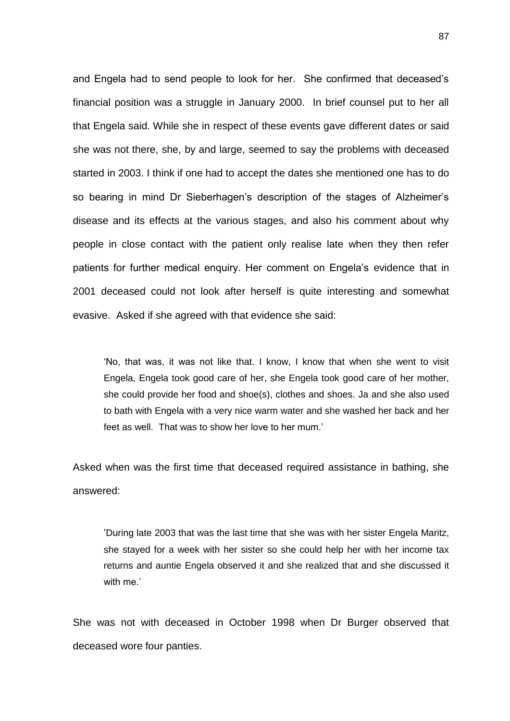and Engela had to send people to look for her. She confirmed that deceased's financial position was a struggle in January 2000. In brief counsel put to her all that Engela said. While she in respect of these events gave different dates or said she was not there, she, by and large, seemed to say the problems with deceased started in 2003. I think if one had to accept the dates she mentioned one has to do so bearing in mind Dr Sieberhagen's description of the stages of Alzheimer's disease and its effects at the various stages, and also his comment about why people in close contact with the patient only realise late when they then refer patients for further medical enquiry. Her comment on Engela's evidence that in 2001 deceased could not look after herself is quite interesting and somewhat evasive. Asked if she agreed with that evidence she said:

'No, that was, it was not like that. I know, I know that when she went to visit Engela, Engela took good care of her, she Engela took good care of her mother, she could provide her food and shoe(s), clothes and shoes. Ja and she also used to bath with Engela with a very nice warm water and she washed her back and her feet as well. That was to show her love to her mum.'

Asked when was the first time that deceased required assistance in bathing, she answered:

'During late 2003 that was the last time that she was with her sister Engela Maritz, she stayed for a week with her sister so she could help her with her income tax returns and auntie Engela observed it and she realized that and she discussed it with me.'

She was not with deceased in October 1998 when Dr Burger observed that deceased wore four panties.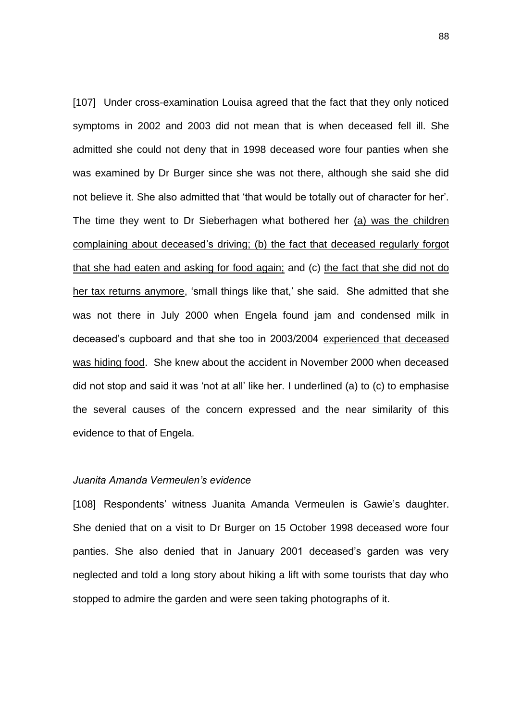[107] Under cross-examination Louisa agreed that the fact that they only noticed symptoms in 2002 and 2003 did not mean that is when deceased fell ill. She admitted she could not deny that in 1998 deceased wore four panties when she was examined by Dr Burger since she was not there, although she said she did not believe it. She also admitted that 'that would be totally out of character for her'. The time they went to Dr Sieberhagen what bothered her (a) was the children complaining about deceased's driving; (b) the fact that deceased regularly forgot that she had eaten and asking for food again; and (c) the fact that she did not do her tax returns anymore, 'small things like that,' she said. She admitted that she was not there in July 2000 when Engela found jam and condensed milk in deceased's cupboard and that she too in 2003/2004 experienced that deceased was hiding food. She knew about the accident in November 2000 when deceased did not stop and said it was 'not at all' like her. I underlined (a) to (c) to emphasise the several causes of the concern expressed and the near similarity of this evidence to that of Engela.

## *Juanita Amanda Vermeulen's evidence*

[108] Respondents' witness Juanita Amanda Vermeulen is Gawie's daughter. She denied that on a visit to Dr Burger on 15 October 1998 deceased wore four panties. She also denied that in January 2001 deceased's garden was very neglected and told a long story about hiking a lift with some tourists that day who stopped to admire the garden and were seen taking photographs of it.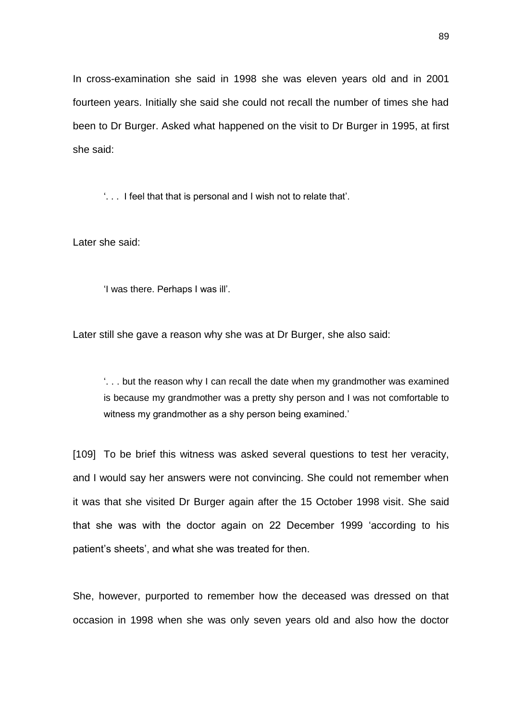In cross-examination she said in 1998 she was eleven years old and in 2001 fourteen years. Initially she said she could not recall the number of times she had been to Dr Burger. Asked what happened on the visit to Dr Burger in 1995, at first she said:

'. . . I feel that that is personal and I wish not to relate that'.

Later she said:

'I was there. Perhaps I was ill'.

Later still she gave a reason why she was at Dr Burger, she also said:

'. . . but the reason why I can recall the date when my grandmother was examined is because my grandmother was a pretty shy person and I was not comfortable to witness my grandmother as a shy person being examined.'

[109] To be brief this witness was asked several questions to test her veracity, and I would say her answers were not convincing. She could not remember when it was that she visited Dr Burger again after the 15 October 1998 visit. She said that she was with the doctor again on 22 December 1999 'according to his patient's sheets', and what she was treated for then.

She, however, purported to remember how the deceased was dressed on that occasion in 1998 when she was only seven years old and also how the doctor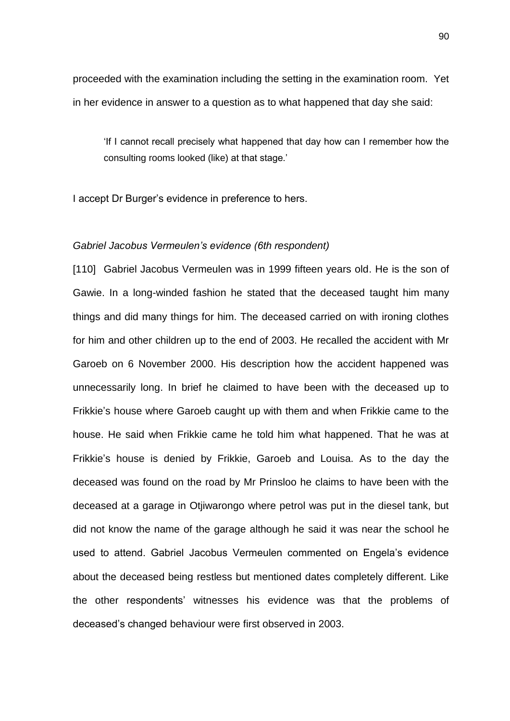proceeded with the examination including the setting in the examination room. Yet in her evidence in answer to a question as to what happened that day she said:

'If I cannot recall precisely what happened that day how can I remember how the consulting rooms looked (like) at that stage.'

I accept Dr Burger's evidence in preference to hers.

## *Gabriel Jacobus Vermeulen's evidence (6th respondent)*

[110] Gabriel Jacobus Vermeulen was in 1999 fifteen years old. He is the son of Gawie. In a long-winded fashion he stated that the deceased taught him many things and did many things for him. The deceased carried on with ironing clothes for him and other children up to the end of 2003. He recalled the accident with Mr Garoeb on 6 November 2000. His description how the accident happened was unnecessarily long. In brief he claimed to have been with the deceased up to Frikkie's house where Garoeb caught up with them and when Frikkie came to the house. He said when Frikkie came he told him what happened. That he was at Frikkie's house is denied by Frikkie, Garoeb and Louisa. As to the day the deceased was found on the road by Mr Prinsloo he claims to have been with the deceased at a garage in Otjiwarongo where petrol was put in the diesel tank, but did not know the name of the garage although he said it was near the school he used to attend. Gabriel Jacobus Vermeulen commented on Engela's evidence about the deceased being restless but mentioned dates completely different. Like the other respondents' witnesses his evidence was that the problems of deceased's changed behaviour were first observed in 2003.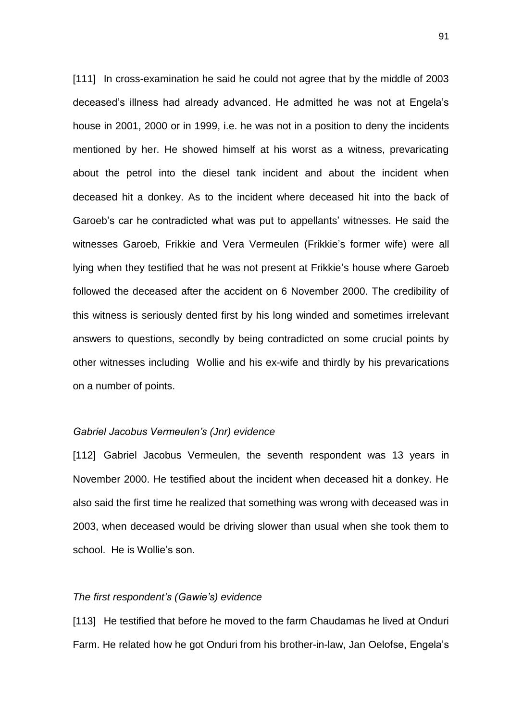[111] In cross-examination he said he could not agree that by the middle of 2003 deceased's illness had already advanced. He admitted he was not at Engela's house in 2001, 2000 or in 1999, i.e. he was not in a position to deny the incidents mentioned by her. He showed himself at his worst as a witness, prevaricating about the petrol into the diesel tank incident and about the incident when deceased hit a donkey. As to the incident where deceased hit into the back of Garoeb's car he contradicted what was put to appellants' witnesses. He said the witnesses Garoeb, Frikkie and Vera Vermeulen (Frikkie's former wife) were all lying when they testified that he was not present at Frikkie's house where Garoeb followed the deceased after the accident on 6 November 2000. The credibility of this witness is seriously dented first by his long winded and sometimes irrelevant answers to questions, secondly by being contradicted on some crucial points by other witnesses including Wollie and his ex-wife and thirdly by his prevarications on a number of points.

#### *Gabriel Jacobus Vermeulen's (Jnr) evidence*

[112] Gabriel Jacobus Vermeulen, the seventh respondent was 13 years in November 2000. He testified about the incident when deceased hit a donkey. He also said the first time he realized that something was wrong with deceased was in 2003, when deceased would be driving slower than usual when she took them to school. He is Wollie's son.

#### *The first respondent's (Gawie's) evidence*

[113] He testified that before he moved to the farm Chaudamas he lived at Onduri Farm. He related how he got Onduri from his brother-in-law, Jan Oelofse, Engela's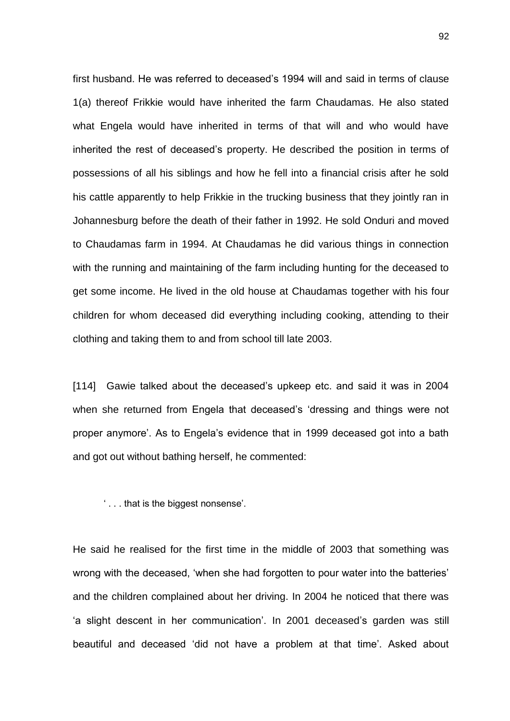first husband. He was referred to deceased's 1994 will and said in terms of clause 1(a) thereof Frikkie would have inherited the farm Chaudamas. He also stated what Engela would have inherited in terms of that will and who would have inherited the rest of deceased's property. He described the position in terms of possessions of all his siblings and how he fell into a financial crisis after he sold his cattle apparently to help Frikkie in the trucking business that they jointly ran in Johannesburg before the death of their father in 1992. He sold Onduri and moved to Chaudamas farm in 1994. At Chaudamas he did various things in connection with the running and maintaining of the farm including hunting for the deceased to get some income. He lived in the old house at Chaudamas together with his four children for whom deceased did everything including cooking, attending to their clothing and taking them to and from school till late 2003.

[114] Gawie talked about the deceased's upkeep etc. and said it was in 2004 when she returned from Engela that deceased's 'dressing and things were not proper anymore'. As to Engela's evidence that in 1999 deceased got into a bath and got out without bathing herself, he commented:

' . . . that is the biggest nonsense'.

He said he realised for the first time in the middle of 2003 that something was wrong with the deceased, 'when she had forgotten to pour water into the batteries' and the children complained about her driving. In 2004 he noticed that there was 'a slight descent in her communication'. In 2001 deceased's garden was still beautiful and deceased 'did not have a problem at that time'. Asked about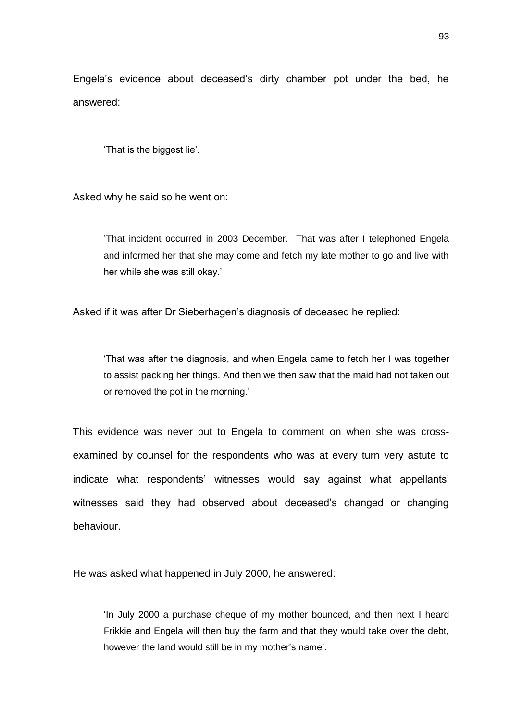Engela's evidence about deceased's dirty chamber pot under the bed, he answered:

'That is the biggest lie'.

Asked why he said so he went on:

'That incident occurred in 2003 December. That was after I telephoned Engela and informed her that she may come and fetch my late mother to go and live with her while she was still okay.'

Asked if it was after Dr Sieberhagen's diagnosis of deceased he replied:

'That was after the diagnosis, and when Engela came to fetch her I was together to assist packing her things. And then we then saw that the maid had not taken out or removed the pot in the morning.'

This evidence was never put to Engela to comment on when she was crossexamined by counsel for the respondents who was at every turn very astute to indicate what respondents' witnesses would say against what appellants' witnesses said they had observed about deceased's changed or changing behaviour.

He was asked what happened in July 2000, he answered:

'In July 2000 a purchase cheque of my mother bounced, and then next I heard Frikkie and Engela will then buy the farm and that they would take over the debt, however the land would still be in my mother's name'.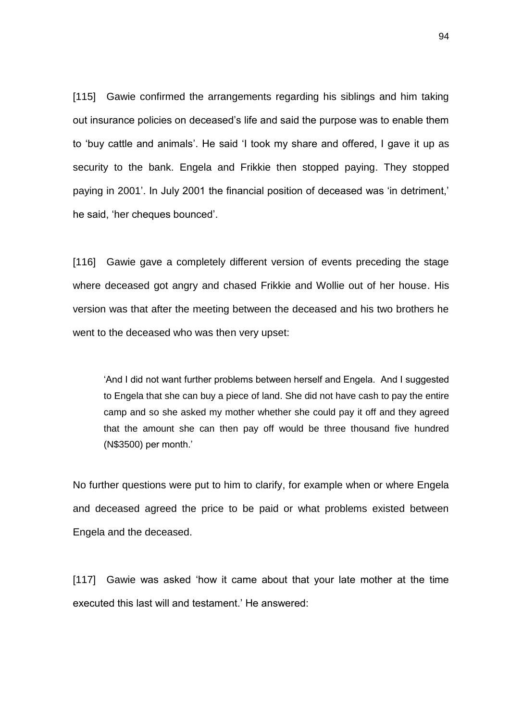[115] Gawie confirmed the arrangements regarding his siblings and him taking out insurance policies on deceased's life and said the purpose was to enable them to 'buy cattle and animals'. He said 'I took my share and offered, I gave it up as security to the bank. Engela and Frikkie then stopped paying. They stopped paying in 2001'. In July 2001 the financial position of deceased was 'in detriment,' he said, 'her cheques bounced'.

[116] Gawie gave a completely different version of events preceding the stage where deceased got angry and chased Frikkie and Wollie out of her house. His version was that after the meeting between the deceased and his two brothers he went to the deceased who was then very upset:

'And I did not want further problems between herself and Engela. And I suggested to Engela that she can buy a piece of land. She did not have cash to pay the entire camp and so she asked my mother whether she could pay it off and they agreed that the amount she can then pay off would be three thousand five hundred (N\$3500) per month.'

No further questions were put to him to clarify, for example when or where Engela and deceased agreed the price to be paid or what problems existed between Engela and the deceased.

[117] Gawie was asked 'how it came about that your late mother at the time executed this last will and testament.' He answered: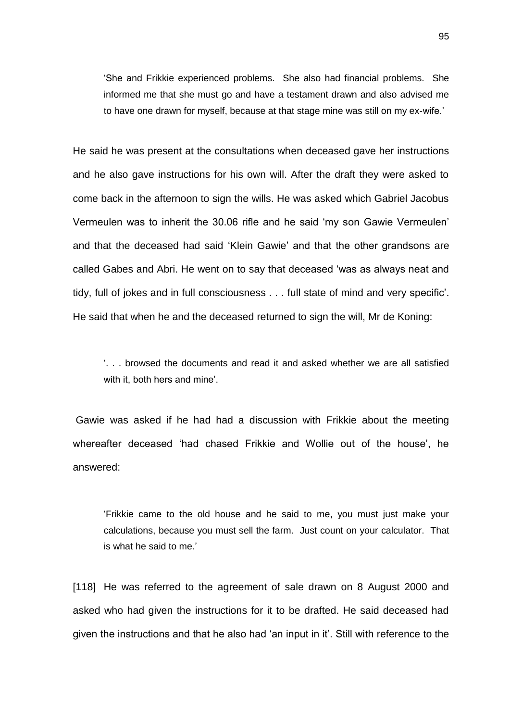'She and Frikkie experienced problems. She also had financial problems. She informed me that she must go and have a testament drawn and also advised me to have one drawn for myself, because at that stage mine was still on my ex-wife.'

He said he was present at the consultations when deceased gave her instructions and he also gave instructions for his own will. After the draft they were asked to come back in the afternoon to sign the wills. He was asked which Gabriel Jacobus Vermeulen was to inherit the 30.06 rifle and he said 'my son Gawie Vermeulen' and that the deceased had said 'Klein Gawie' and that the other grandsons are called Gabes and Abri. He went on to say that deceased 'was as always neat and tidy, full of jokes and in full consciousness . . . full state of mind and very specific'. He said that when he and the deceased returned to sign the will, Mr de Koning:

'. . . browsed the documents and read it and asked whether we are all satisfied with it, both hers and mine'.

Gawie was asked if he had had a discussion with Frikkie about the meeting whereafter deceased 'had chased Frikkie and Wollie out of the house', he answered:

'Frikkie came to the old house and he said to me, you must just make your calculations, because you must sell the farm. Just count on your calculator. That is what he said to me.'

[118] He was referred to the agreement of sale drawn on 8 August 2000 and asked who had given the instructions for it to be drafted. He said deceased had given the instructions and that he also had 'an input in it'. Still with reference to the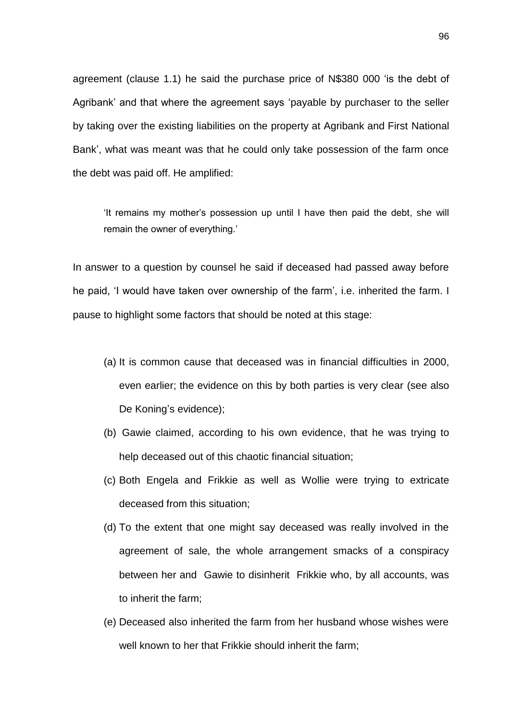agreement (clause 1.1) he said the purchase price of N\$380 000 'is the debt of Agribank' and that where the agreement says 'payable by purchaser to the seller by taking over the existing liabilities on the property at Agribank and First National Bank', what was meant was that he could only take possession of the farm once the debt was paid off. He amplified:

'It remains my mother's possession up until I have then paid the debt, she will remain the owner of everything.'

In answer to a question by counsel he said if deceased had passed away before he paid, 'I would have taken over ownership of the farm', i.e. inherited the farm. I pause to highlight some factors that should be noted at this stage:

- (a) It is common cause that deceased was in financial difficulties in 2000, even earlier; the evidence on this by both parties is very clear (see also De Koning's evidence);
- (b) Gawie claimed, according to his own evidence, that he was trying to help deceased out of this chaotic financial situation;
- (c) Both Engela and Frikkie as well as Wollie were trying to extricate deceased from this situation;
- (d) To the extent that one might say deceased was really involved in the agreement of sale, the whole arrangement smacks of a conspiracy between her and Gawie to disinherit Frikkie who, by all accounts, was to inherit the farm;
- (e) Deceased also inherited the farm from her husband whose wishes were well known to her that Frikkie should inherit the farm;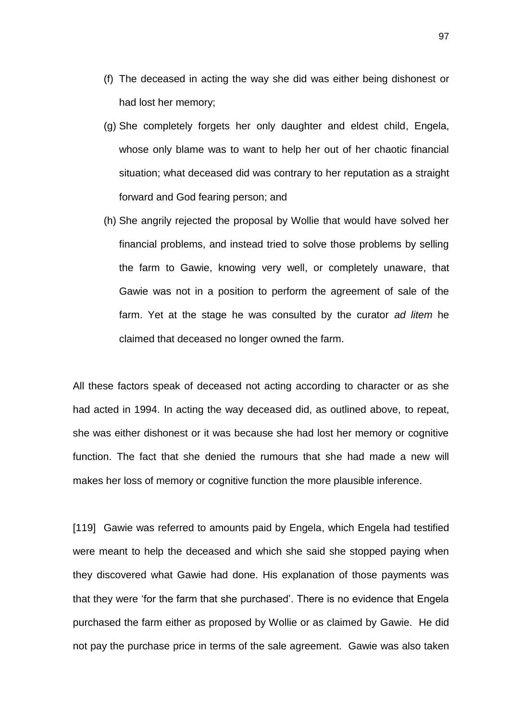- (f) The deceased in acting the way she did was either being dishonest or had lost her memory;
- (g) She completely forgets her only daughter and eldest child, Engela, whose only blame was to want to help her out of her chaotic financial situation; what deceased did was contrary to her reputation as a straight forward and God fearing person; and
- (h) She angrily rejected the proposal by Wollie that would have solved her financial problems, and instead tried to solve those problems by selling the farm to Gawie, knowing very well, or completely unaware, that Gawie was not in a position to perform the agreement of sale of the farm. Yet at the stage he was consulted by the curator *ad litem* he claimed that deceased no longer owned the farm.

All these factors speak of deceased not acting according to character or as she had acted in 1994. In acting the way deceased did, as outlined above, to repeat, she was either dishonest or it was because she had lost her memory or cognitive function. The fact that she denied the rumours that she had made a new will makes her loss of memory or cognitive function the more plausible inference.

[119] Gawie was referred to amounts paid by Engela, which Engela had testified were meant to help the deceased and which she said she stopped paying when they discovered what Gawie had done. His explanation of those payments was that they were 'for the farm that she purchased'. There is no evidence that Engela purchased the farm either as proposed by Wollie or as claimed by Gawie. He did not pay the purchase price in terms of the sale agreement. Gawie was also taken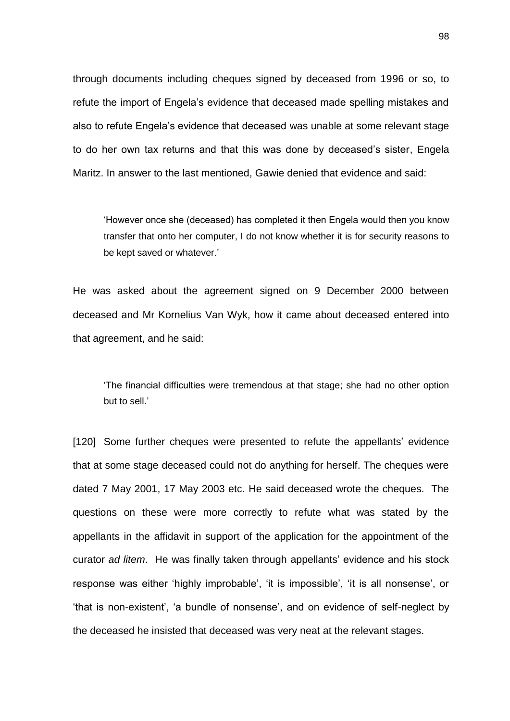through documents including cheques signed by deceased from 1996 or so, to refute the import of Engela's evidence that deceased made spelling mistakes and also to refute Engela's evidence that deceased was unable at some relevant stage to do her own tax returns and that this was done by deceased's sister, Engela Maritz. In answer to the last mentioned, Gawie denied that evidence and said:

'However once she (deceased) has completed it then Engela would then you know transfer that onto her computer, I do not know whether it is for security reasons to be kept saved or whatever.'

He was asked about the agreement signed on 9 December 2000 between deceased and Mr Kornelius Van Wyk, how it came about deceased entered into that agreement, and he said:

'The financial difficulties were tremendous at that stage; she had no other option but to sell.'

[120] Some further cheques were presented to refute the appellants' evidence that at some stage deceased could not do anything for herself. The cheques were dated 7 May 2001, 17 May 2003 etc. He said deceased wrote the cheques. The questions on these were more correctly to refute what was stated by the appellants in the affidavit in support of the application for the appointment of the curator *ad litem*. He was finally taken through appellants' evidence and his stock response was either 'highly improbable', 'it is impossible', 'it is all nonsense', or 'that is non-existent', 'a bundle of nonsense', and on evidence of self-neglect by the deceased he insisted that deceased was very neat at the relevant stages.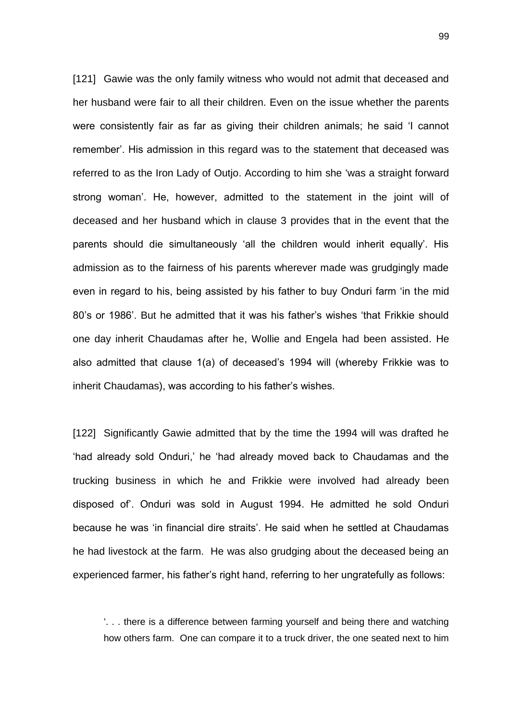[121] Gawie was the only family witness who would not admit that deceased and her husband were fair to all their children. Even on the issue whether the parents were consistently fair as far as giving their children animals; he said 'I cannot remember'. His admission in this regard was to the statement that deceased was referred to as the Iron Lady of Outjo. According to him she 'was a straight forward strong woman'. He, however, admitted to the statement in the joint will of deceased and her husband which in clause 3 provides that in the event that the parents should die simultaneously 'all the children would inherit equally'. His admission as to the fairness of his parents wherever made was grudgingly made even in regard to his, being assisted by his father to buy Onduri farm 'in the mid 80's or 1986'. But he admitted that it was his father's wishes 'that Frikkie should one day inherit Chaudamas after he, Wollie and Engela had been assisted. He also admitted that clause 1(a) of deceased's 1994 will (whereby Frikkie was to inherit Chaudamas), was according to his father's wishes.

[122] Significantly Gawie admitted that by the time the 1994 will was drafted he 'had already sold Onduri,' he 'had already moved back to Chaudamas and the trucking business in which he and Frikkie were involved had already been disposed of'. Onduri was sold in August 1994. He admitted he sold Onduri because he was 'in financial dire straits'. He said when he settled at Chaudamas he had livestock at the farm. He was also grudging about the deceased being an experienced farmer, his father's right hand, referring to her ungratefully as follows:

'. . . there is a difference between farming yourself and being there and watching how others farm. One can compare it to a truck driver, the one seated next to him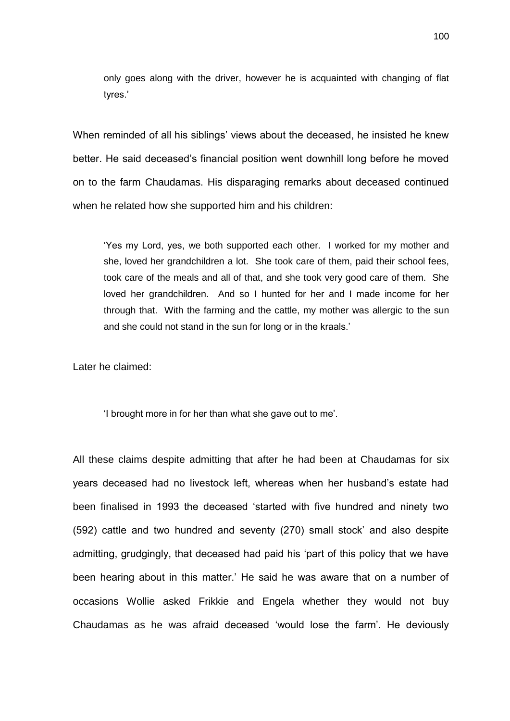only goes along with the driver, however he is acquainted with changing of flat tyres.'

When reminded of all his siblings' views about the deceased, he insisted he knew better. He said deceased's financial position went downhill long before he moved on to the farm Chaudamas. His disparaging remarks about deceased continued when he related how she supported him and his children:

'Yes my Lord, yes, we both supported each other. I worked for my mother and she, loved her grandchildren a lot. She took care of them, paid their school fees, took care of the meals and all of that, and she took very good care of them. She loved her grandchildren. And so I hunted for her and I made income for her through that. With the farming and the cattle, my mother was allergic to the sun and she could not stand in the sun for long or in the kraals.'

Later he claimed:

'I brought more in for her than what she gave out to me'.

All these claims despite admitting that after he had been at Chaudamas for six years deceased had no livestock left, whereas when her husband's estate had been finalised in 1993 the deceased 'started with five hundred and ninety two (592) cattle and two hundred and seventy (270) small stock' and also despite admitting, grudgingly, that deceased had paid his 'part of this policy that we have been hearing about in this matter.' He said he was aware that on a number of occasions Wollie asked Frikkie and Engela whether they would not buy Chaudamas as he was afraid deceased 'would lose the farm'. He deviously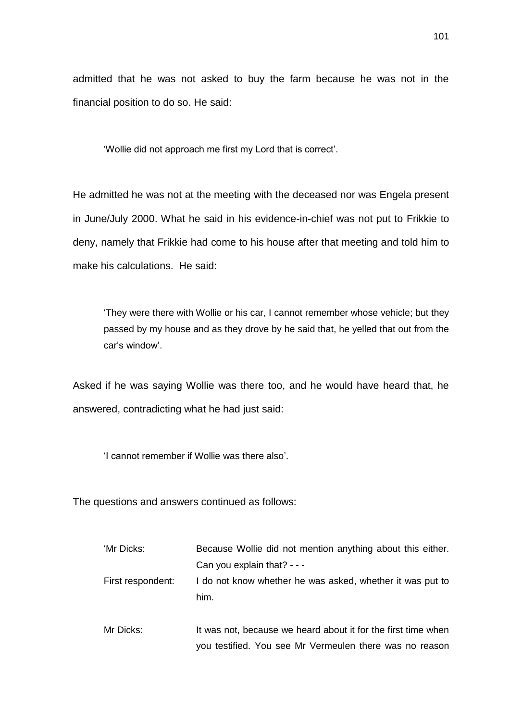admitted that he was not asked to buy the farm because he was not in the financial position to do so. He said:

'Wollie did not approach me first my Lord that is correct'.

He admitted he was not at the meeting with the deceased nor was Engela present in June/July 2000. What he said in his evidence-in-chief was not put to Frikkie to deny, namely that Frikkie had come to his house after that meeting and told him to make his calculations. He said:

'They were there with Wollie or his car, I cannot remember whose vehicle; but they passed by my house and as they drove by he said that, he yelled that out from the car's window'.

Asked if he was saying Wollie was there too, and he would have heard that, he answered, contradicting what he had just said:

'I cannot remember if Wollie was there also'.

The questions and answers continued as follows:

| 'Mr Dicks:        | Because Wollie did not mention anything about this either.        |
|-------------------|-------------------------------------------------------------------|
|                   | Can you explain that? $- -$                                       |
| First respondent: | I do not know whether he was asked, whether it was put to<br>him. |
| Mr Dicks:         | It was not, because we heard about it for the first time when     |

you testified. You see Mr Vermeulen there was no reason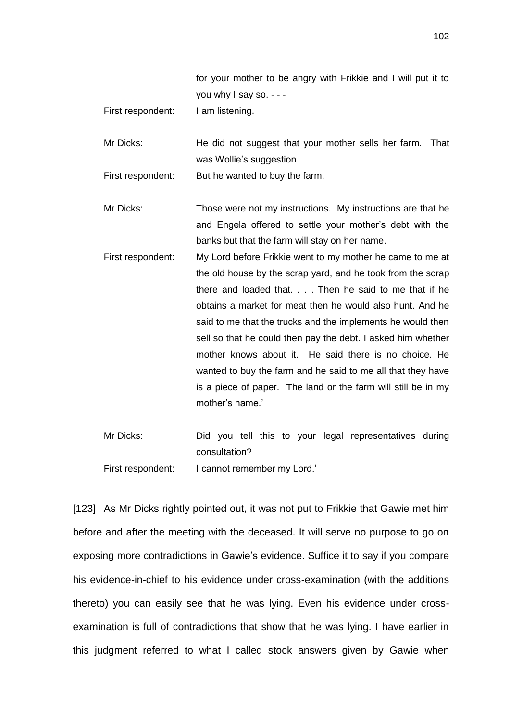|                | for your mother to be angry with Frikkie and I will put it to |
|----------------|---------------------------------------------------------------|
|                | you why $\frac{1}{2}$ say so. - - -                           |
| all a sent and | المتحدث والمستحل والمستحدث والمستحدث                          |

First respondent: I am listening.

Mr Dicks: He did not suggest that your mother sells her farm. That was Wollie's suggestion.

First respondent: But he wanted to buy the farm.

Mr Dicks: Those were not my instructions. My instructions are that he and Engela offered to settle your mother's debt with the banks but that the farm will stay on her name.

First respondent: My Lord before Frikkie went to my mother he came to me at the old house by the scrap yard, and he took from the scrap there and loaded that. . . . Then he said to me that if he obtains a market for meat then he would also hunt. And he said to me that the trucks and the implements he would then sell so that he could then pay the debt. I asked him whether mother knows about it. He said there is no choice. He wanted to buy the farm and he said to me all that they have is a piece of paper. The land or the farm will still be in my mother's name.'

Mr Dicks: Did you tell this to your legal representatives during consultation? First respondent: I cannot remember my Lord.'

[123] As Mr Dicks rightly pointed out, it was not put to Frikkie that Gawie met him before and after the meeting with the deceased. It will serve no purpose to go on exposing more contradictions in Gawie's evidence. Suffice it to say if you compare his evidence-in-chief to his evidence under cross-examination (with the additions thereto) you can easily see that he was lying. Even his evidence under crossexamination is full of contradictions that show that he was lying. I have earlier in this judgment referred to what I called stock answers given by Gawie when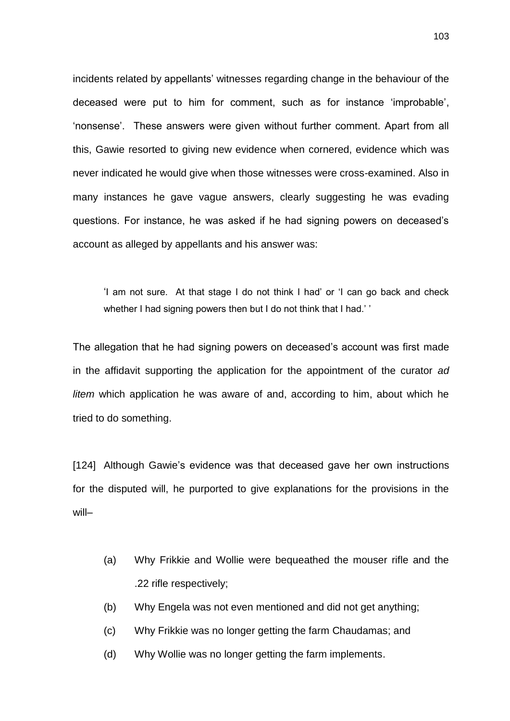incidents related by appellants' witnesses regarding change in the behaviour of the deceased were put to him for comment, such as for instance 'improbable', 'nonsense'. These answers were given without further comment. Apart from all this, Gawie resorted to giving new evidence when cornered, evidence which was never indicated he would give when those witnesses were cross-examined. Also in many instances he gave vague answers, clearly suggesting he was evading questions. For instance, he was asked if he had signing powers on deceased's account as alleged by appellants and his answer was:

'I am not sure. At that stage I do not think I had' or 'I can go back and check whether I had signing powers then but I do not think that I had.''

The allegation that he had signing powers on deceased's account was first made in the affidavit supporting the application for the appointment of the curator *ad litem* which application he was aware of and, according to him, about which he tried to do something.

[124] Although Gawie's evidence was that deceased gave her own instructions for the disputed will, he purported to give explanations for the provisions in the will–

- (a) Why Frikkie and Wollie were bequeathed the mouser rifle and the .22 rifle respectively;
- (b) Why Engela was not even mentioned and did not get anything;
- (c) Why Frikkie was no longer getting the farm Chaudamas; and
- (d) Why Wollie was no longer getting the farm implements.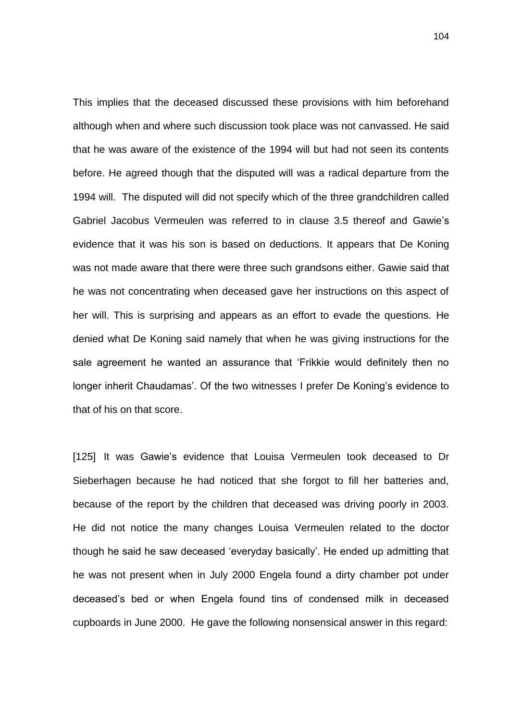This implies that the deceased discussed these provisions with him beforehand although when and where such discussion took place was not canvassed. He said that he was aware of the existence of the 1994 will but had not seen its contents before. He agreed though that the disputed will was a radical departure from the 1994 will. The disputed will did not specify which of the three grandchildren called Gabriel Jacobus Vermeulen was referred to in clause 3.5 thereof and Gawie's evidence that it was his son is based on deductions. It appears that De Koning was not made aware that there were three such grandsons either. Gawie said that he was not concentrating when deceased gave her instructions on this aspect of her will. This is surprising and appears as an effort to evade the questions. He denied what De Koning said namely that when he was giving instructions for the sale agreement he wanted an assurance that 'Frikkie would definitely then no longer inherit Chaudamas'. Of the two witnesses I prefer De Koning's evidence to that of his on that score.

[125] It was Gawie's evidence that Louisa Vermeulen took deceased to Dr Sieberhagen because he had noticed that she forgot to fill her batteries and, because of the report by the children that deceased was driving poorly in 2003. He did not notice the many changes Louisa Vermeulen related to the doctor though he said he saw deceased 'everyday basically'. He ended up admitting that he was not present when in July 2000 Engela found a dirty chamber pot under deceased's bed or when Engela found tins of condensed milk in deceased cupboards in June 2000. He gave the following nonsensical answer in this regard: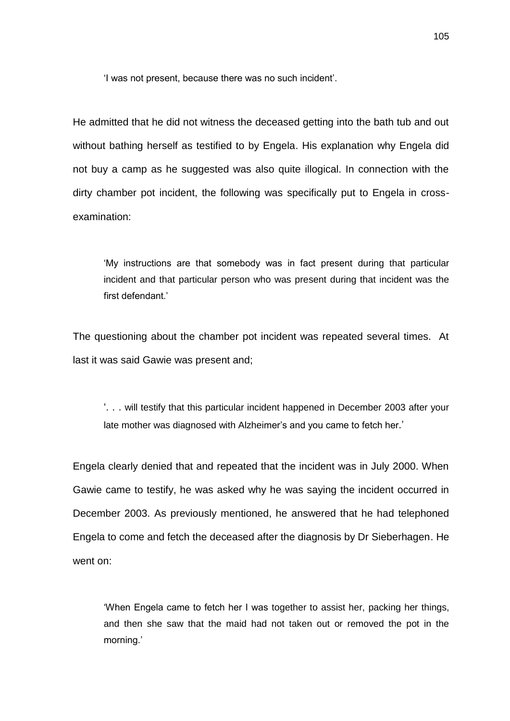'I was not present, because there was no such incident'.

He admitted that he did not witness the deceased getting into the bath tub and out without bathing herself as testified to by Engela. His explanation why Engela did not buy a camp as he suggested was also quite illogical. In connection with the dirty chamber pot incident, the following was specifically put to Engela in crossexamination:

'My instructions are that somebody was in fact present during that particular incident and that particular person who was present during that incident was the first defendant.'

The questioning about the chamber pot incident was repeated several times. At last it was said Gawie was present and;

'. . . will testify that this particular incident happened in December 2003 after your late mother was diagnosed with Alzheimer's and you came to fetch her.'

Engela clearly denied that and repeated that the incident was in July 2000. When Gawie came to testify, he was asked why he was saying the incident occurred in December 2003. As previously mentioned, he answered that he had telephoned Engela to come and fetch the deceased after the diagnosis by Dr Sieberhagen. He went on:

'When Engela came to fetch her I was together to assist her, packing her things, and then she saw that the maid had not taken out or removed the pot in the morning.'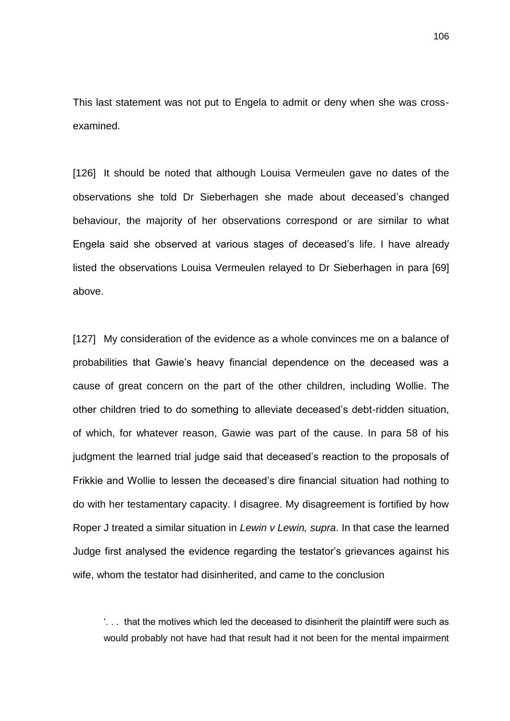This last statement was not put to Engela to admit or deny when she was crossexamined.

[126] It should be noted that although Louisa Vermeulen gave no dates of the observations she told Dr Sieberhagen she made about deceased's changed behaviour, the majority of her observations correspond or are similar to what Engela said she observed at various stages of deceased's life. I have already listed the observations Louisa Vermeulen relayed to Dr Sieberhagen in para [69] above.

[127] My consideration of the evidence as a whole convinces me on a balance of probabilities that Gawie's heavy financial dependence on the deceased was a cause of great concern on the part of the other children, including Wollie. The other children tried to do something to alleviate deceased's debt-ridden situation, of which, for whatever reason, Gawie was part of the cause. In para 58 of his judgment the learned trial judge said that deceased's reaction to the proposals of Frikkie and Wollie to lessen the deceased's dire financial situation had nothing to do with her testamentary capacity. I disagree. My disagreement is fortified by how Roper J treated a similar situation in *Lewin v Lewin, supra*. In that case the learned Judge first analysed the evidence regarding the testator's grievances against his wife, whom the testator had disinherited, and came to the conclusion

'. . . that the motives which led the deceased to disinherit the plaintiff were such as would probably not have had that result had it not been for the mental impairment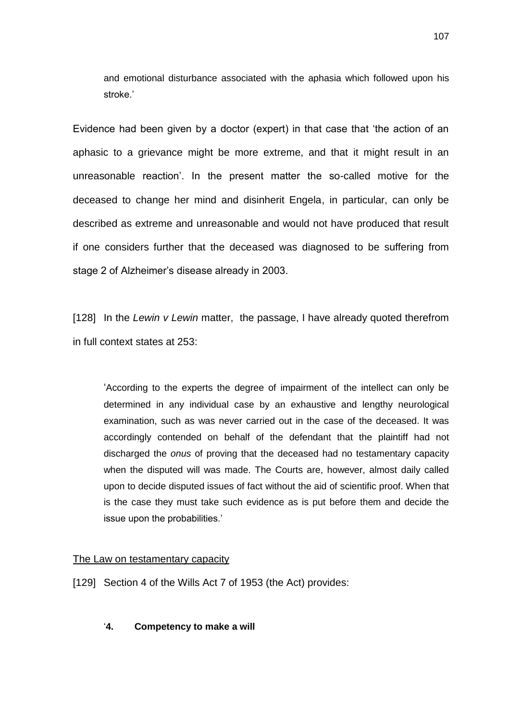and emotional disturbance associated with the aphasia which followed upon his stroke.'

Evidence had been given by a doctor (expert) in that case that 'the action of an aphasic to a grievance might be more extreme, and that it might result in an unreasonable reaction'. In the present matter the so-called motive for the deceased to change her mind and disinherit Engela, in particular, can only be described as extreme and unreasonable and would not have produced that result if one considers further that the deceased was diagnosed to be suffering from stage 2 of Alzheimer's disease already in 2003.

[128] In the *Lewin v Lewin* matter, the passage, I have already quoted therefrom in full context states at 253:

'According to the experts the degree of impairment of the intellect can only be determined in any individual case by an exhaustive and lengthy neurological examination, such as was never carried out in the case of the deceased. It was accordingly contended on behalf of the defendant that the plaintiff had not discharged the *onus* of proving that the deceased had no testamentary capacity when the disputed will was made. The Courts are, however, almost daily called upon to decide disputed issues of fact without the aid of scientific proof. When that is the case they must take such evidence as is put before them and decide the issue upon the probabilities.'

### The Law on testamentary capacity

[129] Section 4 of the Wills Act 7 of 1953 (the Act) provides:

'**4. Competency to make a will**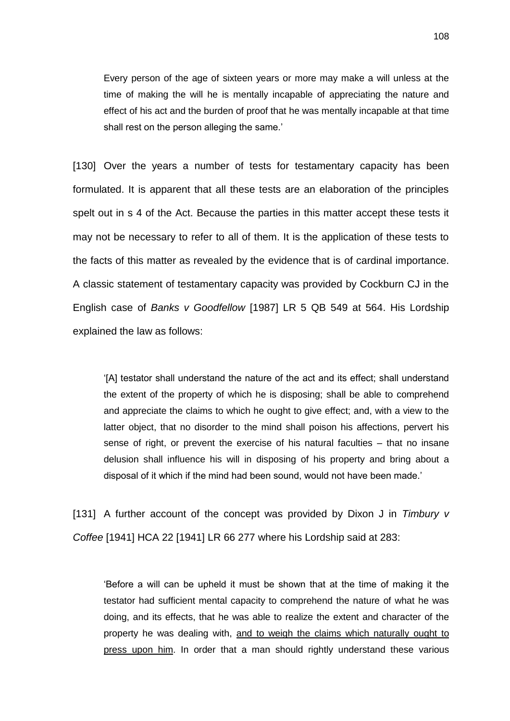Every person of the age of sixteen years or more may make a will unless at the time of making the will he is mentally incapable of appreciating the nature and effect of his act and the burden of proof that he was mentally incapable at that time shall rest on the person alleging the same.'

[130] Over the years a number of tests for testamentary capacity has been formulated. It is apparent that all these tests are an elaboration of the principles spelt out in s 4 of the Act. Because the parties in this matter accept these tests it may not be necessary to refer to all of them. It is the application of these tests to the facts of this matter as revealed by the evidence that is of cardinal importance. A classic statement of testamentary capacity was provided by Cockburn CJ in the English case of *Banks v Goodfellow* [1987] LR 5 QB 549 at 564. His Lordship explained the law as follows:

'[A] testator shall understand the nature of the act and its effect; shall understand the extent of the property of which he is disposing; shall be able to comprehend and appreciate the claims to which he ought to give effect; and, with a view to the latter object, that no disorder to the mind shall poison his affections, pervert his sense of right, or prevent the exercise of his natural faculties – that no insane delusion shall influence his will in disposing of his property and bring about a disposal of it which if the mind had been sound, would not have been made.'

[131] A further account of the concept was provided by Dixon J in *Timbury v Coffee* [1941] HCA 22 [1941] LR 66 277 where his Lordship said at 283:

'Before a will can be upheld it must be shown that at the time of making it the testator had sufficient mental capacity to comprehend the nature of what he was doing, and its effects, that he was able to realize the extent and character of the property he was dealing with, and to weigh the claims which naturally ought to press upon him. In order that a man should rightly understand these various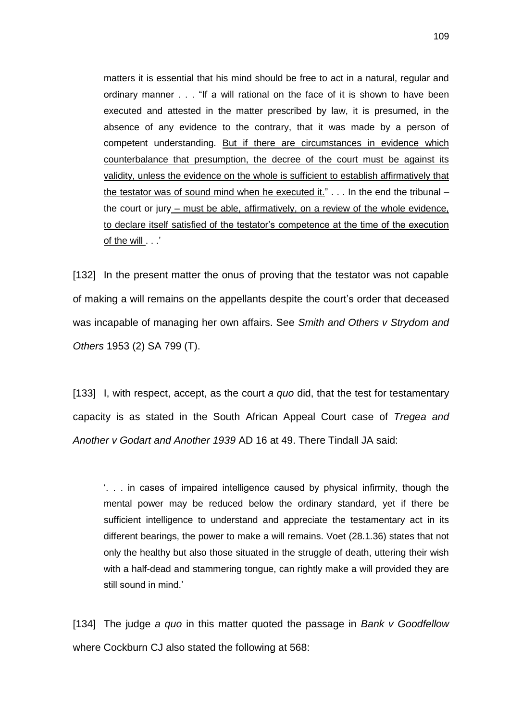matters it is essential that his mind should be free to act in a natural, regular and ordinary manner . . . "If a will rational on the face of it is shown to have been executed and attested in the matter prescribed by law, it is presumed, in the absence of any evidence to the contrary, that it was made by a person of competent understanding. But if there are circumstances in evidence which counterbalance that presumption, the decree of the court must be against its validity, unless the evidence on the whole is sufficient to establish affirmatively that the testator was of sound mind when he executed it."  $\ldots$  In the end the tribunal – the court or jury – must be able, affirmatively, on a review of the whole evidence, to declare itself satisfied of the testator's competence at the time of the execution of the will . . .'

[132] In the present matter the onus of proving that the testator was not capable of making a will remains on the appellants despite the court's order that deceased was incapable of managing her own affairs. See *Smith and Others v Strydom and Others* 1953 (2) SA 799 (T).

[133] I, with respect, accept, as the court *a quo* did, that the test for testamentary capacity is as stated in the South African Appeal Court case of *Tregea and Another v Godart and Another 1939* AD 16 at 49. There Tindall JA said:

'. . . in cases of impaired intelligence caused by physical infirmity, though the mental power may be reduced below the ordinary standard, yet if there be sufficient intelligence to understand and appreciate the testamentary act in its different bearings, the power to make a will remains. Voet (28.1.36) states that not only the healthy but also those situated in the struggle of death, uttering their wish with a half-dead and stammering tongue, can rightly make a will provided they are still sound in mind.'

[134] The judge *a quo* in this matter quoted the passage in *Bank v Goodfellow* where Cockburn CJ also stated the following at 568: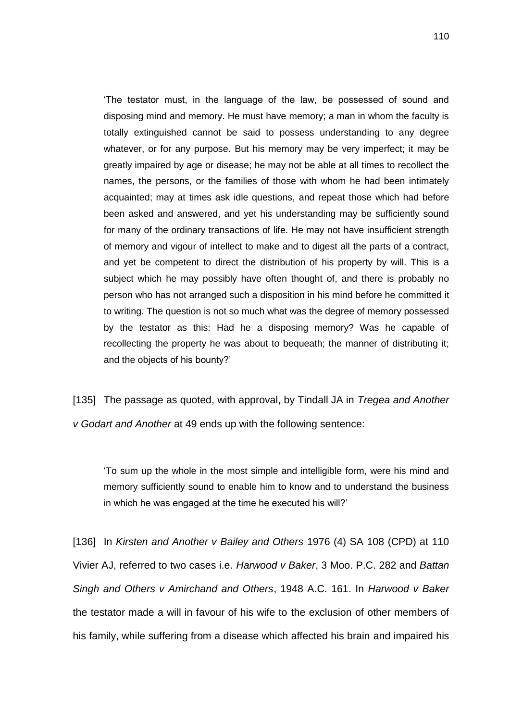'The testator must, in the language of the law, be possessed of sound and disposing mind and memory. He must have memory; a man in whom the faculty is totally extinguished cannot be said to possess understanding to any degree whatever, or for any purpose. But his memory may be very imperfect; it may be greatly impaired by age or disease; he may not be able at all times to recollect the names, the persons, or the families of those with whom he had been intimately acquainted; may at times ask idle questions, and repeat those which had before been asked and answered, and yet his understanding may be sufficiently sound for many of the ordinary transactions of life. He may not have insufficient strength of memory and vigour of intellect to make and to digest all the parts of a contract, and yet be competent to direct the distribution of his property by will. This is a subject which he may possibly have often thought of, and there is probably no person who has not arranged such a disposition in his mind before he committed it to writing. The question is not so much what was the degree of memory possessed by the testator as this: Had he a disposing memory? Was he capable of recollecting the property he was about to bequeath; the manner of distributing it; and the objects of his bounty?'

[135] The passage as quoted, with approval, by Tindall JA in *Tregea and Another v Godart and Another* at 49 ends up with the following sentence:

'To sum up the whole in the most simple and intelligible form, were his mind and memory sufficiently sound to enable him to know and to understand the business in which he was engaged at the time he executed his will?'

[136] In *Kirsten and Another v Bailey and Others* 1976 (4) SA 108 (CPD) at 110 Vivier AJ, referred to two cases i.e. *Harwood v Baker*, 3 Moo. P.C. 282 and *Battan Singh and Others v Amirchand and Others*, 1948 A.C. 161. In *Harwood v Baker* the testator made a will in favour of his wife to the exclusion of other members of his family, while suffering from a disease which affected his brain and impaired his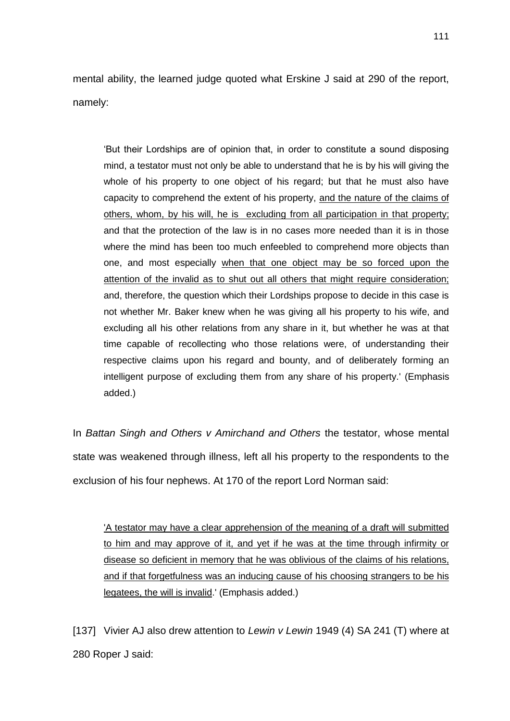mental ability, the learned judge quoted what Erskine J said at 290 of the report, namely:

'But their Lordships are of opinion that, in order to constitute a sound disposing mind, a testator must not only be able to understand that he is by his will giving the whole of his property to one object of his regard; but that he must also have capacity to comprehend the extent of his property, and the nature of the claims of others, whom, by his will, he is excluding from all participation in that property; and that the protection of the law is in no cases more needed than it is in those where the mind has been too much enfeebled to comprehend more objects than one, and most especially when that one object may be so forced upon the attention of the invalid as to shut out all others that might require consideration; and, therefore, the question which their Lordships propose to decide in this case is not whether Mr. Baker knew when he was giving all his property to his wife, and excluding all his other relations from any share in it, but whether he was at that time capable of recollecting who those relations were, of understanding their respective claims upon his regard and bounty, and of deliberately forming an intelligent purpose of excluding them from any share of his property.' (Emphasis added.)

In *Battan Singh and Others v Amirchand and Others* the testator, whose mental state was weakened through illness, left all his property to the respondents to the exclusion of his four nephews. At 170 of the report Lord Norman said:

'A testator may have a clear apprehension of the meaning of a draft will submitted to him and may approve of it, and yet if he was at the time through infirmity or disease so deficient in memory that he was oblivious of the claims of his relations, and if that forgetfulness was an inducing cause of his choosing strangers to be his legatees, the will is invalid.' (Emphasis added.)

[137] Vivier AJ also drew attention to *Lewin v Lewin* 1949 (4) SA 241 (T) where at 280 Roper J said: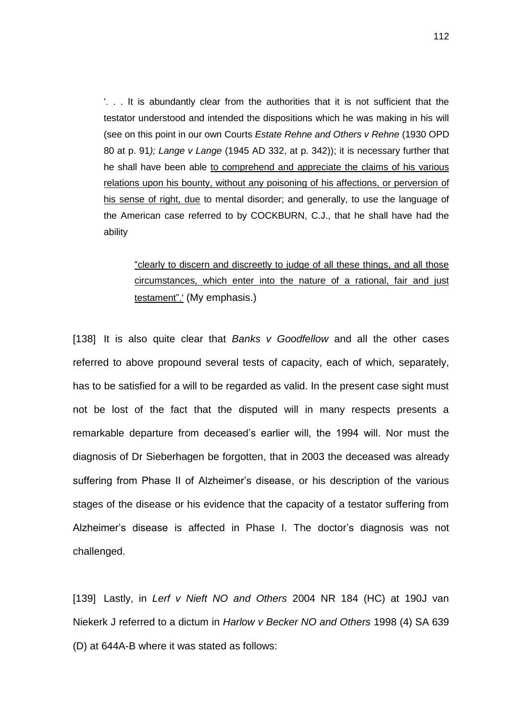$\therefore$  . It is abundantly clear from the authorities that it is not sufficient that the testator understood and intended the dispositions which he was making in his will (see on this point in our own Courts *Estate Rehne and Others v Rehne* (1930 OPD 80 at p. 91*); Lange v Lange* (1945 AD 332, at p. 342)); it is necessary further that he shall have been able to comprehend and appreciate the claims of his various relations upon his bounty, without any poisoning of his affections, or perversion of his sense of right, due to mental disorder; and generally, to use the language of the American case referred to by COCKBURN, C.J., that he shall have had the ability

"clearly to discern and discreetly to judge of all these things, and all those circumstances, which enter into the nature of a rational, fair and just testament".' (My emphasis.)

[138] It is also quite clear that *Banks v Goodfellow* and all the other cases referred to above propound several tests of capacity, each of which, separately, has to be satisfied for a will to be regarded as valid. In the present case sight must not be lost of the fact that the disputed will in many respects presents a remarkable departure from deceased's earlier will, the 1994 will. Nor must the diagnosis of Dr Sieberhagen be forgotten, that in 2003 the deceased was already suffering from Phase II of Alzheimer's disease, or his description of the various stages of the disease or his evidence that the capacity of a testator suffering from Alzheimer's disease is affected in Phase I. The doctor's diagnosis was not challenged.

[139] Lastly, in *Lerf v Nieft NO and Others* 2004 NR 184 (HC) at 190J van Niekerk J referred to a dictum in *Harlow v Becker NO and Others* 1998 (4) SA 639 (D) at 644A-B where it was stated as follows: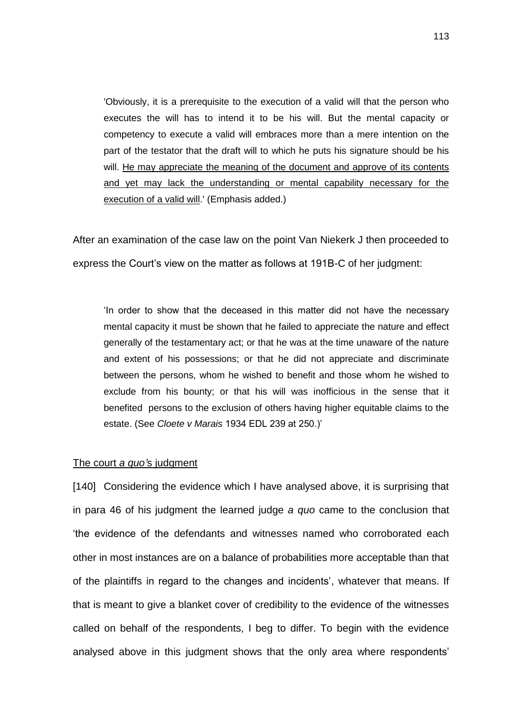'Obviously, it is a prerequisite to the execution of a valid will that the person who executes the will has to intend it to be his will. But the mental capacity or competency to execute a valid will embraces more than a mere intention on the part of the testator that the draft will to which he puts his signature should be his will. He may appreciate the meaning of the document and approve of its contents and yet may lack the understanding or mental capability necessary for the execution of a valid will.' (Emphasis added.)

After an examination of the case law on the point Van Niekerk J then proceeded to express the Court's view on the matter as follows at 191B-C of her judgment:

'In order to show that the deceased in this matter did not have the necessary mental capacity it must be shown that he failed to appreciate the nature and effect generally of the testamentary act; or that he was at the time unaware of the nature and extent of his possessions; or that he did not appreciate and discriminate between the persons, whom he wished to benefit and those whom he wished to exclude from his bounty; or that his will was inofficious in the sense that it benefited persons to the exclusion of others having higher equitable claims to the estate. (See *Cloete v Marais* 1934 EDL 239 at 250.)'

## The court *a quo'*s judgment

[140] Considering the evidence which I have analysed above, it is surprising that in para 46 of his judgment the learned judge *a quo* came to the conclusion that 'the evidence of the defendants and witnesses named who corroborated each other in most instances are on a balance of probabilities more acceptable than that of the plaintiffs in regard to the changes and incidents', whatever that means. If that is meant to give a blanket cover of credibility to the evidence of the witnesses called on behalf of the respondents, I beg to differ. To begin with the evidence analysed above in this judgment shows that the only area where respondents'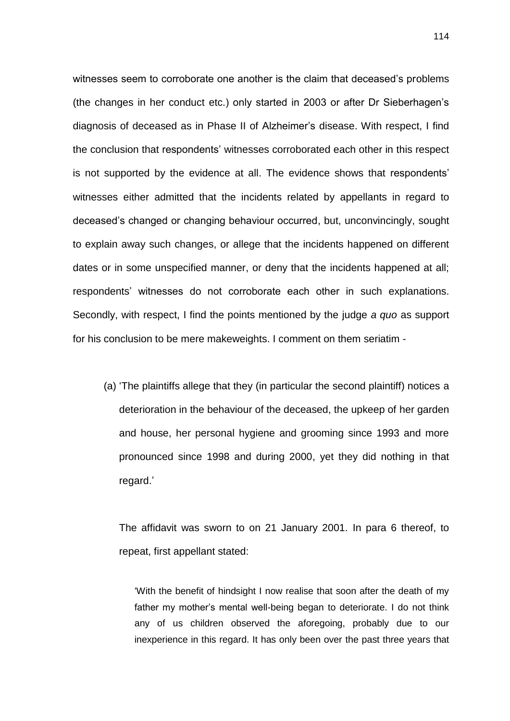witnesses seem to corroborate one another is the claim that deceased's problems (the changes in her conduct etc.) only started in 2003 or after Dr Sieberhagen's diagnosis of deceased as in Phase II of Alzheimer's disease. With respect, I find the conclusion that respondents' witnesses corroborated each other in this respect is not supported by the evidence at all. The evidence shows that respondents' witnesses either admitted that the incidents related by appellants in regard to deceased's changed or changing behaviour occurred, but, unconvincingly, sought to explain away such changes, or allege that the incidents happened on different dates or in some unspecified manner, or deny that the incidents happened at all; respondents' witnesses do not corroborate each other in such explanations. Secondly, with respect, I find the points mentioned by the judge *a quo* as support for his conclusion to be mere makeweights. I comment on them seriatim -

(a) 'The plaintiffs allege that they (in particular the second plaintiff) notices a deterioration in the behaviour of the deceased, the upkeep of her garden and house, her personal hygiene and grooming since 1993 and more pronounced since 1998 and during 2000, yet they did nothing in that regard.'

The affidavit was sworn to on 21 January 2001. In para 6 thereof, to repeat, first appellant stated:

'With the benefit of hindsight I now realise that soon after the death of my father my mother's mental well-being began to deteriorate. I do not think any of us children observed the aforegoing, probably due to our inexperience in this regard. It has only been over the past three years that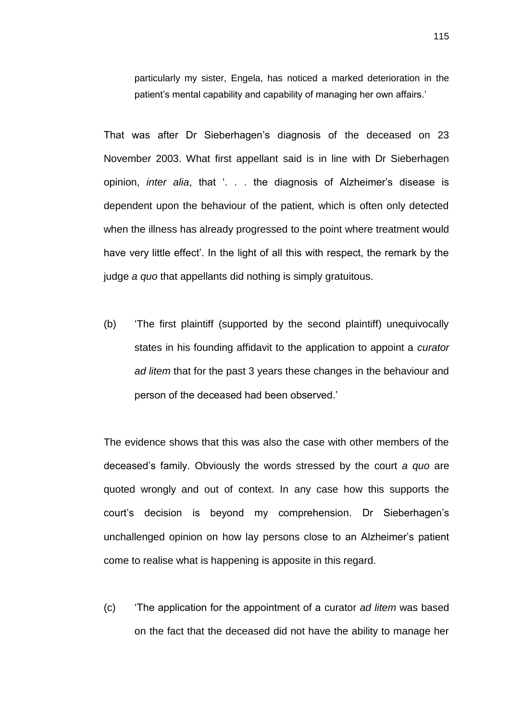particularly my sister, Engela, has noticed a marked deterioration in the patient's mental capability and capability of managing her own affairs.'

That was after Dr Sieberhagen's diagnosis of the deceased on 23 November 2003. What first appellant said is in line with Dr Sieberhagen opinion, *inter alia*, that '. . . the diagnosis of Alzheimer's disease is dependent upon the behaviour of the patient, which is often only detected when the illness has already progressed to the point where treatment would have very little effect'. In the light of all this with respect, the remark by the judge *a quo* that appellants did nothing is simply gratuitous.

(b) 'The first plaintiff (supported by the second plaintiff) unequivocally states in his founding affidavit to the application to appoint a *curator ad litem* that for the past 3 years these changes in the behaviour and person of the deceased had been observed.'

The evidence shows that this was also the case with other members of the deceased's family. Obviously the words stressed by the court *a quo* are quoted wrongly and out of context. In any case how this supports the court's decision is beyond my comprehension. Dr Sieberhagen's unchallenged opinion on how lay persons close to an Alzheimer's patient come to realise what is happening is apposite in this regard.

(c) 'The application for the appointment of a curator *ad litem* was based on the fact that the deceased did not have the ability to manage her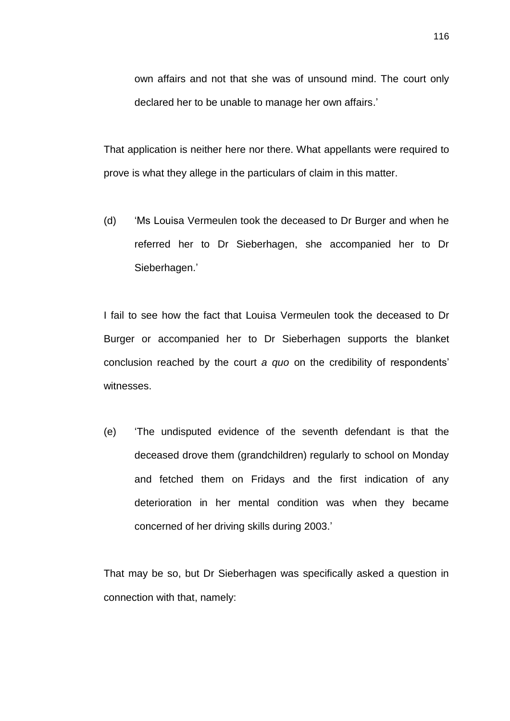own affairs and not that she was of unsound mind. The court only declared her to be unable to manage her own affairs.'

That application is neither here nor there. What appellants were required to prove is what they allege in the particulars of claim in this matter.

(d) 'Ms Louisa Vermeulen took the deceased to Dr Burger and when he referred her to Dr Sieberhagen, she accompanied her to Dr Sieberhagen.'

I fail to see how the fact that Louisa Vermeulen took the deceased to Dr Burger or accompanied her to Dr Sieberhagen supports the blanket conclusion reached by the court *a quo* on the credibility of respondents' witnesses.

(e) 'The undisputed evidence of the seventh defendant is that the deceased drove them (grandchildren) regularly to school on Monday and fetched them on Fridays and the first indication of any deterioration in her mental condition was when they became concerned of her driving skills during 2003.'

That may be so, but Dr Sieberhagen was specifically asked a question in connection with that, namely: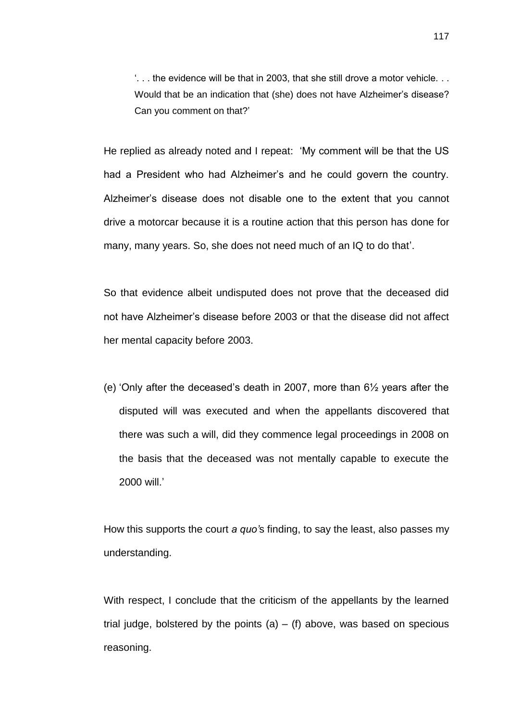'. . . the evidence will be that in 2003, that she still drove a motor vehicle. . . Would that be an indication that (she) does not have Alzheimer's disease? Can you comment on that?'

He replied as already noted and I repeat: 'My comment will be that the US had a President who had Alzheimer's and he could govern the country. Alzheimer's disease does not disable one to the extent that you cannot drive a motorcar because it is a routine action that this person has done for many, many years. So, she does not need much of an IQ to do that'.

So that evidence albeit undisputed does not prove that the deceased did not have Alzheimer's disease before 2003 or that the disease did not affect her mental capacity before 2003.

(e) 'Only after the deceased's death in 2007, more than 6½ years after the disputed will was executed and when the appellants discovered that there was such a will, did they commence legal proceedings in 2008 on the basis that the deceased was not mentally capable to execute the 2000 will.'

How this supports the court *a quo'*s finding, to say the least, also passes my understanding.

With respect, I conclude that the criticism of the appellants by the learned trial judge, bolstered by the points  $(a) - (f)$  above, was based on specious reasoning.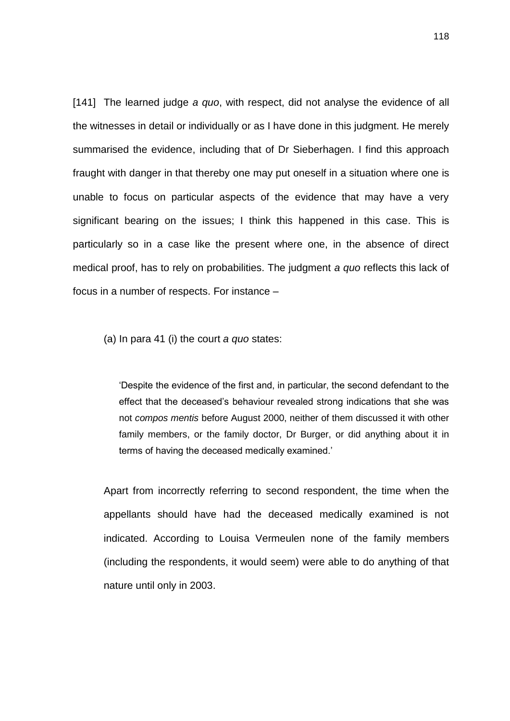[141] The learned judge *a quo*, with respect, did not analyse the evidence of all the witnesses in detail or individually or as I have done in this judgment. He merely summarised the evidence, including that of Dr Sieberhagen. I find this approach fraught with danger in that thereby one may put oneself in a situation where one is unable to focus on particular aspects of the evidence that may have a very significant bearing on the issues; I think this happened in this case. This is particularly so in a case like the present where one, in the absence of direct medical proof, has to rely on probabilities. The judgment *a quo* reflects this lack of focus in a number of respects. For instance –

(a) In para 41 (i) the court *a quo* states:

'Despite the evidence of the first and, in particular, the second defendant to the effect that the deceased's behaviour revealed strong indications that she was not *compos mentis* before August 2000, neither of them discussed it with other family members, or the family doctor, Dr Burger, or did anything about it in terms of having the deceased medically examined.'

Apart from incorrectly referring to second respondent, the time when the appellants should have had the deceased medically examined is not indicated. According to Louisa Vermeulen none of the family members (including the respondents, it would seem) were able to do anything of that nature until only in 2003.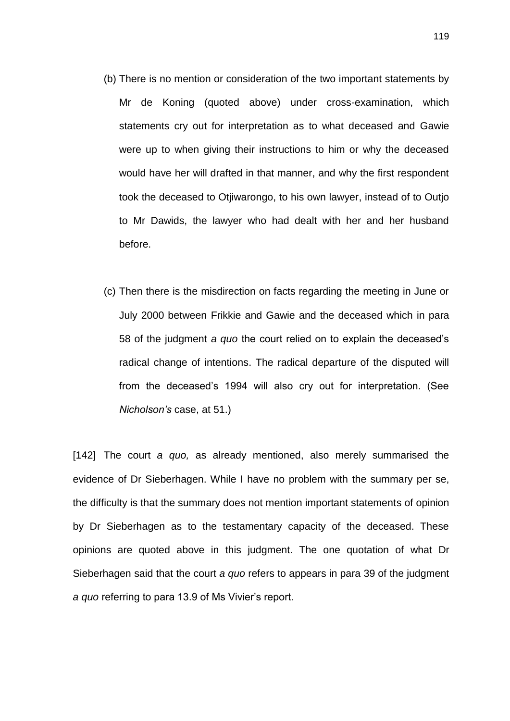- (b) There is no mention or consideration of the two important statements by Mr de Koning (quoted above) under cross-examination, which statements cry out for interpretation as to what deceased and Gawie were up to when giving their instructions to him or why the deceased would have her will drafted in that manner, and why the first respondent took the deceased to Otjiwarongo, to his own lawyer, instead of to Outjo to Mr Dawids, the lawyer who had dealt with her and her husband before.
- (c) Then there is the misdirection on facts regarding the meeting in June or July 2000 between Frikkie and Gawie and the deceased which in para 58 of the judgment *a quo* the court relied on to explain the deceased's radical change of intentions. The radical departure of the disputed will from the deceased's 1994 will also cry out for interpretation. (See *Nicholson's* case, at 51.)

[142] The court *a quo,* as already mentioned, also merely summarised the evidence of Dr Sieberhagen. While I have no problem with the summary per se, the difficulty is that the summary does not mention important statements of opinion by Dr Sieberhagen as to the testamentary capacity of the deceased. These opinions are quoted above in this judgment. The one quotation of what Dr Sieberhagen said that the court *a quo* refers to appears in para 39 of the judgment *a quo* referring to para 13.9 of Ms Vivier's report.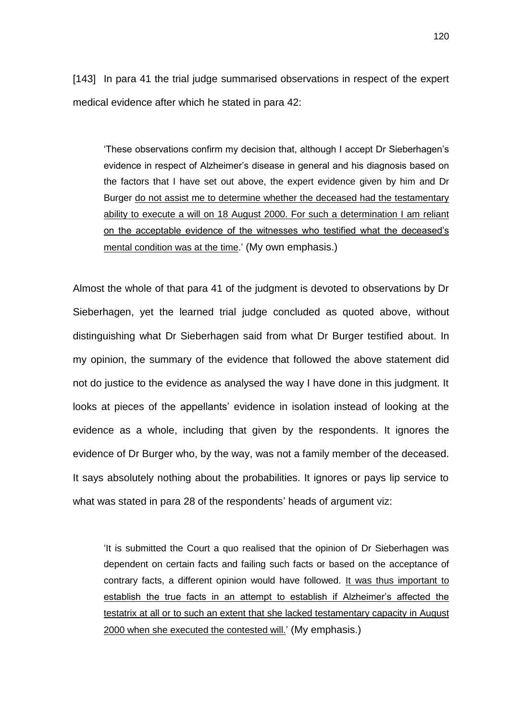[143] In para 41 the trial judge summarised observations in respect of the expert medical evidence after which he stated in para 42:

'These observations confirm my decision that, although I accept Dr Sieberhagen's evidence in respect of Alzheimer's disease in general and his diagnosis based on the factors that I have set out above, the expert evidence given by him and Dr Burger do not assist me to determine whether the deceased had the testamentary ability to execute a will on 18 August 2000. For such a determination I am reliant on the acceptable evidence of the witnesses who testified what the deceased's mental condition was at the time.' (My own emphasis.)

Almost the whole of that para 41 of the judgment is devoted to observations by Dr Sieberhagen, yet the learned trial judge concluded as quoted above, without distinguishing what Dr Sieberhagen said from what Dr Burger testified about. In my opinion, the summary of the evidence that followed the above statement did not do justice to the evidence as analysed the way I have done in this judgment. It looks at pieces of the appellants' evidence in isolation instead of looking at the evidence as a whole, including that given by the respondents. It ignores the evidence of Dr Burger who, by the way, was not a family member of the deceased. It says absolutely nothing about the probabilities. It ignores or pays lip service to what was stated in para 28 of the respondents' heads of argument viz:

'It is submitted the Court a quo realised that the opinion of Dr Sieberhagen was dependent on certain facts and failing such facts or based on the acceptance of contrary facts, a different opinion would have followed. It was thus important to establish the true facts in an attempt to establish if Alzheimer's affected the testatrix at all or to such an extent that she lacked testamentary capacity in August 2000 when she executed the contested will.' (My emphasis.)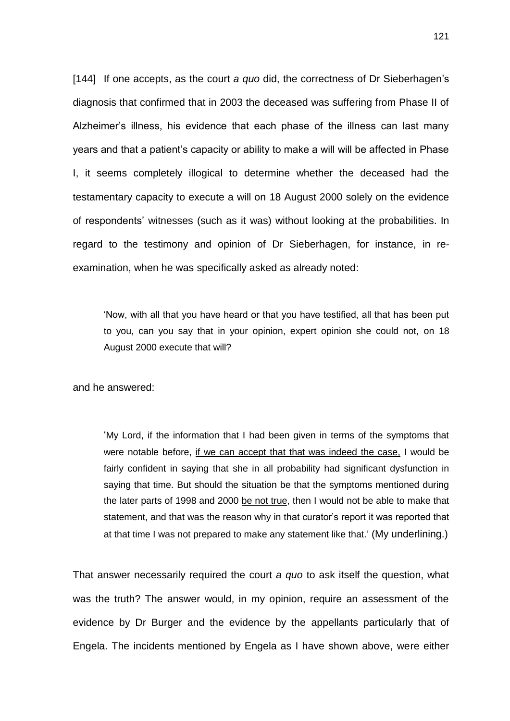[144] If one accepts, as the court *a quo* did, the correctness of Dr Sieberhagen's diagnosis that confirmed that in 2003 the deceased was suffering from Phase II of Alzheimer's illness, his evidence that each phase of the illness can last many years and that a patient's capacity or ability to make a will will be affected in Phase I, it seems completely illogical to determine whether the deceased had the testamentary capacity to execute a will on 18 August 2000 solely on the evidence of respondents' witnesses (such as it was) without looking at the probabilities. In regard to the testimony and opinion of Dr Sieberhagen, for instance, in reexamination, when he was specifically asked as already noted:

'Now, with all that you have heard or that you have testified, all that has been put to you, can you say that in your opinion, expert opinion she could not, on 18 August 2000 execute that will?

and he answered:

'My Lord, if the information that I had been given in terms of the symptoms that were notable before, if we can accept that that was indeed the case, I would be fairly confident in saying that she in all probability had significant dysfunction in saying that time. But should the situation be that the symptoms mentioned during the later parts of 1998 and 2000 be not true, then I would not be able to make that statement, and that was the reason why in that curator's report it was reported that at that time I was not prepared to make any statement like that.' (My underlining.)

That answer necessarily required the court *a quo* to ask itself the question, what was the truth? The answer would, in my opinion, require an assessment of the evidence by Dr Burger and the evidence by the appellants particularly that of Engela. The incidents mentioned by Engela as I have shown above, were either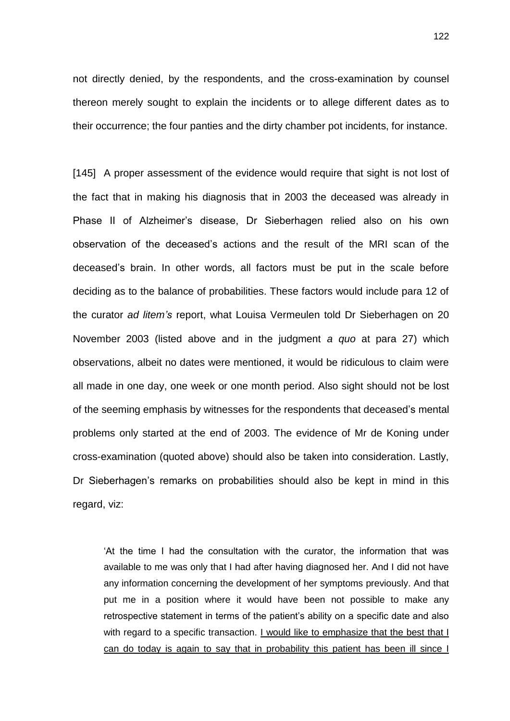not directly denied, by the respondents, and the cross-examination by counsel thereon merely sought to explain the incidents or to allege different dates as to their occurrence; the four panties and the dirty chamber pot incidents, for instance.

[145] A proper assessment of the evidence would require that sight is not lost of the fact that in making his diagnosis that in 2003 the deceased was already in Phase II of Alzheimer's disease, Dr Sieberhagen relied also on his own observation of the deceased's actions and the result of the MRI scan of the deceased's brain. In other words, all factors must be put in the scale before deciding as to the balance of probabilities. These factors would include para 12 of the curator *ad litem's* report, what Louisa Vermeulen told Dr Sieberhagen on 20 November 2003 (listed above and in the judgment *a quo* at para 27) which observations, albeit no dates were mentioned, it would be ridiculous to claim were all made in one day, one week or one month period. Also sight should not be lost of the seeming emphasis by witnesses for the respondents that deceased's mental problems only started at the end of 2003. The evidence of Mr de Koning under cross-examination (quoted above) should also be taken into consideration. Lastly, Dr Sieberhagen's remarks on probabilities should also be kept in mind in this regard, viz:

'At the time I had the consultation with the curator, the information that was available to me was only that I had after having diagnosed her. And I did not have any information concerning the development of her symptoms previously. And that put me in a position where it would have been not possible to make any retrospective statement in terms of the patient's ability on a specific date and also with regard to a specific transaction. I would like to emphasize that the best that I can do today is again to say that in probability this patient has been ill since I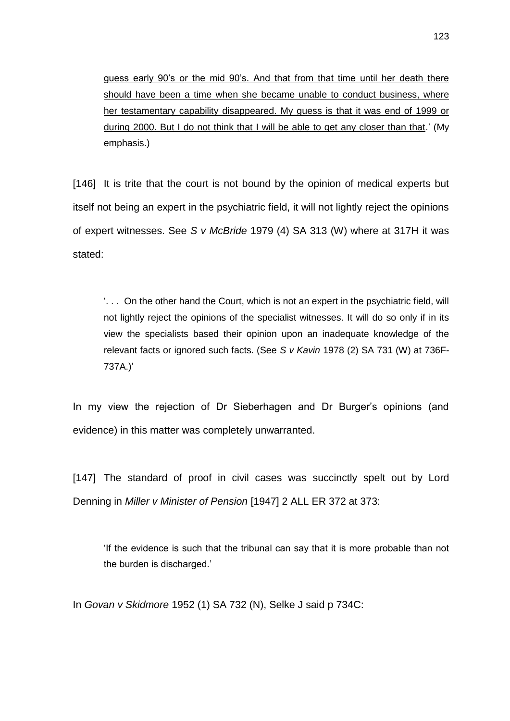guess early 90's or the mid 90's. And that from that time until her death there should have been a time when she became unable to conduct business, where her testamentary capability disappeared. My guess is that it was end of 1999 or during 2000. But I do not think that I will be able to get any closer than that.' (My emphasis.)

[146] It is trite that the court is not bound by the opinion of medical experts but itself not being an expert in the psychiatric field, it will not lightly reject the opinions of expert witnesses. See *S v McBride* 1979 (4) SA 313 (W) where at 317H it was stated:

'. . . On the other hand the Court, which is not an expert in the psychiatric field, will not lightly reject the opinions of the specialist witnesses. It will do so only if in its view the specialists based their opinion upon an inadequate knowledge of the relevant facts or ignored such facts. (See *S v Kavin* 1978 (2) SA 731 (W) at 736F-737A.)'

In my view the rejection of Dr Sieberhagen and Dr Burger's opinions (and evidence) in this matter was completely unwarranted.

[147] The standard of proof in civil cases was succinctly spelt out by Lord Denning in *Miller v Minister of Pension* [1947] 2 ALL ER 372 at 373:

'If the evidence is such that the tribunal can say that it is more probable than not the burden is discharged.'

In *Govan v Skidmore* 1952 (1) SA 732 (N), Selke J said p 734C: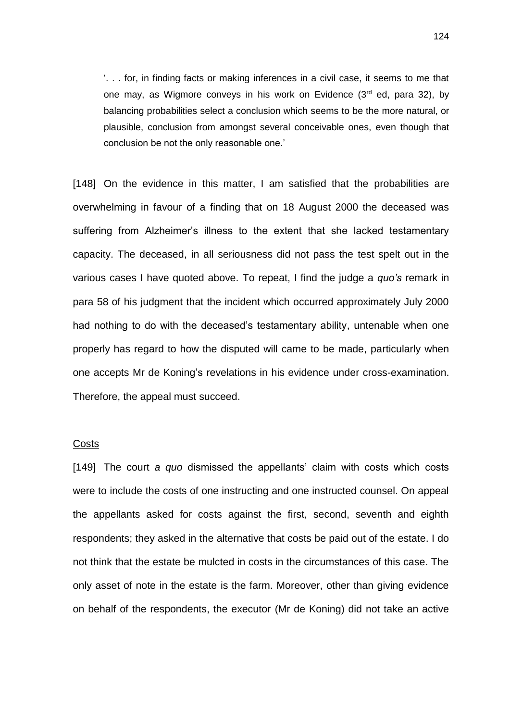'. . . for, in finding facts or making inferences in a civil case, it seems to me that one may, as Wigmore conveys in his work on Evidence  $(3<sup>rd</sup>$  ed, para 32), by balancing probabilities select a conclusion which seems to be the more natural, or plausible, conclusion from amongst several conceivable ones, even though that conclusion be not the only reasonable one.'

[148] On the evidence in this matter, I am satisfied that the probabilities are overwhelming in favour of a finding that on 18 August 2000 the deceased was suffering from Alzheimer's illness to the extent that she lacked testamentary capacity. The deceased, in all seriousness did not pass the test spelt out in the various cases I have quoted above. To repeat, I find the judge a *quo's* remark in para 58 of his judgment that the incident which occurred approximately July 2000 had nothing to do with the deceased's testamentary ability, untenable when one properly has regard to how the disputed will came to be made, particularly when one accepts Mr de Koning's revelations in his evidence under cross-examination. Therefore, the appeal must succeed.

## **Costs**

[149] The court *a quo* dismissed the appellants' claim with costs which costs were to include the costs of one instructing and one instructed counsel. On appeal the appellants asked for costs against the first, second, seventh and eighth respondents; they asked in the alternative that costs be paid out of the estate. I do not think that the estate be mulcted in costs in the circumstances of this case. The only asset of note in the estate is the farm. Moreover, other than giving evidence on behalf of the respondents, the executor (Mr de Koning) did not take an active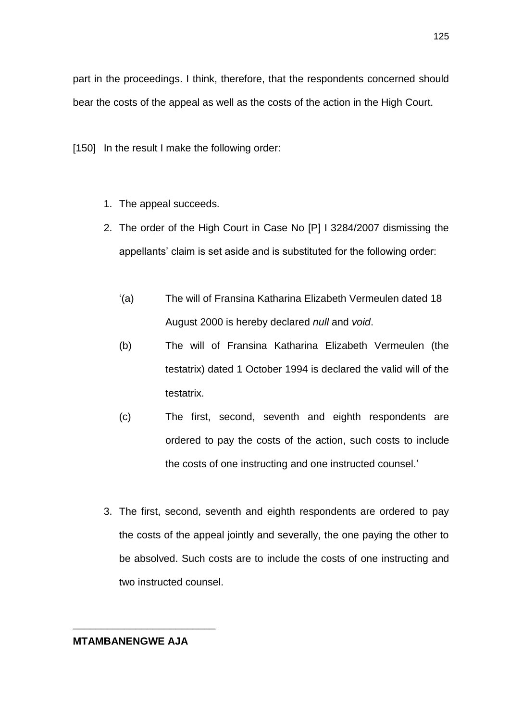part in the proceedings. I think, therefore, that the respondents concerned should bear the costs of the appeal as well as the costs of the action in the High Court.

[150] In the result I make the following order:

- 1. The appeal succeeds.
- 2. The order of the High Court in Case No [P] I 3284/2007 dismissing the appellants' claim is set aside and is substituted for the following order:
	- '(a) The will of Fransina Katharina Elizabeth Vermeulen dated 18 August 2000 is hereby declared *null* and *void*.
	- (b) The will of Fransina Katharina Elizabeth Vermeulen (the testatrix) dated 1 October 1994 is declared the valid will of the testatrix.
	- (c) The first, second, seventh and eighth respondents are ordered to pay the costs of the action, such costs to include the costs of one instructing and one instructed counsel.'
- 3. The first, second, seventh and eighth respondents are ordered to pay the costs of the appeal jointly and severally, the one paying the other to be absolved. Such costs are to include the costs of one instructing and two instructed counsel.

## **MTAMBANENGWE AJA**

\_\_\_\_\_\_\_\_\_\_\_\_\_\_\_\_\_\_\_\_\_\_\_\_\_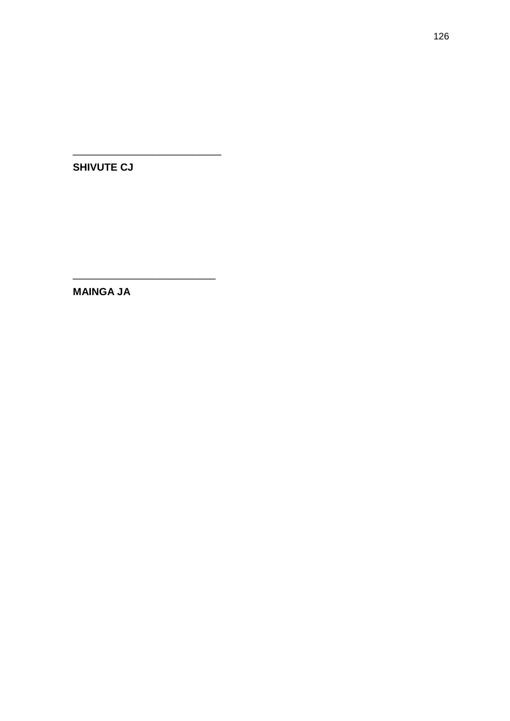**SHIVUTE CJ** 

**MAINGA JA**